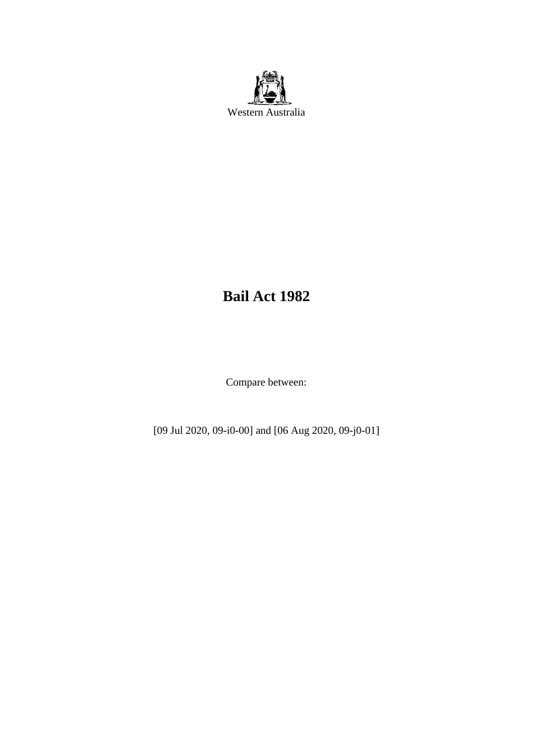

# **Bail Act 1982**

Compare between:

[09 Jul 2020, 09-i0-00] and [06 Aug 2020, 09-j0-01]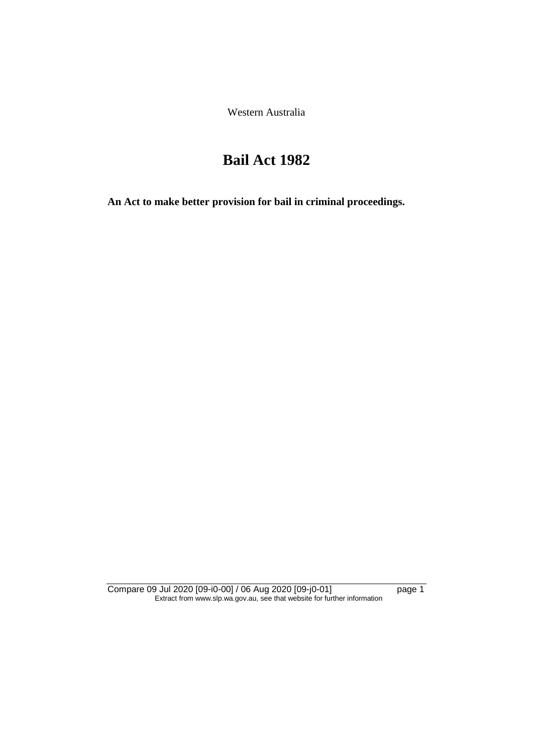Western Australia

# **Bail Act 1982**

**An Act to make better provision for bail in criminal proceedings.** 

Compare 09 Jul 2020 [09-i0-00] / 06 Aug 2020 [09-j0-01] page 1 Extract from www.slp.wa.gov.au, see that website for further information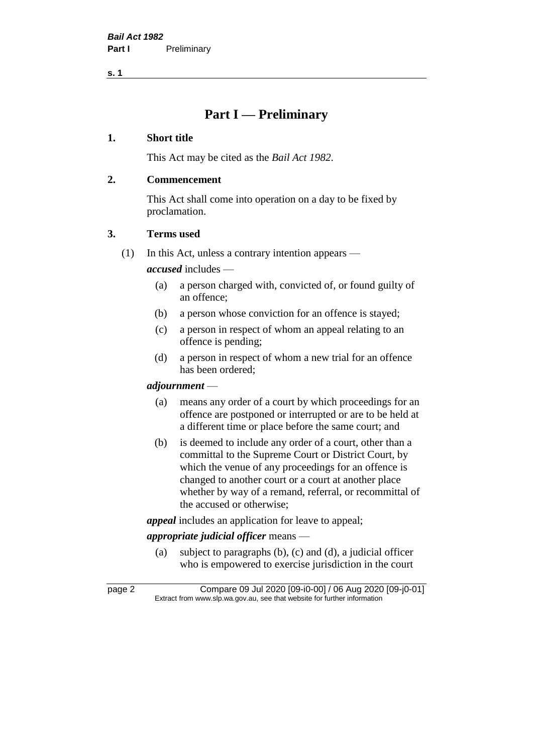# **Part I — Preliminary**

#### **1. Short title**

This Act may be cited as the *Bail Act 1982*.

#### **2. Commencement**

This Act shall come into operation on a day to be fixed by proclamation.

#### **3. Terms used**

(1) In this Act, unless a contrary intention appears —

*accused* includes —

- (a) a person charged with, convicted of, or found guilty of an offence;
- (b) a person whose conviction for an offence is stayed;
- (c) a person in respect of whom an appeal relating to an offence is pending;
- (d) a person in respect of whom a new trial for an offence has been ordered;

#### *adjournment* —

- (a) means any order of a court by which proceedings for an offence are postponed or interrupted or are to be held at a different time or place before the same court; and
- (b) is deemed to include any order of a court, other than a committal to the Supreme Court or District Court, by which the venue of any proceedings for an offence is changed to another court or a court at another place whether by way of a remand, referral, or recommittal of the accused or otherwise;

*appeal* includes an application for leave to appeal;

## *appropriate judicial officer* means —

(a) subject to paragraphs (b), (c) and (d), a judicial officer who is empowered to exercise jurisdiction in the court

page 2 Compare 09 Jul 2020 [09-i0-00] / 06 Aug 2020 [09-j0-01] Extract from www.slp.wa.gov.au, see that website for further information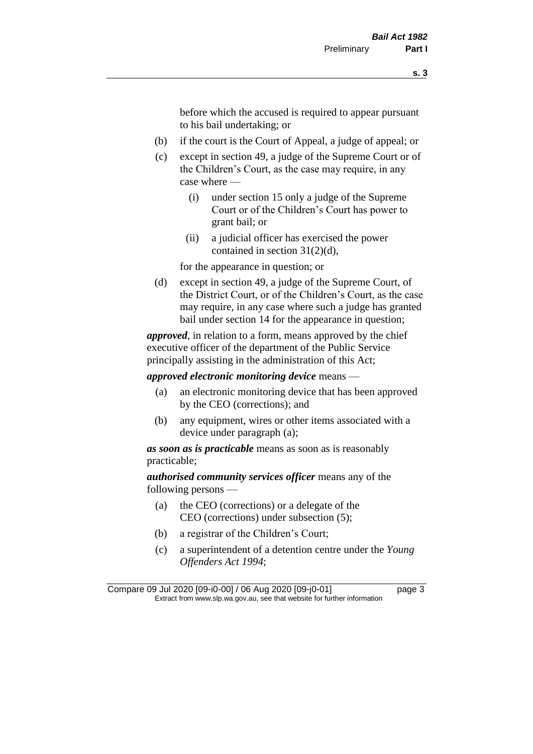before which the accused is required to appear pursuant to his bail undertaking; or

- (b) if the court is the Court of Appeal, a judge of appeal; or
- (c) except in section 49, a judge of the Supreme Court or of the Children's Court, as the case may require, in any case where —
	- (i) under section 15 only a judge of the Supreme Court or of the Children's Court has power to grant bail; or
	- (ii) a judicial officer has exercised the power contained in section 31(2)(d),

for the appearance in question; or

(d) except in section 49, a judge of the Supreme Court, of the District Court, or of the Children's Court, as the case may require, in any case where such a judge has granted bail under section 14 for the appearance in question;

*approved*, in relation to a form, means approved by the chief executive officer of the department of the Public Service principally assisting in the administration of this Act;

*approved electronic monitoring device* means —

- (a) an electronic monitoring device that has been approved by the CEO (corrections); and
- (b) any equipment, wires or other items associated with a device under paragraph (a);

*as soon as is practicable* means as soon as is reasonably practicable;

*authorised community services officer* means any of the following persons —

- (a) the CEO (corrections) or a delegate of the CEO (corrections) under subsection (5);
- (b) a registrar of the Children's Court;
- (c) a superintendent of a detention centre under the *Young Offenders Act 1994*;

Compare 09 Jul 2020 [09-i0-00] / 06 Aug 2020 [09-j0-01] page 3 Extract from www.slp.wa.gov.au, see that website for further information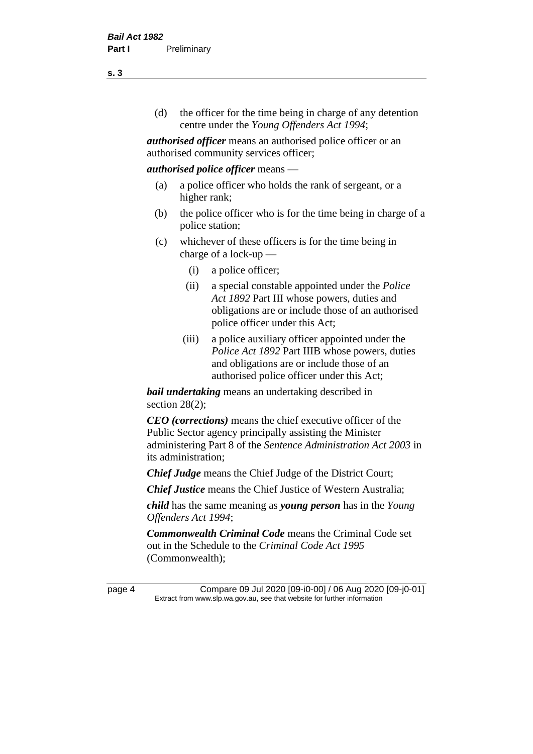(d) the officer for the time being in charge of any detention centre under the *Young Offenders Act 1994*;

*authorised officer* means an authorised police officer or an authorised community services officer;

#### *authorised police officer* means —

- (a) a police officer who holds the rank of sergeant, or a higher rank;
- (b) the police officer who is for the time being in charge of a police station;
- (c) whichever of these officers is for the time being in charge of a lock-up —
	- (i) a police officer;
	- (ii) a special constable appointed under the *Police Act 1892* Part III whose powers, duties and obligations are or include those of an authorised police officer under this Act;
	- (iii) a police auxiliary officer appointed under the *Police Act 1892* Part IIIB whose powers, duties and obligations are or include those of an authorised police officer under this Act;

*bail undertaking* means an undertaking described in section 28(2);

*CEO (corrections)* means the chief executive officer of the Public Sector agency principally assisting the Minister administering Part 8 of the *Sentence Administration Act 2003* in its administration;

*Chief Judge* means the Chief Judge of the District Court;

*Chief Justice* means the Chief Justice of Western Australia;

*child* has the same meaning as *young person* has in the *Young Offenders Act 1994*;

*Commonwealth Criminal Code* means the Criminal Code set out in the Schedule to the *Criminal Code Act 1995* (Commonwealth);

page 4 Compare 09 Jul 2020 [09-i0-00] / 06 Aug 2020 [09-j0-01] Extract from www.slp.wa.gov.au, see that website for further information

**s. 3**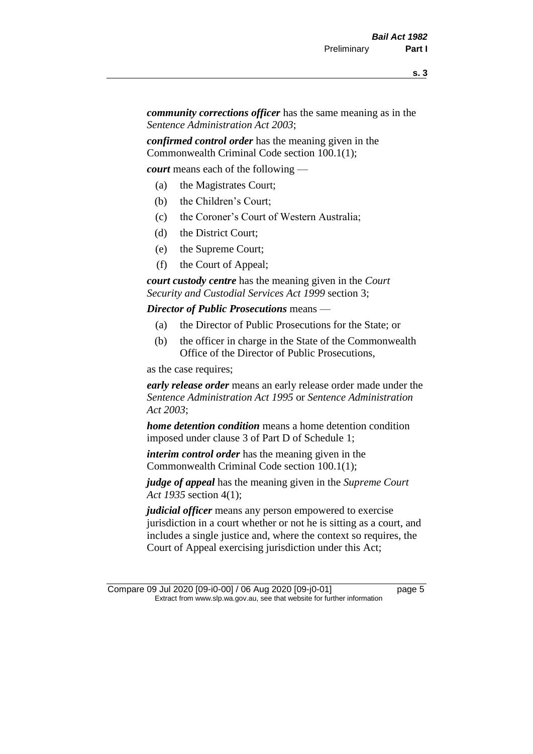*community corrections officer* has the same meaning as in the *Sentence Administration Act 2003*;

*confirmed control order* has the meaning given in the Commonwealth Criminal Code section 100.1(1);

*court* means each of the following —

- (a) the Magistrates Court;
- (b) the Children's Court;
- (c) the Coroner's Court of Western Australia;
- (d) the District Court;
- (e) the Supreme Court;
- (f) the Court of Appeal;

*court custody centre* has the meaning given in the *Court Security and Custodial Services Act 1999* section 3;

*Director of Public Prosecutions* means —

- (a) the Director of Public Prosecutions for the State; or
- (b) the officer in charge in the State of the Commonwealth Office of the Director of Public Prosecutions,

as the case requires;

*early release order* means an early release order made under the *Sentence Administration Act 1995* or *Sentence Administration Act 2003*;

*home detention condition* means a home detention condition imposed under clause 3 of Part D of Schedule 1;

*interim control order* has the meaning given in the Commonwealth Criminal Code section 100.1(1);

*judge of appeal* has the meaning given in the *Supreme Court Act 1935* section 4(1);

*judicial officer* means any person empowered to exercise jurisdiction in a court whether or not he is sitting as a court, and includes a single justice and, where the context so requires, the Court of Appeal exercising jurisdiction under this Act;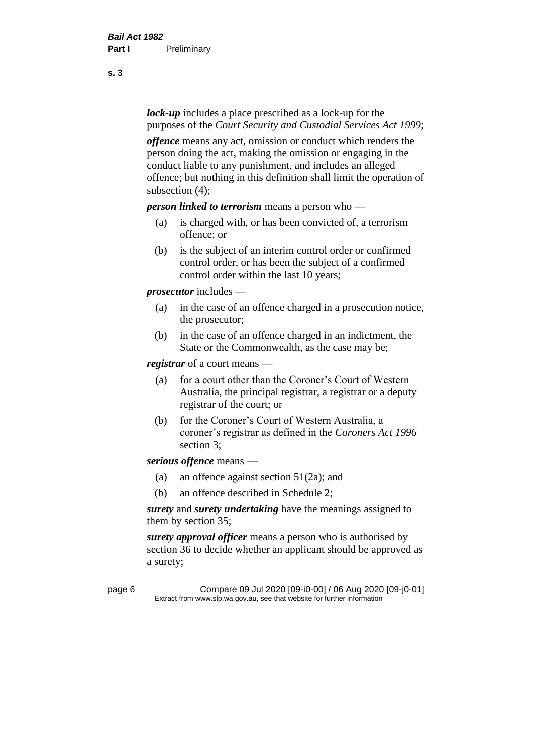*lock-up* includes a place prescribed as a lock-up for the purposes of the *Court Security and Custodial Services Act 1999*;

*offence* means any act, omission or conduct which renders the person doing the act, making the omission or engaging in the conduct liable to any punishment, and includes an alleged offence; but nothing in this definition shall limit the operation of subsection (4);

*person linked to terrorism* means a person who —

- (a) is charged with, or has been convicted of, a terrorism offence; or
- (b) is the subject of an interim control order or confirmed control order, or has been the subject of a confirmed control order within the last 10 years;

*prosecutor* includes —

- (a) in the case of an offence charged in a prosecution notice, the prosecutor;
- (b) in the case of an offence charged in an indictment, the State or the Commonwealth, as the case may be;

*registrar* of a court means —

- (a) for a court other than the Coroner's Court of Western Australia, the principal registrar, a registrar or a deputy registrar of the court; or
- (b) for the Coroner's Court of Western Australia, a coroner's registrar as defined in the *Coroners Act 1996* section 3;

*serious offence* means —

- (a) an offence against section 51(2a); and
- (b) an offence described in Schedule 2;

*surety* and *surety undertaking* have the meanings assigned to them by section 35;

*surety approval officer* means a person who is authorised by section 36 to decide whether an applicant should be approved as a surety;

page 6 Compare 09 Jul 2020 [09-i0-00] / 06 Aug 2020 [09-j0-01] Extract from www.slp.wa.gov.au, see that website for further information

**s. 3**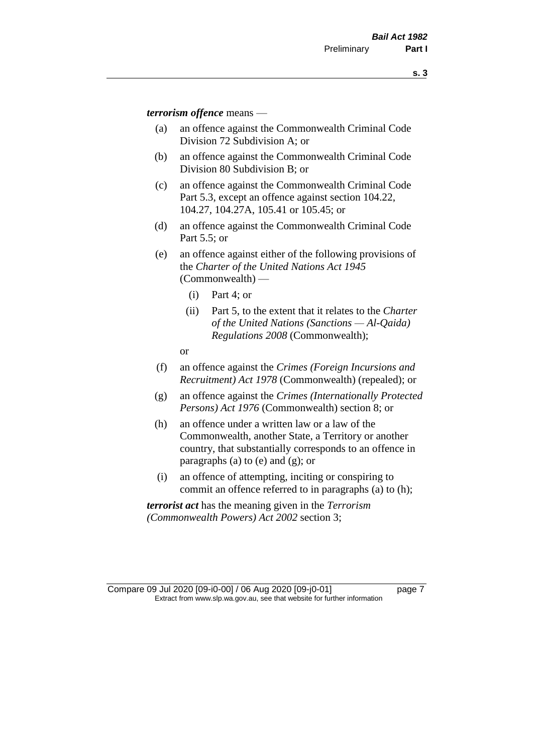*terrorism offence* means —

- (a) an offence against the Commonwealth Criminal Code Division 72 Subdivision A; or
- (b) an offence against the Commonwealth Criminal Code Division 80 Subdivision B; or
- (c) an offence against the Commonwealth Criminal Code Part 5.3, except an offence against section 104.22, 104.27, 104.27A, 105.41 or 105.45; or
- (d) an offence against the Commonwealth Criminal Code Part 5.5; or
- (e) an offence against either of the following provisions of the *Charter of the United Nations Act 1945*  (Commonwealth) —
	- (i) Part 4; or
	- (ii) Part 5, to the extent that it relates to the *Charter of the United Nations (Sanctions — Al-Qaida) Regulations 2008* (Commonwealth);
	- or
- (f) an offence against the *Crimes (Foreign Incursions and Recruitment) Act 1978* (Commonwealth) (repealed); or
- (g) an offence against the *Crimes (Internationally Protected Persons) Act 1976* (Commonwealth) section 8; or
- (h) an offence under a written law or a law of the Commonwealth, another State, a Territory or another country, that substantially corresponds to an offence in paragraphs (a) to (e) and (g); or
- (i) an offence of attempting, inciting or conspiring to commit an offence referred to in paragraphs (a) to (h);

*terrorist act* has the meaning given in the *Terrorism (Commonwealth Powers) Act 2002* section 3;

Compare 09 Jul 2020 [09-i0-00] / 06 Aug 2020 [09-j0-01] page 7 Extract from www.slp.wa.gov.au, see that website for further information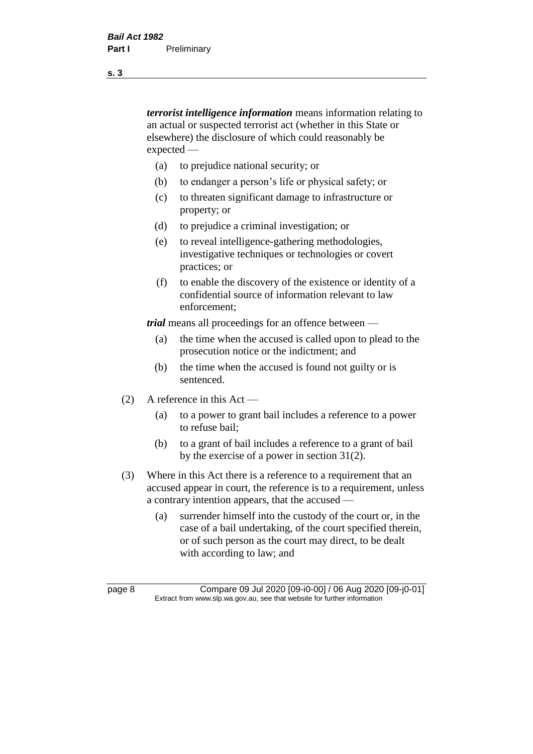*terrorist intelligence information* means information relating to an actual or suspected terrorist act (whether in this State or elsewhere) the disclosure of which could reasonably be expected —

- (a) to prejudice national security; or
- (b) to endanger a person's life or physical safety; or
- (c) to threaten significant damage to infrastructure or property; or
- (d) to prejudice a criminal investigation; or
- (e) to reveal intelligence-gathering methodologies, investigative techniques or technologies or covert practices; or
- (f) to enable the discovery of the existence or identity of a confidential source of information relevant to law enforcement;

*trial* means all proceedings for an offence between —

- (a) the time when the accused is called upon to plead to the prosecution notice or the indictment; and
- (b) the time when the accused is found not guilty or is sentenced.
- (2) A reference in this Act
	- (a) to a power to grant bail includes a reference to a power to refuse bail;
	- (b) to a grant of bail includes a reference to a grant of bail by the exercise of a power in section 31(2).
- (3) Where in this Act there is a reference to a requirement that an accused appear in court, the reference is to a requirement, unless a contrary intention appears, that the accused —
	- (a) surrender himself into the custody of the court or, in the case of a bail undertaking, of the court specified therein, or of such person as the court may direct, to be dealt with according to law; and

page 8 Compare 09 Jul 2020 [09-i0-00] / 06 Aug 2020 [09-j0-01] Extract from www.slp.wa.gov.au, see that website for further information

**s. 3**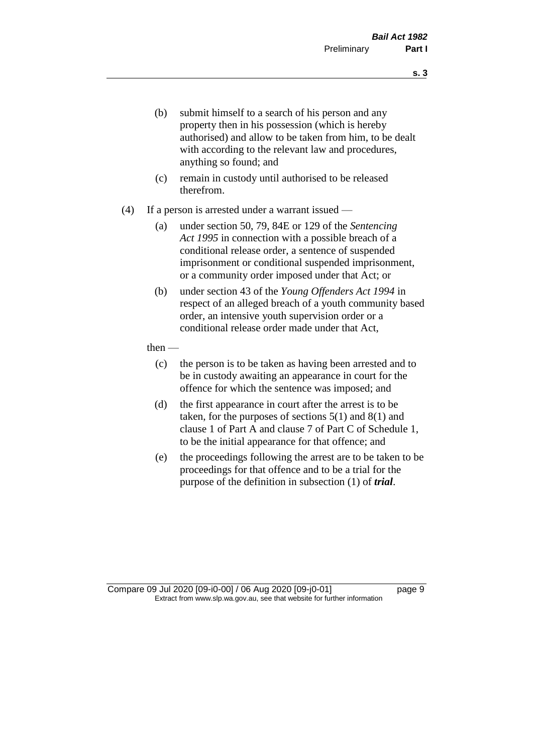- (b) submit himself to a search of his person and any property then in his possession (which is hereby authorised) and allow to be taken from him, to be dealt with according to the relevant law and procedures, anything so found; and
- (c) remain in custody until authorised to be released therefrom.
- (4) If a person is arrested under a warrant issued
	- (a) under section 50, 79, 84E or 129 of the *Sentencing Act 1995* in connection with a possible breach of a conditional release order, a sentence of suspended imprisonment or conditional suspended imprisonment, or a community order imposed under that Act; or
	- (b) under section 43 of the *Young Offenders Act 1994* in respect of an alleged breach of a youth community based order, an intensive youth supervision order or a conditional release order made under that Act,
	- then
		- (c) the person is to be taken as having been arrested and to be in custody awaiting an appearance in court for the offence for which the sentence was imposed; and
		- (d) the first appearance in court after the arrest is to be taken, for the purposes of sections  $5(1)$  and  $8(1)$  and clause 1 of Part A and clause 7 of Part C of Schedule 1, to be the initial appearance for that offence; and
		- (e) the proceedings following the arrest are to be taken to be proceedings for that offence and to be a trial for the purpose of the definition in subsection (1) of *trial*.

Compare 09 Jul 2020 [09-i0-00] / 06 Aug 2020 [09-j0-01] page 9 Extract from www.slp.wa.gov.au, see that website for further information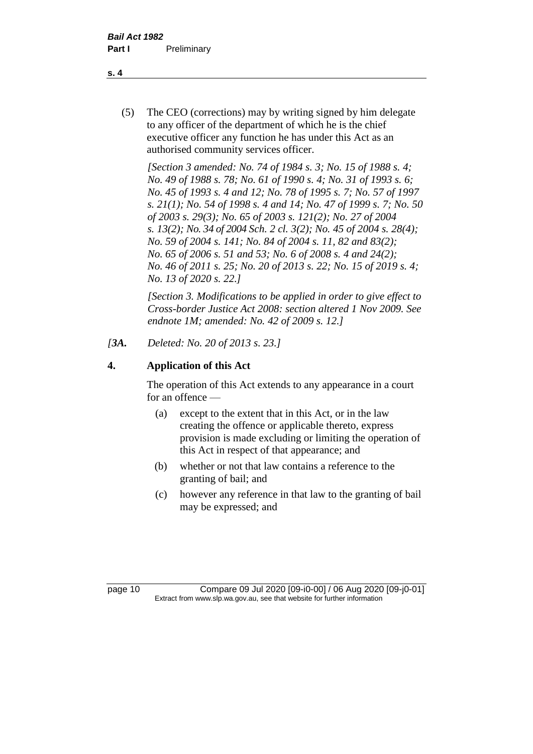(5) The CEO (corrections) may by writing signed by him delegate to any officer of the department of which he is the chief executive officer any function he has under this Act as an authorised community services officer.

*[Section 3 amended: No. 74 of 1984 s. 3; No. 15 of 1988 s. 4; No. 49 of 1988 s. 78; No. 61 of 1990 s. 4; No. 31 of 1993 s. 6; No. 45 of 1993 s. 4 and 12; No. 78 of 1995 s. 7; No. 57 of 1997 s. 21(1); No. 54 of 1998 s. 4 and 14; No. 47 of 1999 s. 7; No. 50 of 2003 s. 29(3); No. 65 of 2003 s. 121(2); No. 27 of 2004 s. 13(2); No. 34 of 2004 Sch. 2 cl. 3(2); No. 45 of 2004 s. 28(4); No. 59 of 2004 s. 141; No. 84 of 2004 s. 11, 82 and 83(2); No. 65 of 2006 s. 51 and 53; No. 6 of 2008 s. 4 and 24(2); No. 46 of 2011 s. 25; No. 20 of 2013 s. 22; No. 15 of 2019 s. 4; No. 13 of 2020 s. 22.]* 

*[Section 3. Modifications to be applied in order to give effect to Cross-border Justice Act 2008: section altered 1 Nov 2009. See endnote 1M; amended: No. 42 of 2009 s. 12.]*

*[3A. Deleted: No. 20 of 2013 s. 23.]*

## **4. Application of this Act**

The operation of this Act extends to any appearance in a court for an offence —

- (a) except to the extent that in this Act, or in the law creating the offence or applicable thereto, express provision is made excluding or limiting the operation of this Act in respect of that appearance; and
- (b) whether or not that law contains a reference to the granting of bail; and
- (c) however any reference in that law to the granting of bail may be expressed; and

page 10 Compare 09 Jul 2020 [09-i0-00] / 06 Aug 2020 [09-j0-01] Extract from www.slp.wa.gov.au, see that website for further information

**s. 4**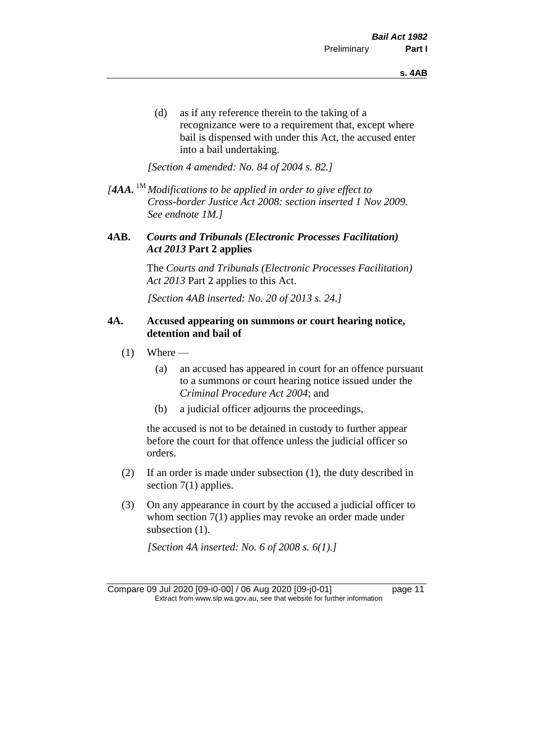(d) as if any reference therein to the taking of a recognizance were to a requirement that, except where bail is dispensed with under this Act, the accused enter into a bail undertaking.

*[Section 4 amended: No. 84 of 2004 s. 82.]*

*[4AA.* 1M *Modifications to be applied in order to give effect to Cross-border Justice Act 2008: section inserted 1 Nov 2009. See endnote 1M.]*

#### **4AB.** *Courts and Tribunals (Electronic Processes Facilitation) Act 2013* **Part 2 applies**

The *Courts and Tribunals (Electronic Processes Facilitation) Act 2013* Part 2 applies to this Act.

*[Section 4AB inserted: No. 20 of 2013 s. 24.]*

#### **4A. Accused appearing on summons or court hearing notice, detention and bail of**

- $(1)$  Where
	- (a) an accused has appeared in court for an offence pursuant to a summons or court hearing notice issued under the *Criminal Procedure Act 2004*; and
	- (b) a judicial officer adjourns the proceedings,

the accused is not to be detained in custody to further appear before the court for that offence unless the judicial officer so orders.

- (2) If an order is made under subsection (1), the duty described in section 7(1) applies.
- (3) On any appearance in court by the accused a judicial officer to whom section 7(1) applies may revoke an order made under subsection  $(1)$ .

*[Section 4A inserted: No. 6 of 2008 s. 6(1).]*

Compare 09 Jul 2020 [09-i0-00] / 06 Aug 2020 [09-j0-01] page 11 Extract from www.slp.wa.gov.au, see that website for further information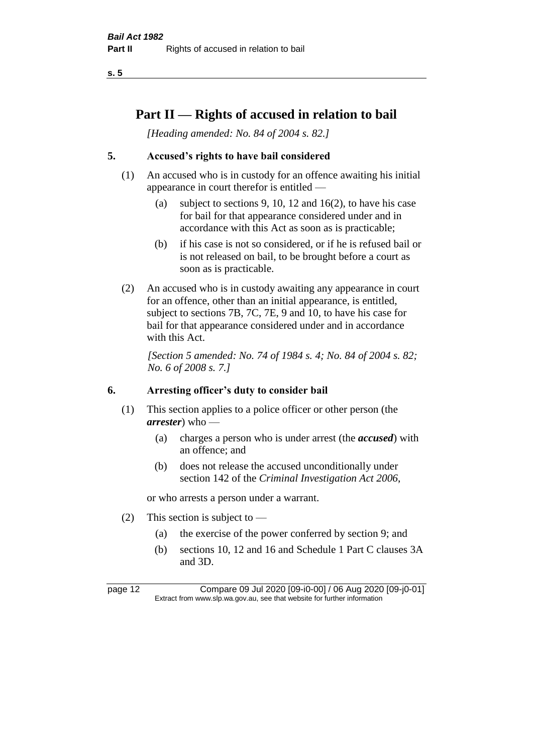# **Part II — Rights of accused in relation to bail**

*[Heading amended: No. 84 of 2004 s. 82.]* 

## **5. Accused's rights to have bail considered**

- (1) An accused who is in custody for an offence awaiting his initial appearance in court therefor is entitled —
	- (a) subject to sections 9, 10, 12 and 16(2), to have his case for bail for that appearance considered under and in accordance with this Act as soon as is practicable;
	- (b) if his case is not so considered, or if he is refused bail or is not released on bail, to be brought before a court as soon as is practicable.
- (2) An accused who is in custody awaiting any appearance in court for an offence, other than an initial appearance, is entitled, subject to sections 7B, 7C, 7E, 9 and 10, to have his case for bail for that appearance considered under and in accordance with this Act.

*[Section 5 amended: No. 74 of 1984 s. 4; No. 84 of 2004 s. 82; No. 6 of 2008 s. 7.]* 

#### **6. Arresting officer's duty to consider bail**

- (1) This section applies to a police officer or other person (the *arrester*) who —
	- (a) charges a person who is under arrest (the *accused*) with an offence; and
	- (b) does not release the accused unconditionally under section 142 of the *Criminal Investigation Act 2006*,

or who arrests a person under a warrant.

- (2) This section is subject to  $-$ 
	- (a) the exercise of the power conferred by section 9; and
	- (b) sections 10, 12 and 16 and Schedule 1 Part C clauses 3A and 3D.

page 12 Compare 09 Jul 2020 [09-i0-00] / 06 Aug 2020 [09-j0-01] Extract from www.slp.wa.gov.au, see that website for further information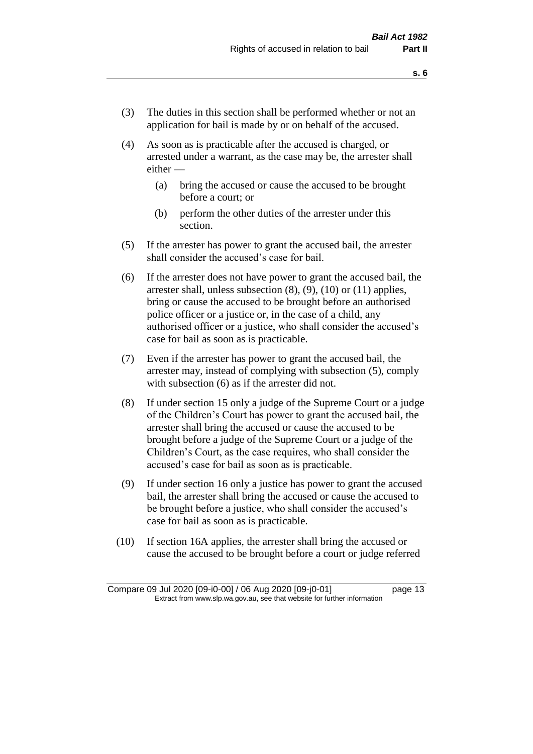- (3) The duties in this section shall be performed whether or not an application for bail is made by or on behalf of the accused.
- (4) As soon as is practicable after the accused is charged, or arrested under a warrant, as the case may be, the arrester shall either —
	- (a) bring the accused or cause the accused to be brought before a court; or
	- (b) perform the other duties of the arrester under this section.
- (5) If the arrester has power to grant the accused bail, the arrester shall consider the accused's case for bail.
- (6) If the arrester does not have power to grant the accused bail, the arrester shall, unless subsection (8), (9), (10) or (11) applies, bring or cause the accused to be brought before an authorised police officer or a justice or, in the case of a child, any authorised officer or a justice, who shall consider the accused's case for bail as soon as is practicable.
- (7) Even if the arrester has power to grant the accused bail, the arrester may, instead of complying with subsection (5), comply with subsection  $(6)$  as if the arrester did not.
- (8) If under section 15 only a judge of the Supreme Court or a judge of the Children's Court has power to grant the accused bail, the arrester shall bring the accused or cause the accused to be brought before a judge of the Supreme Court or a judge of the Children's Court, as the case requires, who shall consider the accused's case for bail as soon as is practicable.
- (9) If under section 16 only a justice has power to grant the accused bail, the arrester shall bring the accused or cause the accused to be brought before a justice, who shall consider the accused's case for bail as soon as is practicable.
- (10) If section 16A applies, the arrester shall bring the accused or cause the accused to be brought before a court or judge referred

Compare 09 Jul 2020 [09-i0-00] / 06 Aug 2020 [09-j0-01] page 13 Extract from www.slp.wa.gov.au, see that website for further information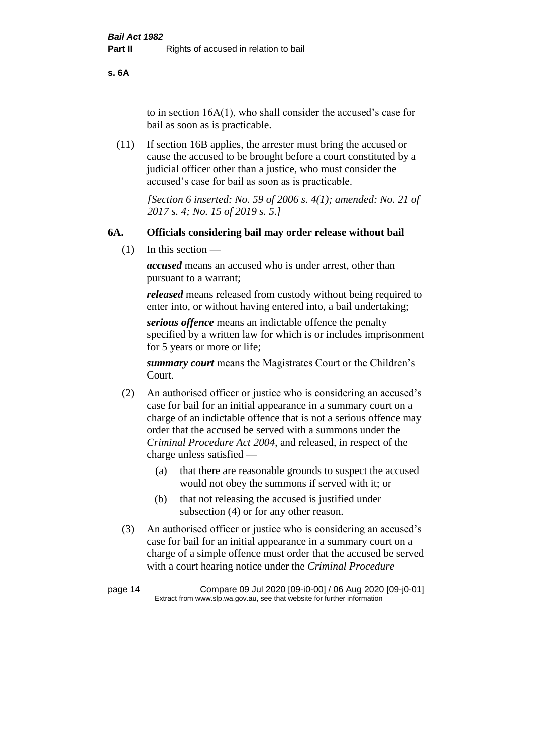**s. 6A**

to in section 16A(1), who shall consider the accused's case for bail as soon as is practicable.

(11) If section 16B applies, the arrester must bring the accused or cause the accused to be brought before a court constituted by a judicial officer other than a justice, who must consider the accused's case for bail as soon as is practicable.

> *[Section 6 inserted: No. 59 of 2006 s. 4(1); amended: No. 21 of 2017 s. 4; No. 15 of 2019 s. 5.]*

#### **6A. Officials considering bail may order release without bail**

(1) In this section —

*accused* means an accused who is under arrest, other than pursuant to a warrant;

*released* means released from custody without being required to enter into, or without having entered into, a bail undertaking;

*serious offence* means an indictable offence the penalty specified by a written law for which is or includes imprisonment for 5 years or more or life;

*summary court* means the Magistrates Court or the Children's Court.

- (2) An authorised officer or justice who is considering an accused's case for bail for an initial appearance in a summary court on a charge of an indictable offence that is not a serious offence may order that the accused be served with a summons under the *Criminal Procedure Act 2004*, and released, in respect of the charge unless satisfied —
	- (a) that there are reasonable grounds to suspect the accused would not obey the summons if served with it; or
	- (b) that not releasing the accused is justified under subsection (4) or for any other reason.
- (3) An authorised officer or justice who is considering an accused's case for bail for an initial appearance in a summary court on a charge of a simple offence must order that the accused be served with a court hearing notice under the *Criminal Procedure*

page 14 Compare 09 Jul 2020 [09-i0-00] / 06 Aug 2020 [09-j0-01] Extract from www.slp.wa.gov.au, see that website for further information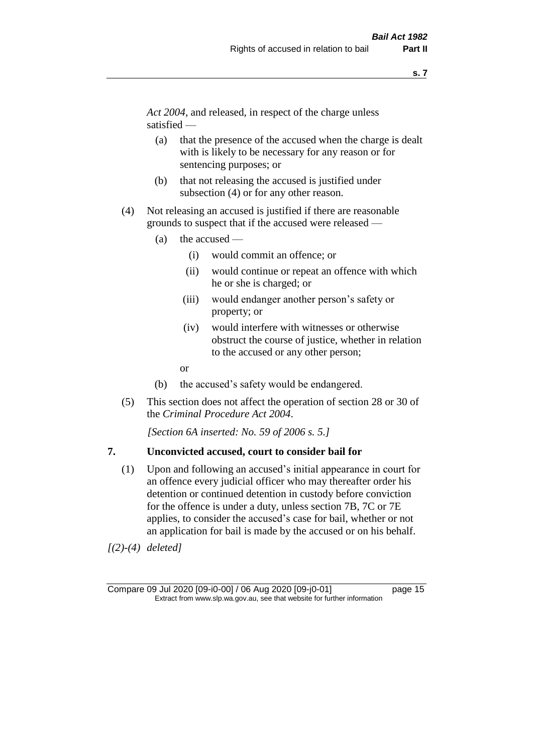*Act 2004*, and released, in respect of the charge unless satisfied —

- (a) that the presence of the accused when the charge is dealt with is likely to be necessary for any reason or for sentencing purposes; or
- (b) that not releasing the accused is justified under subsection (4) or for any other reason.
- (4) Not releasing an accused is justified if there are reasonable grounds to suspect that if the accused were released —
	- (a) the accused
		- (i) would commit an offence; or
		- (ii) would continue or repeat an offence with which he or she is charged; or
		- (iii) would endanger another person's safety or property; or
		- (iv) would interfere with witnesses or otherwise obstruct the course of justice, whether in relation to the accused or any other person;
		- or
	- (b) the accused's safety would be endangered.
- (5) This section does not affect the operation of section 28 or 30 of the *Criminal Procedure Act 2004*.

*[Section 6A inserted: No. 59 of 2006 s. 5.]* 

#### **7. Unconvicted accused, court to consider bail for**

(1) Upon and following an accused's initial appearance in court for an offence every judicial officer who may thereafter order his detention or continued detention in custody before conviction for the offence is under a duty, unless section 7B, 7C or 7E applies, to consider the accused's case for bail, whether or not an application for bail is made by the accused or on his behalf.

*[(2)-(4) deleted]*

Compare 09 Jul 2020 [09-i0-00] / 06 Aug 2020 [09-j0-01] page 15 Extract from www.slp.wa.gov.au, see that website for further information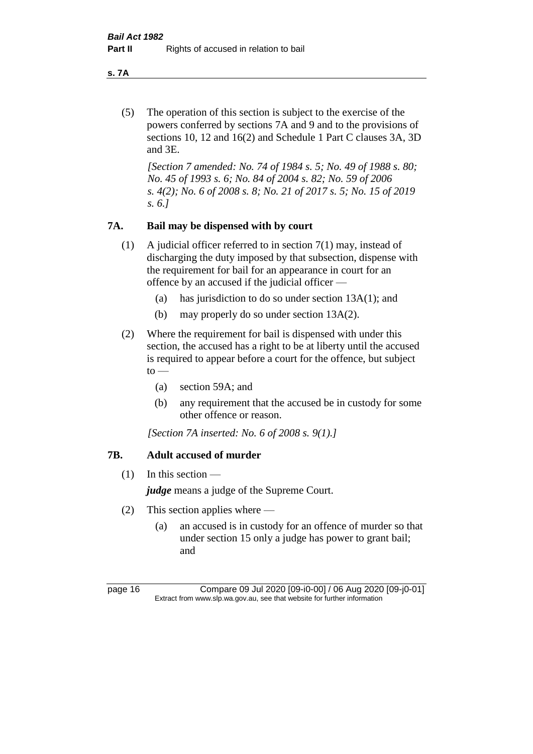**s. 7A**

(5) The operation of this section is subject to the exercise of the powers conferred by sections 7A and 9 and to the provisions of sections 10, 12 and 16(2) and Schedule 1 Part C clauses 3A, 3D and 3E.

*[Section 7 amended: No. 74 of 1984 s. 5; No. 49 of 1988 s. 80; No. 45 of 1993 s. 6; No. 84 of 2004 s. 82; No. 59 of 2006 s. 4(2); No. 6 of 2008 s. 8; No. 21 of 2017 s. 5; No. 15 of 2019 s. 6.]* 

## **7A. Bail may be dispensed with by court**

- (1) A judicial officer referred to in section 7(1) may, instead of discharging the duty imposed by that subsection, dispense with the requirement for bail for an appearance in court for an offence by an accused if the judicial officer —
	- (a) has jurisdiction to do so under section 13A(1); and
	- (b) may properly do so under section 13A(2).
- (2) Where the requirement for bail is dispensed with under this section, the accused has a right to be at liberty until the accused is required to appear before a court for the offence, but subject  $to -$ 
	- (a) section 59A; and
	- (b) any requirement that the accused be in custody for some other offence or reason.

*[Section 7A inserted: No. 6 of 2008 s. 9(1).]*

#### **7B. Adult accused of murder**

 $(1)$  In this section —

*judge* means a judge of the Supreme Court.

- (2) This section applies where
	- (a) an accused is in custody for an offence of murder so that under section 15 only a judge has power to grant bail; and

page 16 Compare 09 Jul 2020 [09-i0-00] / 06 Aug 2020 [09-j0-01] Extract from www.slp.wa.gov.au, see that website for further information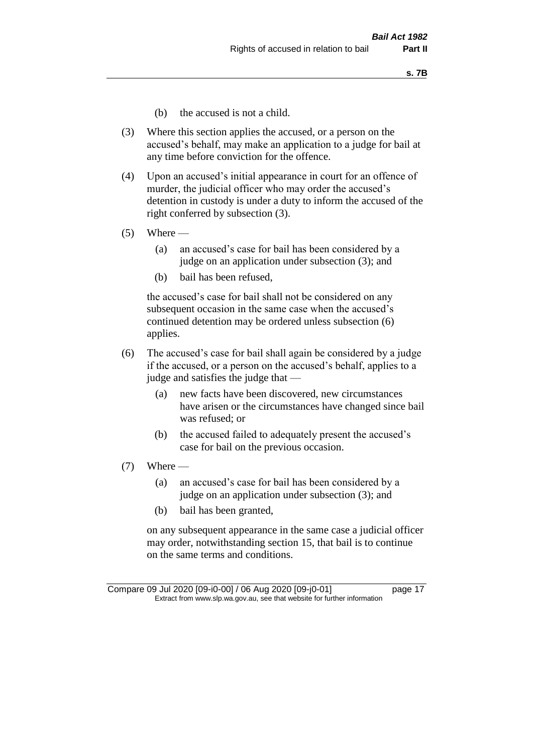- (b) the accused is not a child.
- (3) Where this section applies the accused, or a person on the accused's behalf, may make an application to a judge for bail at any time before conviction for the offence.
- (4) Upon an accused's initial appearance in court for an offence of murder, the judicial officer who may order the accused's detention in custody is under a duty to inform the accused of the right conferred by subsection (3).
- $(5)$  Where
	- (a) an accused's case for bail has been considered by a judge on an application under subsection (3); and
	- (b) bail has been refused,

the accused's case for bail shall not be considered on any subsequent occasion in the same case when the accused's continued detention may be ordered unless subsection (6) applies.

- (6) The accused's case for bail shall again be considered by a judge if the accused, or a person on the accused's behalf, applies to a judge and satisfies the judge that —
	- (a) new facts have been discovered, new circumstances have arisen or the circumstances have changed since bail was refused; or
	- (b) the accused failed to adequately present the accused's case for bail on the previous occasion.
- $(7)$  Where
	- (a) an accused's case for bail has been considered by a judge on an application under subsection (3); and
	- (b) bail has been granted,

on any subsequent appearance in the same case a judicial officer may order, notwithstanding section 15, that bail is to continue on the same terms and conditions.

Compare 09 Jul 2020 [09-i0-00] / 06 Aug 2020 [09-j0-01] page 17 Extract from www.slp.wa.gov.au, see that website for further information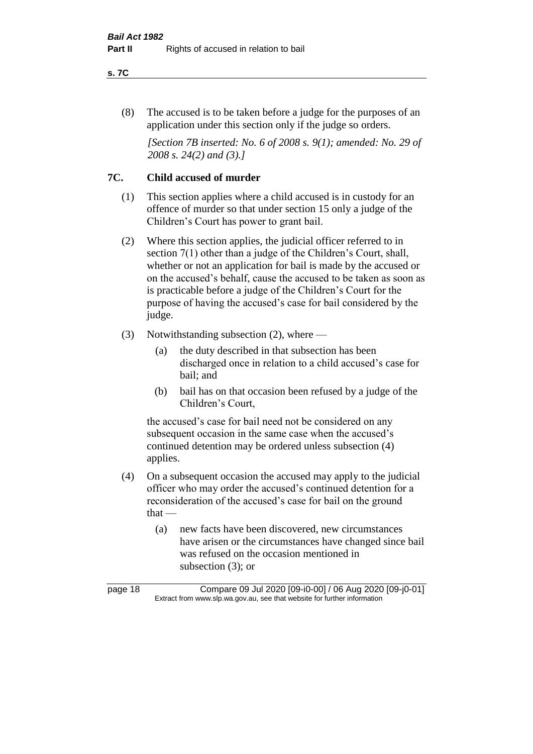#### **s. 7C**

(8) The accused is to be taken before a judge for the purposes of an application under this section only if the judge so orders.

*[Section 7B inserted: No. 6 of 2008 s. 9(1); amended: No. 29 of 2008 s. 24(2) and (3).]*

#### **7C. Child accused of murder**

- (1) This section applies where a child accused is in custody for an offence of murder so that under section 15 only a judge of the Children's Court has power to grant bail.
- (2) Where this section applies, the judicial officer referred to in section 7(1) other than a judge of the Children's Court, shall, whether or not an application for bail is made by the accused or on the accused's behalf, cause the accused to be taken as soon as is practicable before a judge of the Children's Court for the purpose of having the accused's case for bail considered by the judge.
- (3) Notwithstanding subsection (2), where
	- (a) the duty described in that subsection has been discharged once in relation to a child accused's case for bail; and
	- (b) bail has on that occasion been refused by a judge of the Children's Court,

the accused's case for bail need not be considered on any subsequent occasion in the same case when the accused's continued detention may be ordered unless subsection (4) applies.

- (4) On a subsequent occasion the accused may apply to the judicial officer who may order the accused's continued detention for a reconsideration of the accused's case for bail on the ground that —
	- (a) new facts have been discovered, new circumstances have arisen or the circumstances have changed since bail was refused on the occasion mentioned in subsection (3); or

page 18 Compare 09 Jul 2020 [09-i0-00] / 06 Aug 2020 [09-j0-01] Extract from www.slp.wa.gov.au, see that website for further information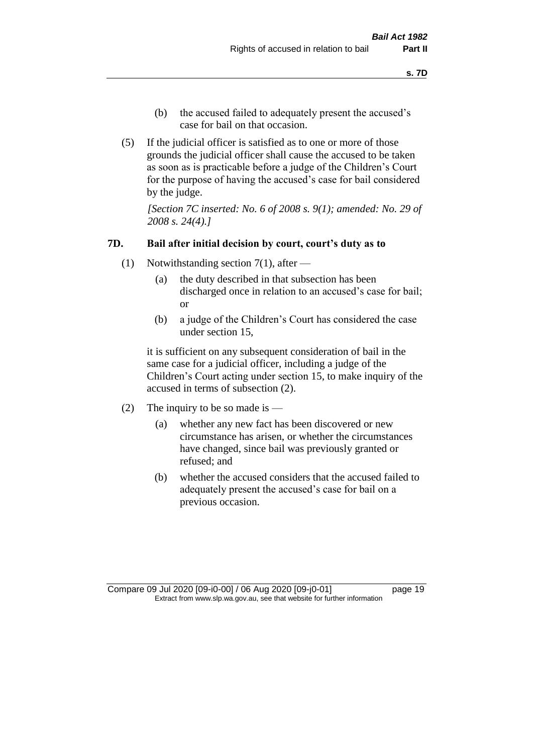- (b) the accused failed to adequately present the accused's case for bail on that occasion.
- (5) If the judicial officer is satisfied as to one or more of those grounds the judicial officer shall cause the accused to be taken as soon as is practicable before a judge of the Children's Court for the purpose of having the accused's case for bail considered by the judge.

*[Section 7C inserted: No. 6 of 2008 s. 9(1); amended: No. 29 of 2008 s. 24(4).]*

#### **7D. Bail after initial decision by court, court's duty as to**

- (1) Notwithstanding section 7(1), after
	- (a) the duty described in that subsection has been discharged once in relation to an accused's case for bail; or
	- (b) a judge of the Children's Court has considered the case under section 15,

it is sufficient on any subsequent consideration of bail in the same case for a judicial officer, including a judge of the Children's Court acting under section 15, to make inquiry of the accused in terms of subsection (2).

- (2) The inquiry to be so made is  $-$ 
	- (a) whether any new fact has been discovered or new circumstance has arisen, or whether the circumstances have changed, since bail was previously granted or refused; and
	- (b) whether the accused considers that the accused failed to adequately present the accused's case for bail on a previous occasion.

Compare 09 Jul 2020 [09-i0-00] / 06 Aug 2020 [09-j0-01] page 19 Extract from www.slp.wa.gov.au, see that website for further information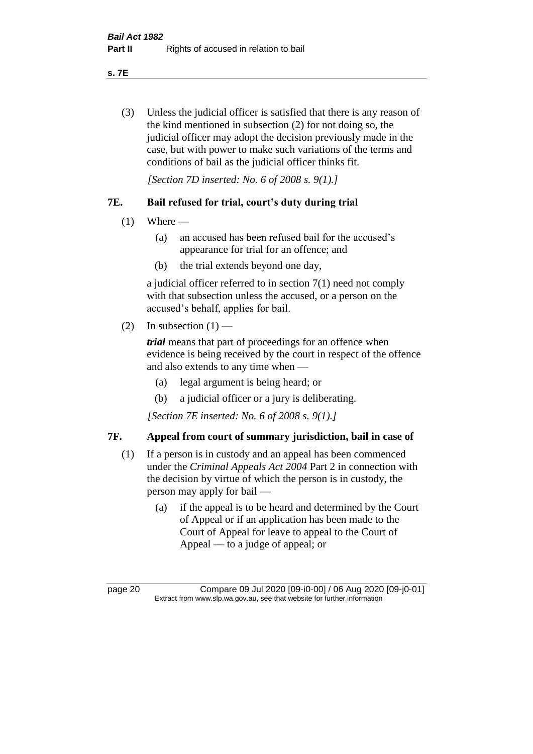**s. 7E**

(3) Unless the judicial officer is satisfied that there is any reason of the kind mentioned in subsection (2) for not doing so, the judicial officer may adopt the decision previously made in the case, but with power to make such variations of the terms and conditions of bail as the judicial officer thinks fit.

*[Section 7D inserted: No. 6 of 2008 s. 9(1).]*

## **7E. Bail refused for trial, court's duty during trial**

- $(1)$  Where
	- (a) an accused has been refused bail for the accused's appearance for trial for an offence; and
	- (b) the trial extends beyond one day,

a judicial officer referred to in section 7(1) need not comply with that subsection unless the accused, or a person on the accused's behalf, applies for bail.

(2) In subsection  $(1)$  —

*trial* means that part of proceedings for an offence when evidence is being received by the court in respect of the offence and also extends to any time when —

- (a) legal argument is being heard; or
- (b) a judicial officer or a jury is deliberating.

*[Section 7E inserted: No. 6 of 2008 s. 9(1).]*

## **7F. Appeal from court of summary jurisdiction, bail in case of**

- (1) If a person is in custody and an appeal has been commenced under the *Criminal Appeals Act 2004* Part 2 in connection with the decision by virtue of which the person is in custody, the person may apply for bail —
	- (a) if the appeal is to be heard and determined by the Court of Appeal or if an application has been made to the Court of Appeal for leave to appeal to the Court of Appeal — to a judge of appeal; or

page 20 Compare 09 Jul 2020 [09-i0-00] / 06 Aug 2020 [09-j0-01] Extract from www.slp.wa.gov.au, see that website for further information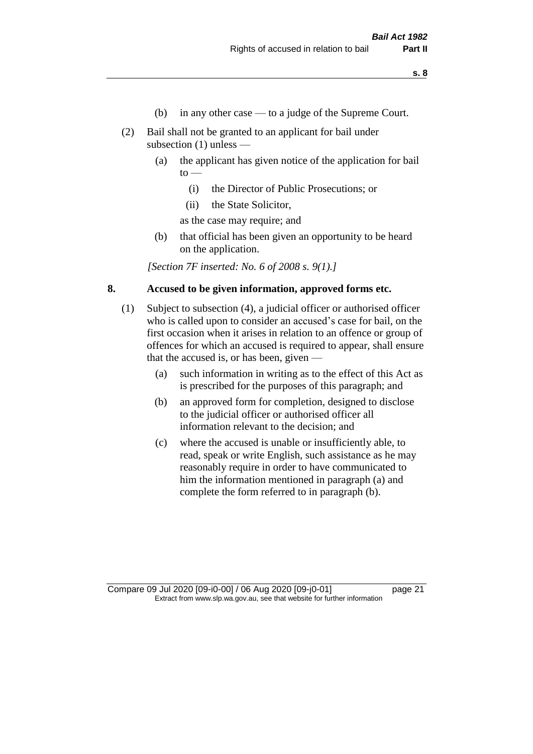- (b) in any other case to a judge of the Supreme Court.
- (2) Bail shall not be granted to an applicant for bail under subsection (1) unless —
	- (a) the applicant has given notice of the application for bail  $to -$ 
		- (i) the Director of Public Prosecutions; or
		- (ii) the State Solicitor,

as the case may require; and

(b) that official has been given an opportunity to be heard on the application.

*[Section 7F inserted: No. 6 of 2008 s. 9(1).]*

#### **8. Accused to be given information, approved forms etc.**

- (1) Subject to subsection (4), a judicial officer or authorised officer who is called upon to consider an accused's case for bail, on the first occasion when it arises in relation to an offence or group of offences for which an accused is required to appear, shall ensure that the accused is, or has been, given —
	- (a) such information in writing as to the effect of this Act as is prescribed for the purposes of this paragraph; and
	- (b) an approved form for completion, designed to disclose to the judicial officer or authorised officer all information relevant to the decision; and
	- (c) where the accused is unable or insufficiently able, to read, speak or write English, such assistance as he may reasonably require in order to have communicated to him the information mentioned in paragraph (a) and complete the form referred to in paragraph (b).

Compare 09 Jul 2020 [09-i0-00] / 06 Aug 2020 [09-j0-01] page 21 Extract from www.slp.wa.gov.au, see that website for further information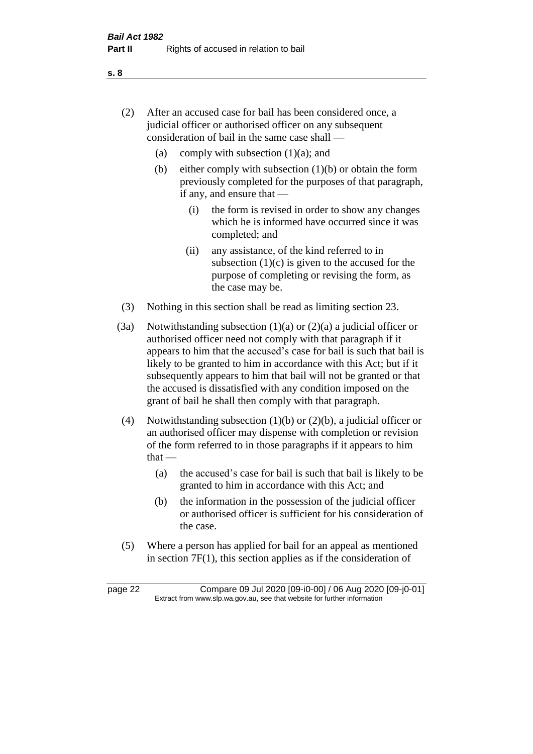- (2) After an accused case for bail has been considered once, a judicial officer or authorised officer on any subsequent consideration of bail in the same case shall —
	- (a) comply with subsection  $(1)(a)$ ; and
	- (b) either comply with subsection  $(1)(b)$  or obtain the form previously completed for the purposes of that paragraph, if any, and ensure that —
		- (i) the form is revised in order to show any changes which he is informed have occurred since it was completed; and
		- (ii) any assistance, of the kind referred to in subsection  $(1)(c)$  is given to the accused for the purpose of completing or revising the form, as the case may be.
- (3) Nothing in this section shall be read as limiting section 23.
- (3a) Notwithstanding subsection  $(1)(a)$  or  $(2)(a)$  a judicial officer or authorised officer need not comply with that paragraph if it appears to him that the accused's case for bail is such that bail is likely to be granted to him in accordance with this Act; but if it subsequently appears to him that bail will not be granted or that the accused is dissatisfied with any condition imposed on the grant of bail he shall then comply with that paragraph.
- (4) Notwithstanding subsection (1)(b) or (2)(b), a judicial officer or an authorised officer may dispense with completion or revision of the form referred to in those paragraphs if it appears to him  $that -$ 
	- (a) the accused's case for bail is such that bail is likely to be granted to him in accordance with this Act; and
	- (b) the information in the possession of the judicial officer or authorised officer is sufficient for his consideration of the case.
- (5) Where a person has applied for bail for an appeal as mentioned in section 7F(1), this section applies as if the consideration of

page 22 Compare 09 Jul 2020 [09-i0-00] / 06 Aug 2020 [09-j0-01] Extract from www.slp.wa.gov.au, see that website for further information

**s. 8**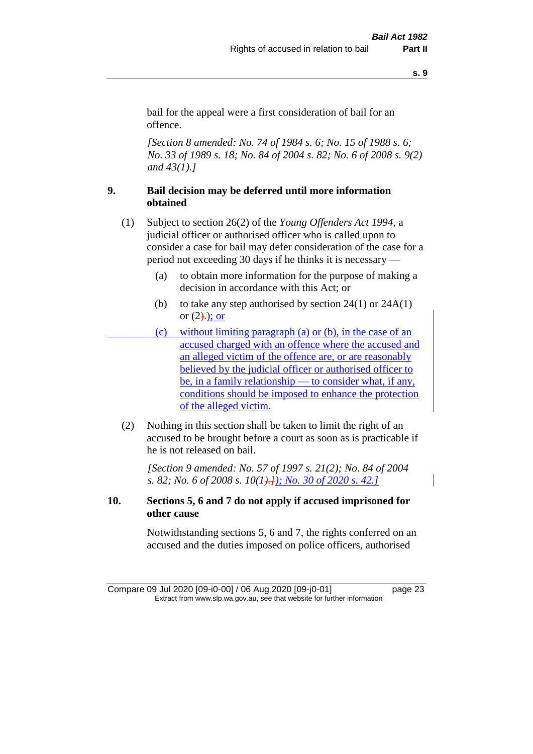bail for the appeal were a first consideration of bail for an offence.

*[Section 8 amended: No. 74 of 1984 s. 6; No. 15 of 1988 s. 6; No. 33 of 1989 s. 18; No. 84 of 2004 s. 82; No. 6 of 2008 s. 9(2) and 43(1).]* 

#### **9. Bail decision may be deferred until more information obtained**

- (1) Subject to section 26(2) of the *Young Offenders Act 1994*, a judicial officer or authorised officer who is called upon to consider a case for bail may defer consideration of the case for a period not exceeding 30 days if he thinks it is necessary —
	- (a) to obtain more information for the purpose of making a decision in accordance with this Act; or
	- (b) to take any step authorised by section  $24(1)$  or  $24A(1)$ or  $(2)$ ; or
- (c) without limiting paragraph (a) or (b), in the case of an accused charged with an offence where the accused and an alleged victim of the offence are, or are reasonably believed by the judicial officer or authorised officer to be, in a family relationship — to consider what, if any, conditions should be imposed to enhance the protection of the alleged victim.
- (2) Nothing in this section shall be taken to limit the right of an accused to be brought before a court as soon as is practicable if he is not released on bail.

*[Section 9 amended: No. 57 of 1997 s. 21(2); No. 84 of 2004 s. 82; No. 6 of 2008 s. 10(1).]); No. 30 of 2020 s. 42.]*

#### **10. Sections 5, 6 and 7 do not apply if accused imprisoned for other cause**

Notwithstanding sections 5, 6 and 7, the rights conferred on an accused and the duties imposed on police officers, authorised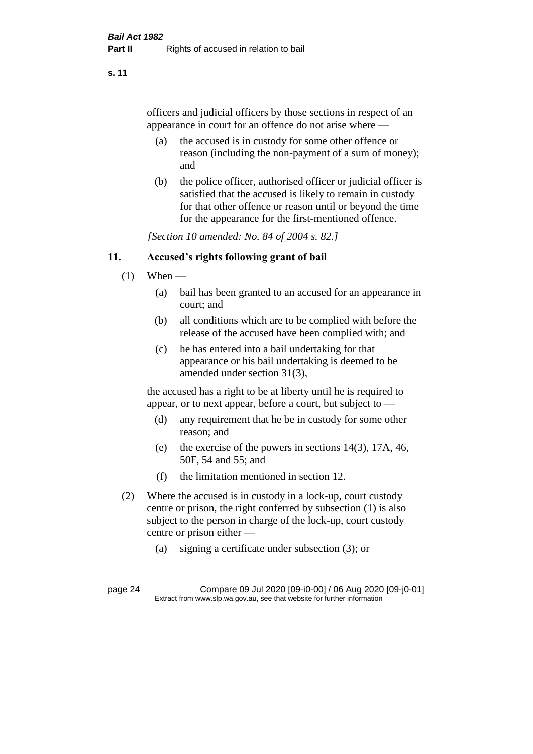officers and judicial officers by those sections in respect of an appearance in court for an offence do not arise where —

- (a) the accused is in custody for some other offence or reason (including the non-payment of a sum of money); and
- (b) the police officer, authorised officer or judicial officer is satisfied that the accused is likely to remain in custody for that other offence or reason until or beyond the time for the appearance for the first-mentioned offence.

*[Section 10 amended: No. 84 of 2004 s. 82.]*

#### **11. Accused's rights following grant of bail**

- $(1)$  When
	- (a) bail has been granted to an accused for an appearance in court; and
	- (b) all conditions which are to be complied with before the release of the accused have been complied with; and
	- (c) he has entered into a bail undertaking for that appearance or his bail undertaking is deemed to be amended under section 31(3),

the accused has a right to be at liberty until he is required to appear, or to next appear, before a court, but subject to —

- (d) any requirement that he be in custody for some other reason; and
- (e) the exercise of the powers in sections 14(3), 17A, 46, 50F, 54 and 55; and
- (f) the limitation mentioned in section 12.
- (2) Where the accused is in custody in a lock-up, court custody centre or prison, the right conferred by subsection (1) is also subject to the person in charge of the lock-up, court custody centre or prison either —
	- (a) signing a certificate under subsection (3); or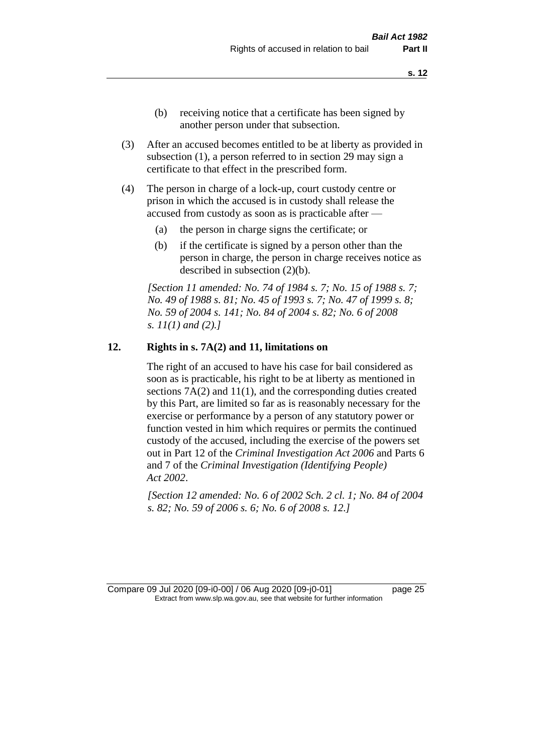- (b) receiving notice that a certificate has been signed by another person under that subsection.
- (3) After an accused becomes entitled to be at liberty as provided in subsection (1), a person referred to in section 29 may sign a certificate to that effect in the prescribed form.
- (4) The person in charge of a lock-up, court custody centre or prison in which the accused is in custody shall release the accused from custody as soon as is practicable after —
	- (a) the person in charge signs the certificate; or
	- (b) if the certificate is signed by a person other than the person in charge, the person in charge receives notice as described in subsection (2)(b).

*[Section 11 amended: No. 74 of 1984 s. 7; No. 15 of 1988 s. 7; No. 49 of 1988 s. 81; No. 45 of 1993 s. 7; No. 47 of 1999 s. 8; No. 59 of 2004 s. 141; No. 84 of 2004 s. 82; No. 6 of 2008 s. 11(1) and (2).]* 

#### **12. Rights in s. 7A(2) and 11, limitations on**

The right of an accused to have his case for bail considered as soon as is practicable, his right to be at liberty as mentioned in sections 7A(2) and 11(1), and the corresponding duties created by this Part, are limited so far as is reasonably necessary for the exercise or performance by a person of any statutory power or function vested in him which requires or permits the continued custody of the accused, including the exercise of the powers set out in Part 12 of the *Criminal Investigation Act 2006* and Parts 6 and 7 of the *Criminal Investigation (Identifying People) Act 2002*.

*[Section 12 amended: No. 6 of 2002 Sch. 2 cl. 1; No. 84 of 2004 s. 82; No. 59 of 2006 s. 6; No. 6 of 2008 s. 12.]*

Compare 09 Jul 2020 [09-i0-00] / 06 Aug 2020 [09-j0-01] page 25 Extract from www.slp.wa.gov.au, see that website for further information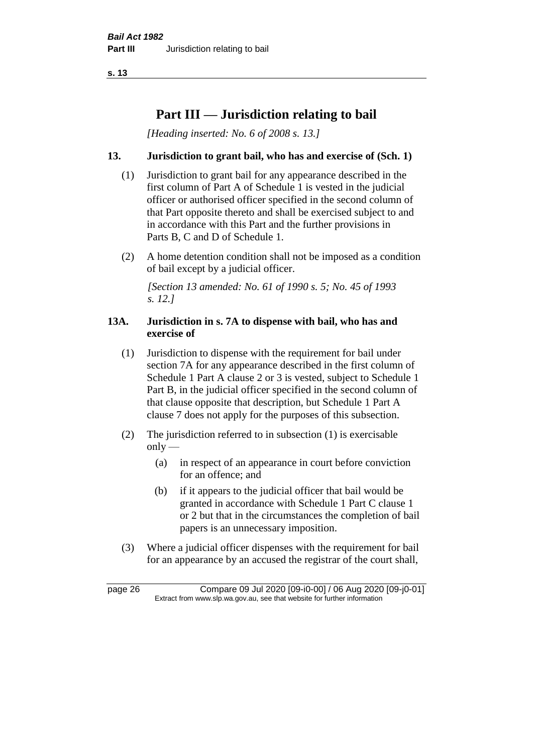# **Part III — Jurisdiction relating to bail**

*[Heading inserted: No. 6 of 2008 s. 13.]*

#### **13. Jurisdiction to grant bail, who has and exercise of (Sch. 1)**

- (1) Jurisdiction to grant bail for any appearance described in the first column of Part A of Schedule 1 is vested in the judicial officer or authorised officer specified in the second column of that Part opposite thereto and shall be exercised subject to and in accordance with this Part and the further provisions in Parts B, C and D of Schedule 1.
- (2) A home detention condition shall not be imposed as a condition of bail except by a judicial officer.

*[Section 13 amended: No. 61 of 1990 s. 5; No. 45 of 1993 s. 12.]* 

#### **13A. Jurisdiction in s. 7A to dispense with bail, who has and exercise of**

- (1) Jurisdiction to dispense with the requirement for bail under section 7A for any appearance described in the first column of Schedule 1 Part A clause 2 or 3 is vested, subject to Schedule 1 Part B, in the judicial officer specified in the second column of that clause opposite that description, but Schedule 1 Part A clause 7 does not apply for the purposes of this subsection.
- (2) The jurisdiction referred to in subsection (1) is exercisable  $only$ —
	- (a) in respect of an appearance in court before conviction for an offence; and
	- (b) if it appears to the judicial officer that bail would be granted in accordance with Schedule 1 Part C clause 1 or 2 but that in the circumstances the completion of bail papers is an unnecessary imposition.
- (3) Where a judicial officer dispenses with the requirement for bail for an appearance by an accused the registrar of the court shall,

page 26 Compare 09 Jul 2020 [09-i0-00] / 06 Aug 2020 [09-j0-01] Extract from www.slp.wa.gov.au, see that website for further information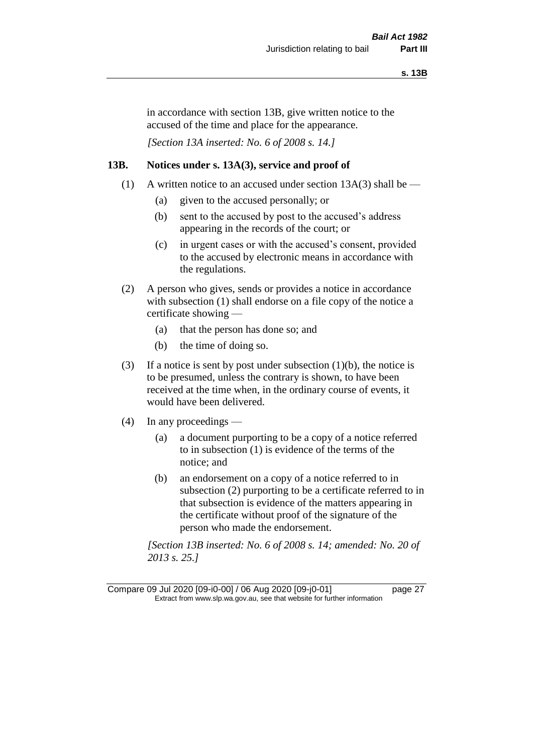in accordance with section 13B, give written notice to the accused of the time and place for the appearance.

*[Section 13A inserted: No. 6 of 2008 s. 14.]*

#### **13B. Notices under s. 13A(3), service and proof of**

- (1) A written notice to an accused under section  $13A(3)$  shall be
	- (a) given to the accused personally; or
	- (b) sent to the accused by post to the accused's address appearing in the records of the court; or
	- (c) in urgent cases or with the accused's consent, provided to the accused by electronic means in accordance with the regulations.
- (2) A person who gives, sends or provides a notice in accordance with subsection (1) shall endorse on a file copy of the notice a certificate showing —
	- (a) that the person has done so; and
	- (b) the time of doing so.
- (3) If a notice is sent by post under subsection  $(1)(b)$ , the notice is to be presumed, unless the contrary is shown, to have been received at the time when, in the ordinary course of events, it would have been delivered.
- (4) In any proceedings
	- (a) a document purporting to be a copy of a notice referred to in subsection (1) is evidence of the terms of the notice; and
	- (b) an endorsement on a copy of a notice referred to in subsection (2) purporting to be a certificate referred to in that subsection is evidence of the matters appearing in the certificate without proof of the signature of the person who made the endorsement.

*[Section 13B inserted: No. 6 of 2008 s. 14; amended: No. 20 of 2013 s. 25.]*

Compare 09 Jul 2020 [09-i0-00] / 06 Aug 2020 [09-j0-01] page 27 Extract from www.slp.wa.gov.au, see that website for further information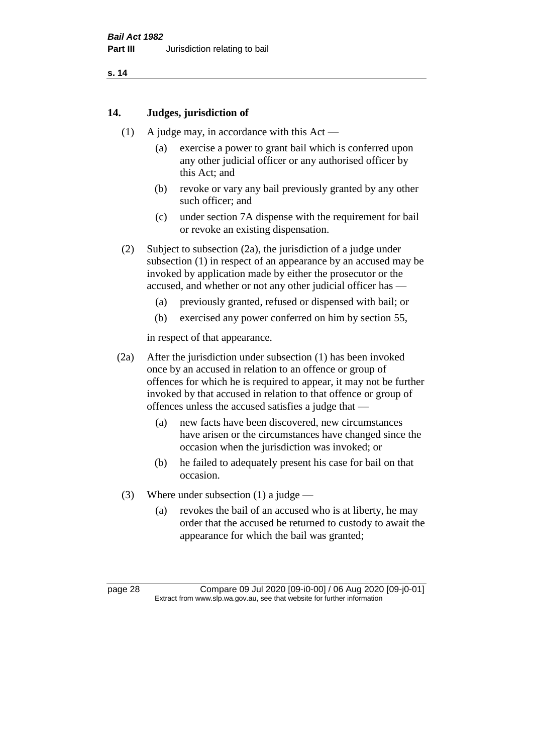#### **14. Judges, jurisdiction of**

- (1) A judge may, in accordance with this Act
	- (a) exercise a power to grant bail which is conferred upon any other judicial officer or any authorised officer by this Act; and
	- (b) revoke or vary any bail previously granted by any other such officer; and
	- (c) under section 7A dispense with the requirement for bail or revoke an existing dispensation.
- (2) Subject to subsection (2a), the jurisdiction of a judge under subsection (1) in respect of an appearance by an accused may be invoked by application made by either the prosecutor or the accused, and whether or not any other judicial officer has —
	- (a) previously granted, refused or dispensed with bail; or
	- (b) exercised any power conferred on him by section 55,

in respect of that appearance.

- (2a) After the jurisdiction under subsection (1) has been invoked once by an accused in relation to an offence or group of offences for which he is required to appear, it may not be further invoked by that accused in relation to that offence or group of offences unless the accused satisfies a judge that —
	- (a) new facts have been discovered, new circumstances have arisen or the circumstances have changed since the occasion when the jurisdiction was invoked; or
	- (b) he failed to adequately present his case for bail on that occasion.
- (3) Where under subsection (1) a judge
	- (a) revokes the bail of an accused who is at liberty, he may order that the accused be returned to custody to await the appearance for which the bail was granted;

page 28 Compare 09 Jul 2020 [09-i0-00] / 06 Aug 2020 [09-j0-01] Extract from www.slp.wa.gov.au, see that website for further information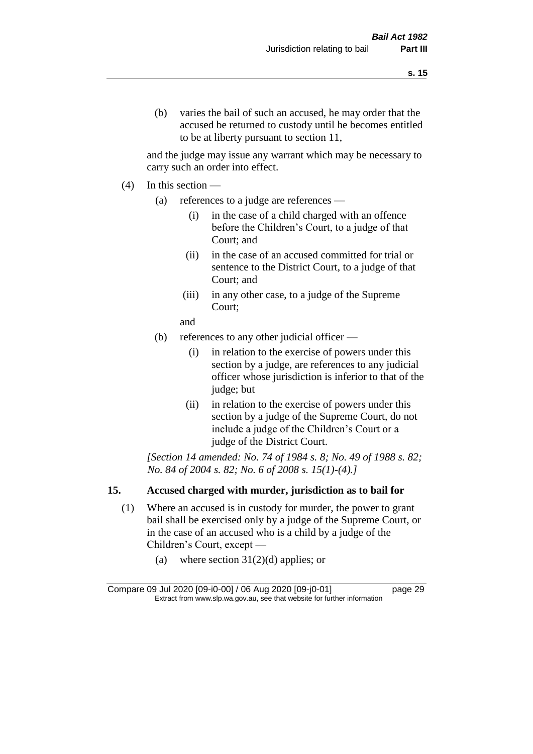and the judge may issue any warrant which may be necessary to carry such an order into effect.

- (4) In this section
	- (a) references to a judge are references
		- (i) in the case of a child charged with an offence before the Children's Court, to a judge of that Court; and
		- (ii) in the case of an accused committed for trial or sentence to the District Court, to a judge of that Court; and
		- (iii) in any other case, to a judge of the Supreme Court;
		- and
	- (b) references to any other judicial officer
		- (i) in relation to the exercise of powers under this section by a judge, are references to any judicial officer whose jurisdiction is inferior to that of the judge; but
		- (ii) in relation to the exercise of powers under this section by a judge of the Supreme Court, do not include a judge of the Children's Court or a judge of the District Court.

*[Section 14 amended: No. 74 of 1984 s. 8; No. 49 of 1988 s. 82; No. 84 of 2004 s. 82; No. 6 of 2008 s. 15(1)-(4).]* 

## **15. Accused charged with murder, jurisdiction as to bail for**

- (1) Where an accused is in custody for murder, the power to grant bail shall be exercised only by a judge of the Supreme Court, or in the case of an accused who is a child by a judge of the Children's Court, except —
	- (a) where section  $31(2)(d)$  applies; or

Compare 09 Jul 2020 [09-i0-00] / 06 Aug 2020 [09-j0-01] page 29 Extract from www.slp.wa.gov.au, see that website for further information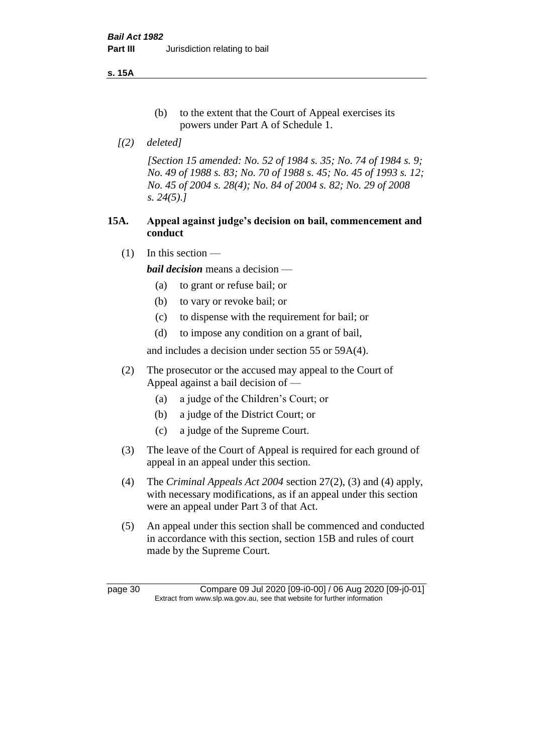**s. 15A**

- (b) to the extent that the Court of Appeal exercises its powers under Part A of Schedule 1.
- *[(2) deleted]*

*[Section 15 amended: No. 52 of 1984 s. 35; No. 74 of 1984 s. 9; No. 49 of 1988 s. 83; No. 70 of 1988 s. 45; No. 45 of 1993 s. 12; No. 45 of 2004 s. 28(4); No. 84 of 2004 s. 82; No. 29 of 2008 s. 24(5).]* 

#### **15A. Appeal against judge's decision on bail, commencement and conduct**

 $(1)$  In this section —

*bail decision* means a decision —

- (a) to grant or refuse bail; or
- (b) to vary or revoke bail; or
- (c) to dispense with the requirement for bail; or
- (d) to impose any condition on a grant of bail,

and includes a decision under section 55 or 59A(4).

- (2) The prosecutor or the accused may appeal to the Court of Appeal against a bail decision of —
	- (a) a judge of the Children's Court; or
	- (b) a judge of the District Court; or
	- (c) a judge of the Supreme Court.
- (3) The leave of the Court of Appeal is required for each ground of appeal in an appeal under this section.
- (4) The *Criminal Appeals Act 2004* section 27(2), (3) and (4) apply, with necessary modifications, as if an appeal under this section were an appeal under Part 3 of that Act.
- (5) An appeal under this section shall be commenced and conducted in accordance with this section, section 15B and rules of court made by the Supreme Court.

page 30 Compare 09 Jul 2020 [09-i0-00] / 06 Aug 2020 [09-j0-01] Extract from www.slp.wa.gov.au, see that website for further information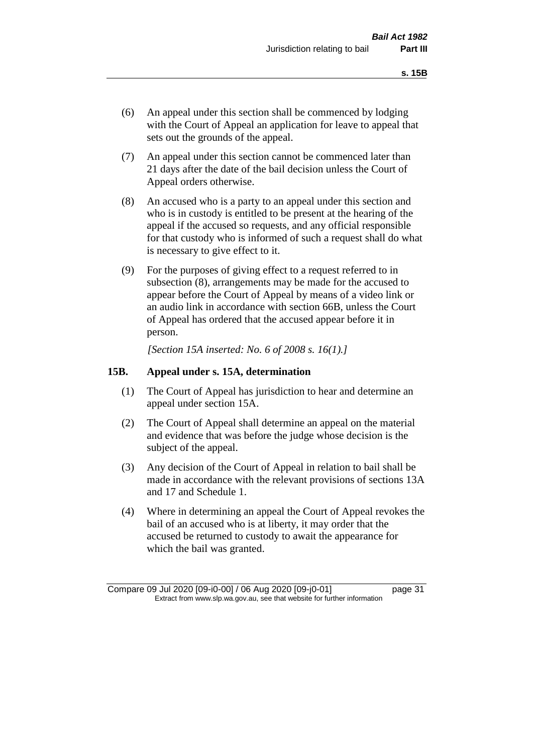- (6) An appeal under this section shall be commenced by lodging with the Court of Appeal an application for leave to appeal that sets out the grounds of the appeal.
- (7) An appeal under this section cannot be commenced later than 21 days after the date of the bail decision unless the Court of Appeal orders otherwise.
- (8) An accused who is a party to an appeal under this section and who is in custody is entitled to be present at the hearing of the appeal if the accused so requests, and any official responsible for that custody who is informed of such a request shall do what is necessary to give effect to it.
- (9) For the purposes of giving effect to a request referred to in subsection (8), arrangements may be made for the accused to appear before the Court of Appeal by means of a video link or an audio link in accordance with section 66B, unless the Court of Appeal has ordered that the accused appear before it in person.

*[Section 15A inserted: No. 6 of 2008 s. 16(1).]*

#### **15B. Appeal under s. 15A, determination**

- (1) The Court of Appeal has jurisdiction to hear and determine an appeal under section 15A.
- (2) The Court of Appeal shall determine an appeal on the material and evidence that was before the judge whose decision is the subject of the appeal.
- (3) Any decision of the Court of Appeal in relation to bail shall be made in accordance with the relevant provisions of sections 13A and 17 and Schedule 1.
- (4) Where in determining an appeal the Court of Appeal revokes the bail of an accused who is at liberty, it may order that the accused be returned to custody to await the appearance for which the bail was granted.

Compare 09 Jul 2020 [09-i0-00] / 06 Aug 2020 [09-j0-01] page 31 Extract from www.slp.wa.gov.au, see that website for further information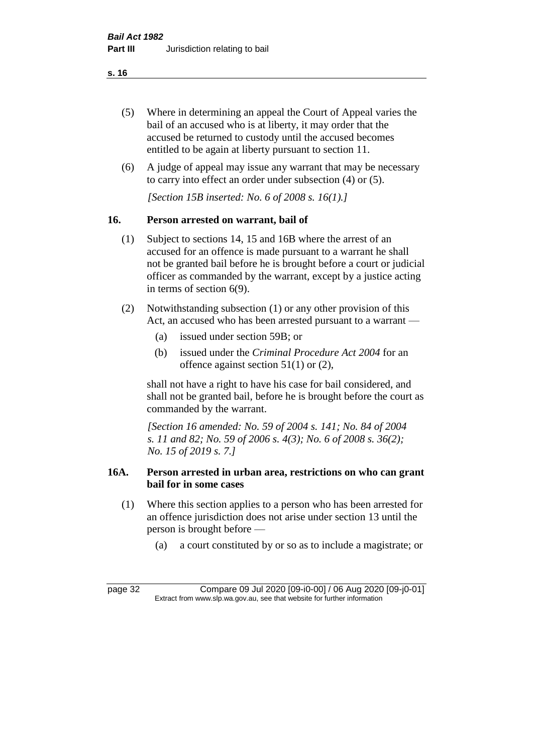- (5) Where in determining an appeal the Court of Appeal varies the bail of an accused who is at liberty, it may order that the accused be returned to custody until the accused becomes entitled to be again at liberty pursuant to section 11.
- (6) A judge of appeal may issue any warrant that may be necessary to carry into effect an order under subsection (4) or (5).

*[Section 15B inserted: No. 6 of 2008 s. 16(1).]*

#### **16. Person arrested on warrant, bail of**

- (1) Subject to sections 14, 15 and 16B where the arrest of an accused for an offence is made pursuant to a warrant he shall not be granted bail before he is brought before a court or judicial officer as commanded by the warrant, except by a justice acting in terms of section 6(9).
- (2) Notwithstanding subsection (1) or any other provision of this Act, an accused who has been arrested pursuant to a warrant —
	- (a) issued under section 59B; or
	- (b) issued under the *Criminal Procedure Act 2004* for an offence against section 51(1) or (2),

shall not have a right to have his case for bail considered, and shall not be granted bail, before he is brought before the court as commanded by the warrant.

*[Section 16 amended: No. 59 of 2004 s. 141; No. 84 of 2004 s. 11 and 82; No. 59 of 2006 s. 4(3); No. 6 of 2008 s. 36(2); No. 15 of 2019 s. 7.]*

#### **16A. Person arrested in urban area, restrictions on who can grant bail for in some cases**

- (1) Where this section applies to a person who has been arrested for an offence jurisdiction does not arise under section 13 until the person is brought before —
	- (a) a court constituted by or so as to include a magistrate; or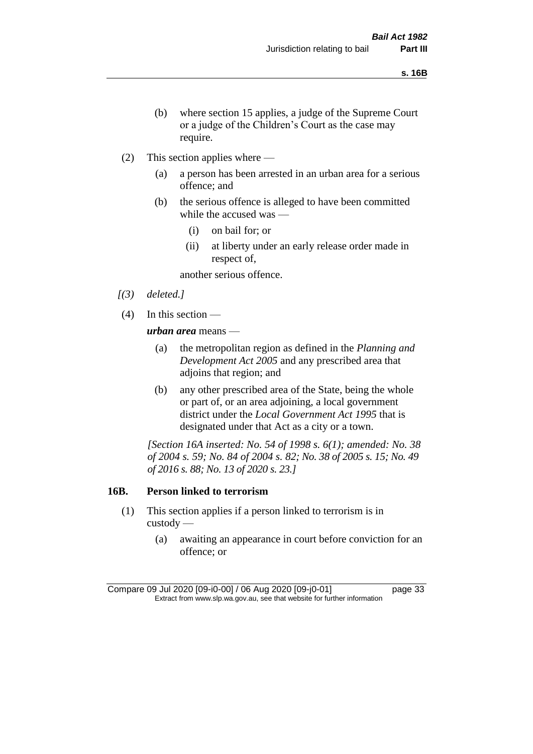- (b) where section 15 applies, a judge of the Supreme Court or a judge of the Children's Court as the case may require.
- (2) This section applies where
	- (a) a person has been arrested in an urban area for a serious offence; and
	- (b) the serious offence is alleged to have been committed while the accused was —
		- (i) on bail for; or
		- (ii) at liberty under an early release order made in respect of,

another serious offence.

- *[(3) deleted.]*
- (4) In this section —

*urban area* means —

- (a) the metropolitan region as defined in the *Planning and Development Act 2005* and any prescribed area that adjoins that region; and
- (b) any other prescribed area of the State, being the whole or part of, or an area adjoining, a local government district under the *Local Government Act 1995* that is designated under that Act as a city or a town.

*[Section 16A inserted: No. 54 of 1998 s. 6(1); amended: No. 38 of 2004 s. 59; No. 84 of 2004 s. 82; No. 38 of 2005 s. 15; No. 49 of 2016 s. 88; No. 13 of 2020 s. 23.]*

#### **16B. Person linked to terrorism**

- (1) This section applies if a person linked to terrorism is in custody —
	- (a) awaiting an appearance in court before conviction for an offence; or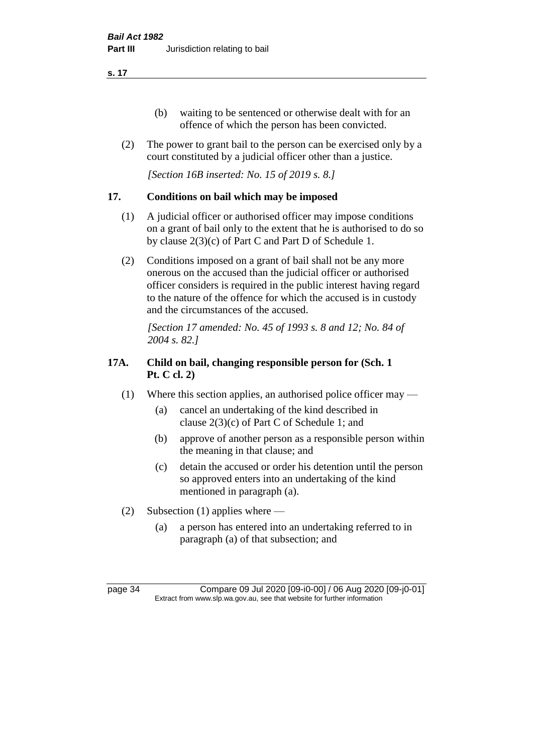- (b) waiting to be sentenced or otherwise dealt with for an offence of which the person has been convicted.
- (2) The power to grant bail to the person can be exercised only by a court constituted by a judicial officer other than a justice.

*[Section 16B inserted: No. 15 of 2019 s. 8.]*

#### **17. Conditions on bail which may be imposed**

- (1) A judicial officer or authorised officer may impose conditions on a grant of bail only to the extent that he is authorised to do so by clause 2(3)(c) of Part C and Part D of Schedule 1.
- (2) Conditions imposed on a grant of bail shall not be any more onerous on the accused than the judicial officer or authorised officer considers is required in the public interest having regard to the nature of the offence for which the accused is in custody and the circumstances of the accused.

*[Section 17 amended: No. 45 of 1993 s. 8 and 12; No. 84 of 2004 s. 82.]* 

## **17A. Child on bail, changing responsible person for (Sch. 1 Pt. C cl. 2)**

- (1) Where this section applies, an authorised police officer may
	- (a) cancel an undertaking of the kind described in clause 2(3)(c) of Part C of Schedule 1; and
	- (b) approve of another person as a responsible person within the meaning in that clause; and
	- (c) detain the accused or order his detention until the person so approved enters into an undertaking of the kind mentioned in paragraph (a).
- (2) Subsection (1) applies where
	- (a) a person has entered into an undertaking referred to in paragraph (a) of that subsection; and

page 34 Compare 09 Jul 2020 [09-i0-00] / 06 Aug 2020 [09-j0-01] Extract from www.slp.wa.gov.au, see that website for further information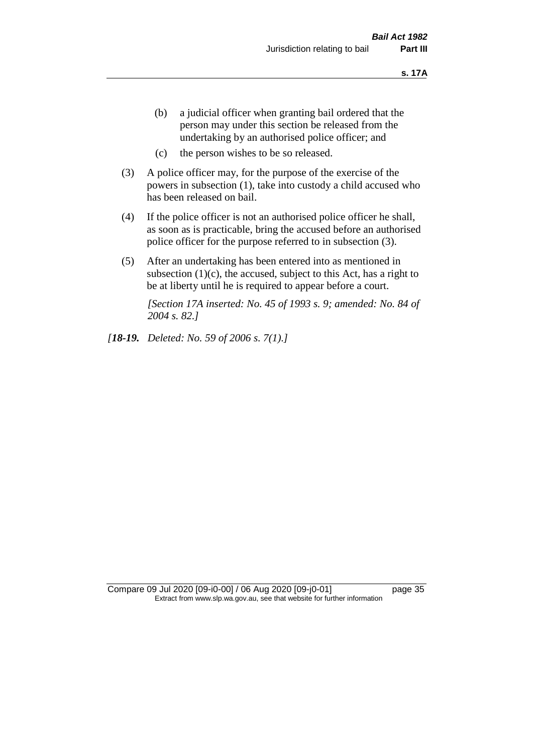- (b) a judicial officer when granting bail ordered that the person may under this section be released from the undertaking by an authorised police officer; and
- (c) the person wishes to be so released.
- (3) A police officer may, for the purpose of the exercise of the powers in subsection (1), take into custody a child accused who has been released on bail.
- (4) If the police officer is not an authorised police officer he shall, as soon as is practicable, bring the accused before an authorised police officer for the purpose referred to in subsection (3).
- (5) After an undertaking has been entered into as mentioned in subsection  $(1)(c)$ , the accused, subject to this Act, has a right to be at liberty until he is required to appear before a court.

*[Section 17A inserted: No. 45 of 1993 s. 9; amended: No. 84 of 2004 s. 82.]* 

*[18-19. Deleted: No. 59 of 2006 s. 7(1).]*

Compare 09 Jul 2020 [09-i0-00] / 06 Aug 2020 [09-j0-01] page 35 Extract from www.slp.wa.gov.au, see that website for further information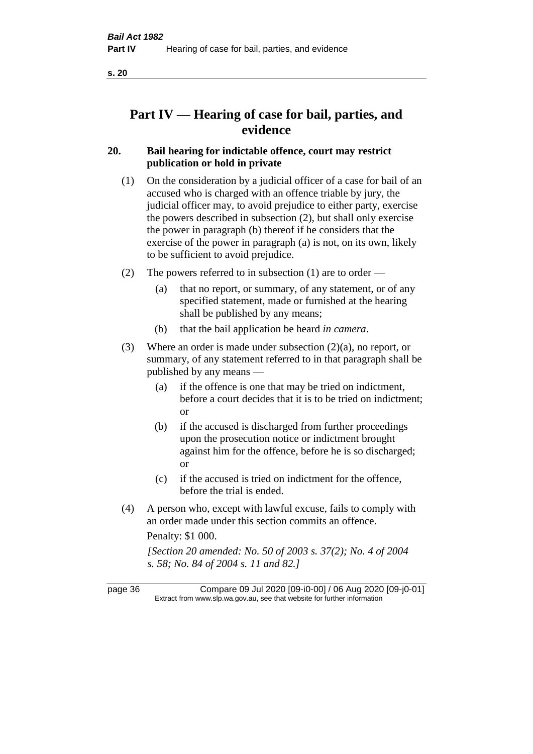# **Part IV — Hearing of case for bail, parties, and evidence**

# **20. Bail hearing for indictable offence, court may restrict publication or hold in private**

- (1) On the consideration by a judicial officer of a case for bail of an accused who is charged with an offence triable by jury, the judicial officer may, to avoid prejudice to either party, exercise the powers described in subsection (2), but shall only exercise the power in paragraph (b) thereof if he considers that the exercise of the power in paragraph (a) is not, on its own, likely to be sufficient to avoid prejudice.
- (2) The powers referred to in subsection (1) are to order
	- (a) that no report, or summary, of any statement, or of any specified statement, made or furnished at the hearing shall be published by any means;
	- (b) that the bail application be heard *in camera*.
- (3) Where an order is made under subsection (2)(a), no report, or summary, of any statement referred to in that paragraph shall be published by any means —
	- (a) if the offence is one that may be tried on indictment, before a court decides that it is to be tried on indictment; or
	- (b) if the accused is discharged from further proceedings upon the prosecution notice or indictment brought against him for the offence, before he is so discharged; or
	- (c) if the accused is tried on indictment for the offence, before the trial is ended.
- (4) A person who, except with lawful excuse, fails to comply with an order made under this section commits an offence.

Penalty: \$1 000.

*[Section 20 amended: No. 50 of 2003 s. 37(2); No. 4 of 2004 s. 58; No. 84 of 2004 s. 11 and 82.]*

page 36 Compare 09 Jul 2020 [09-i0-00] / 06 Aug 2020 [09-j0-01] Extract from www.slp.wa.gov.au, see that website for further information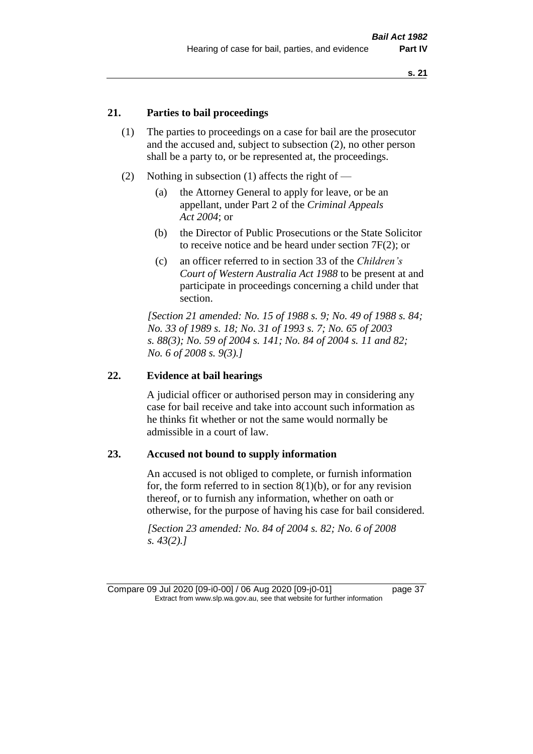### **21. Parties to bail proceedings**

- (1) The parties to proceedings on a case for bail are the prosecutor and the accused and, subject to subsection (2), no other person shall be a party to, or be represented at, the proceedings.
- (2) Nothing in subsection (1) affects the right of
	- (a) the Attorney General to apply for leave, or be an appellant, under Part 2 of the *Criminal Appeals Act 2004*; or
	- (b) the Director of Public Prosecutions or the State Solicitor to receive notice and be heard under section 7F(2); or
	- (c) an officer referred to in section 33 of the *Children's Court of Western Australia Act 1988* to be present at and participate in proceedings concerning a child under that section.

*[Section 21 amended: No. 15 of 1988 s. 9; No. 49 of 1988 s. 84; No. 33 of 1989 s. 18; No. 31 of 1993 s. 7; No. 65 of 2003 s. 88(3); No. 59 of 2004 s. 141; No. 84 of 2004 s. 11 and 82; No. 6 of 2008 s. 9(3).]* 

#### **22. Evidence at bail hearings**

A judicial officer or authorised person may in considering any case for bail receive and take into account such information as he thinks fit whether or not the same would normally be admissible in a court of law.

#### **23. Accused not bound to supply information**

An accused is not obliged to complete, or furnish information for, the form referred to in section  $8(1)(b)$ , or for any revision thereof, or to furnish any information, whether on oath or otherwise, for the purpose of having his case for bail considered.

*[Section 23 amended: No. 84 of 2004 s. 82; No. 6 of 2008 s. 43(2).]* 

Compare 09 Jul 2020 [09-i0-00] / 06 Aug 2020 [09-j0-01] page 37 Extract from www.slp.wa.gov.au, see that website for further information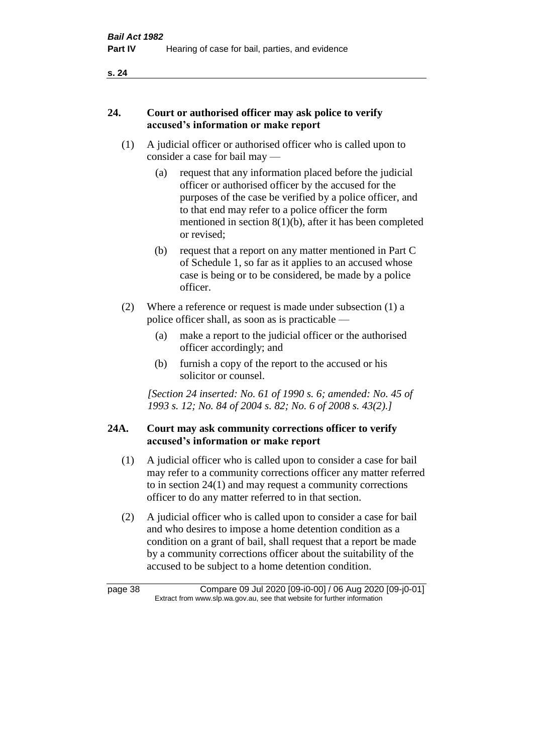#### **24. Court or authorised officer may ask police to verify accused's information or make report**

- (1) A judicial officer or authorised officer who is called upon to consider a case for bail may —
	- (a) request that any information placed before the judicial officer or authorised officer by the accused for the purposes of the case be verified by a police officer, and to that end may refer to a police officer the form mentioned in section 8(1)(b), after it has been completed or revised;
	- (b) request that a report on any matter mentioned in Part C of Schedule 1, so far as it applies to an accused whose case is being or to be considered, be made by a police officer.
- (2) Where a reference or request is made under subsection (1) a police officer shall, as soon as is practicable —
	- (a) make a report to the judicial officer or the authorised officer accordingly; and
	- (b) furnish a copy of the report to the accused or his solicitor or counsel.

*[Section 24 inserted: No. 61 of 1990 s. 6; amended: No. 45 of 1993 s. 12; No. 84 of 2004 s. 82; No. 6 of 2008 s. 43(2).]* 

# **24A. Court may ask community corrections officer to verify accused's information or make report**

- (1) A judicial officer who is called upon to consider a case for bail may refer to a community corrections officer any matter referred to in section 24(1) and may request a community corrections officer to do any matter referred to in that section.
- (2) A judicial officer who is called upon to consider a case for bail and who desires to impose a home detention condition as a condition on a grant of bail, shall request that a report be made by a community corrections officer about the suitability of the accused to be subject to a home detention condition.

| page 38 | Compare 09 Jul 2020 [09-i0-00] / 06 Aug 2020 [09-j0-01]                  |
|---------|--------------------------------------------------------------------------|
|         | Extract from www.slp.wa.gov.au, see that website for further information |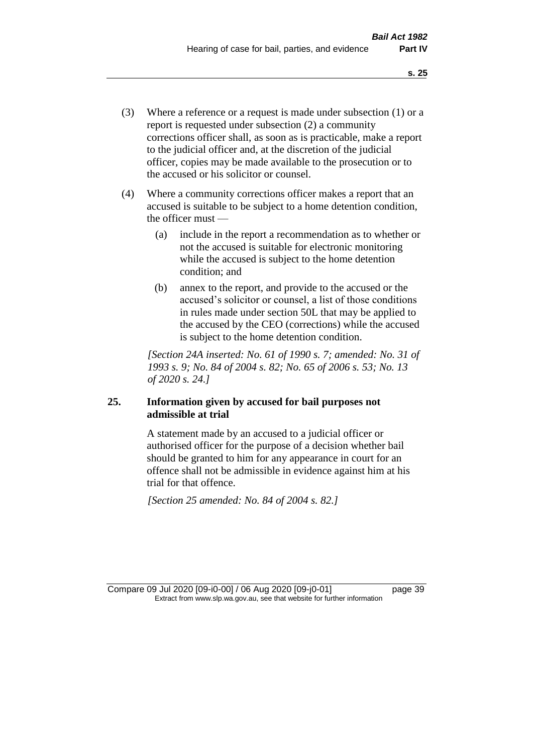- (3) Where a reference or a request is made under subsection (1) or a report is requested under subsection (2) a community corrections officer shall, as soon as is practicable, make a report to the judicial officer and, at the discretion of the judicial officer, copies may be made available to the prosecution or to the accused or his solicitor or counsel.
- (4) Where a community corrections officer makes a report that an accused is suitable to be subject to a home detention condition, the officer must —
	- (a) include in the report a recommendation as to whether or not the accused is suitable for electronic monitoring while the accused is subject to the home detention condition; and
	- (b) annex to the report, and provide to the accused or the accused's solicitor or counsel, a list of those conditions in rules made under section 50L that may be applied to the accused by the CEO (corrections) while the accused is subject to the home detention condition.

*[Section 24A inserted: No. 61 of 1990 s. 7; amended: No. 31 of 1993 s. 9; No. 84 of 2004 s. 82; No. 65 of 2006 s. 53; No. 13 of 2020 s. 24.]* 

# **25. Information given by accused for bail purposes not admissible at trial**

A statement made by an accused to a judicial officer or authorised officer for the purpose of a decision whether bail should be granted to him for any appearance in court for an offence shall not be admissible in evidence against him at his trial for that offence.

*[Section 25 amended: No. 84 of 2004 s. 82.]* 

Compare 09 Jul 2020 [09-i0-00] / 06 Aug 2020 [09-j0-01] page 39 Extract from www.slp.wa.gov.au, see that website for further information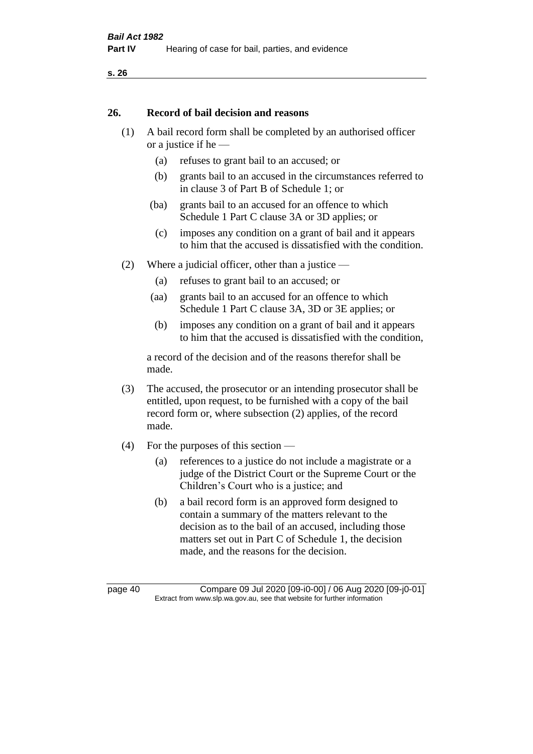#### **26. Record of bail decision and reasons**

- (1) A bail record form shall be completed by an authorised officer or a justice if he —
	- (a) refuses to grant bail to an accused; or
	- (b) grants bail to an accused in the circumstances referred to in clause 3 of Part B of Schedule 1; or
	- (ba) grants bail to an accused for an offence to which Schedule 1 Part C clause 3A or 3D applies; or
	- (c) imposes any condition on a grant of bail and it appears to him that the accused is dissatisfied with the condition.
- (2) Where a judicial officer, other than a justice
	- (a) refuses to grant bail to an accused; or
	- (aa) grants bail to an accused for an offence to which Schedule 1 Part C clause 3A, 3D or 3E applies; or
	- (b) imposes any condition on a grant of bail and it appears to him that the accused is dissatisfied with the condition,

a record of the decision and of the reasons therefor shall be made.

- (3) The accused, the prosecutor or an intending prosecutor shall be entitled, upon request, to be furnished with a copy of the bail record form or, where subsection (2) applies, of the record made.
- (4) For the purposes of this section
	- (a) references to a justice do not include a magistrate or a judge of the District Court or the Supreme Court or the Children's Court who is a justice; and
	- (b) a bail record form is an approved form designed to contain a summary of the matters relevant to the decision as to the bail of an accused, including those matters set out in Part C of Schedule 1, the decision made, and the reasons for the decision.

page 40 Compare 09 Jul 2020 [09-i0-00] / 06 Aug 2020 [09-j0-01] Extract from www.slp.wa.gov.au, see that website for further information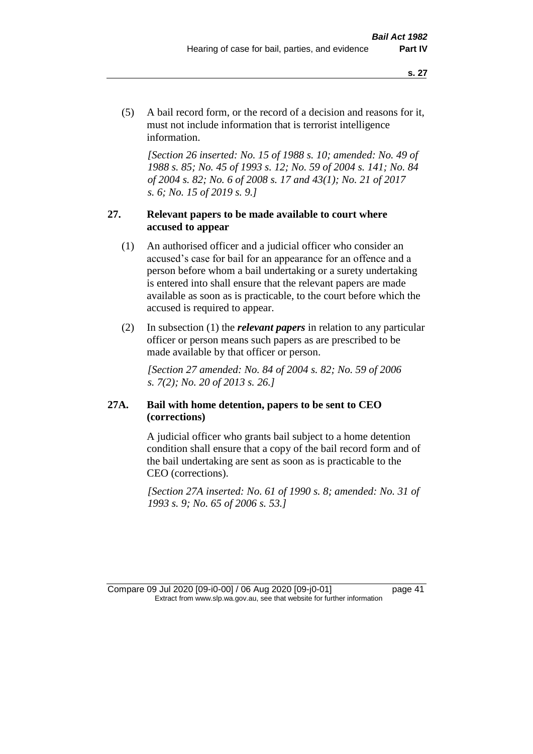(5) A bail record form, or the record of a decision and reasons for it, must not include information that is terrorist intelligence information.

*[Section 26 inserted: No. 15 of 1988 s. 10; amended: No. 49 of 1988 s. 85; No. 45 of 1993 s. 12; No. 59 of 2004 s. 141; No. 84 of 2004 s. 82; No. 6 of 2008 s. 17 and 43(1); No. 21 of 2017 s. 6; No. 15 of 2019 s. 9.]* 

# **27. Relevant papers to be made available to court where accused to appear**

- (1) An authorised officer and a judicial officer who consider an accused's case for bail for an appearance for an offence and a person before whom a bail undertaking or a surety undertaking is entered into shall ensure that the relevant papers are made available as soon as is practicable, to the court before which the accused is required to appear.
- (2) In subsection (1) the *relevant papers* in relation to any particular officer or person means such papers as are prescribed to be made available by that officer or person.

*[Section 27 amended: No. 84 of 2004 s. 82; No. 59 of 2006 s. 7(2); No. 20 of 2013 s. 26.]* 

# **27A. Bail with home detention, papers to be sent to CEO (corrections)**

A judicial officer who grants bail subject to a home detention condition shall ensure that a copy of the bail record form and of the bail undertaking are sent as soon as is practicable to the CEO (corrections).

*[Section 27A inserted: No. 61 of 1990 s. 8; amended: No. 31 of 1993 s. 9; No. 65 of 2006 s. 53.]* 

Compare 09 Jul 2020 [09-i0-00] / 06 Aug 2020 [09-j0-01] page 41 Extract from www.slp.wa.gov.au, see that website for further information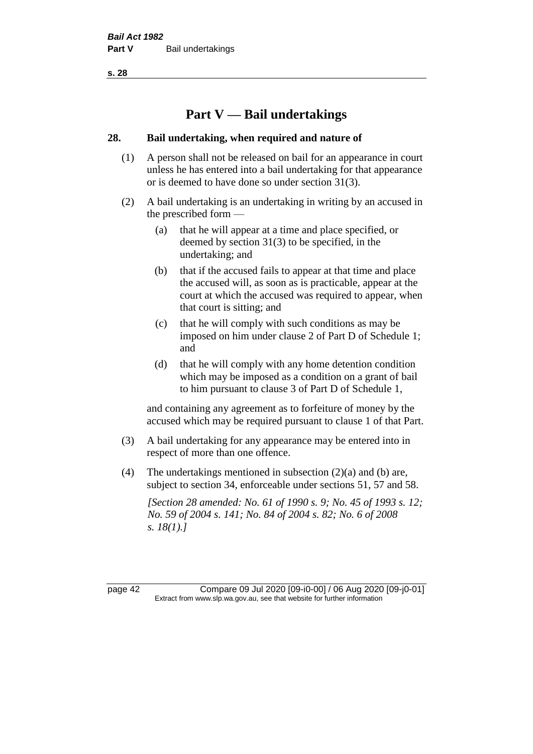# **Part V — Bail undertakings**

#### **28. Bail undertaking, when required and nature of**

- (1) A person shall not be released on bail for an appearance in court unless he has entered into a bail undertaking for that appearance or is deemed to have done so under section 31(3).
- (2) A bail undertaking is an undertaking in writing by an accused in the prescribed form —
	- (a) that he will appear at a time and place specified, or deemed by section 31(3) to be specified, in the undertaking; and
	- (b) that if the accused fails to appear at that time and place the accused will, as soon as is practicable, appear at the court at which the accused was required to appear, when that court is sitting; and
	- (c) that he will comply with such conditions as may be imposed on him under clause 2 of Part D of Schedule 1; and
	- (d) that he will comply with any home detention condition which may be imposed as a condition on a grant of bail to him pursuant to clause 3 of Part D of Schedule 1,

and containing any agreement as to forfeiture of money by the accused which may be required pursuant to clause 1 of that Part.

- (3) A bail undertaking for any appearance may be entered into in respect of more than one offence.
- (4) The undertakings mentioned in subsection (2)(a) and (b) are, subject to section 34, enforceable under sections 51, 57 and 58.

*[Section 28 amended: No. 61 of 1990 s. 9; No. 45 of 1993 s. 12; No. 59 of 2004 s. 141; No. 84 of 2004 s. 82; No. 6 of 2008 s. 18(1).]* 

page 42 Compare 09 Jul 2020 [09-i0-00] / 06 Aug 2020 [09-j0-01] Extract from www.slp.wa.gov.au, see that website for further information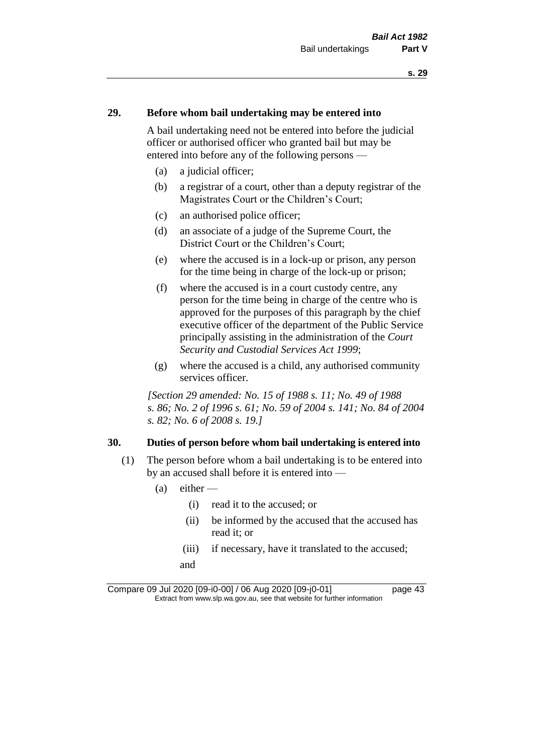#### **29. Before whom bail undertaking may be entered into**

A bail undertaking need not be entered into before the judicial officer or authorised officer who granted bail but may be entered into before any of the following persons —

- (a) a judicial officer;
- (b) a registrar of a court, other than a deputy registrar of the Magistrates Court or the Children's Court;
- (c) an authorised police officer;
- (d) an associate of a judge of the Supreme Court, the District Court or the Children's Court;
- (e) where the accused is in a lock-up or prison, any person for the time being in charge of the lock-up or prison;
- (f) where the accused is in a court custody centre, any person for the time being in charge of the centre who is approved for the purposes of this paragraph by the chief executive officer of the department of the Public Service principally assisting in the administration of the *Court Security and Custodial Services Act 1999*;
- (g) where the accused is a child, any authorised community services officer.

*[Section 29 amended: No. 15 of 1988 s. 11; No. 49 of 1988 s. 86; No. 2 of 1996 s. 61; No. 59 of 2004 s. 141; No. 84 of 2004 s. 82; No. 6 of 2008 s. 19.]* 

#### **30. Duties of person before whom bail undertaking is entered into**

- (1) The person before whom a bail undertaking is to be entered into by an accused shall before it is entered into —
	- $(a)$  either
		- (i) read it to the accused; or
		- (ii) be informed by the accused that the accused has read it; or
		- (iii) if necessary, have it translated to the accused; and

Compare 09 Jul 2020 [09-i0-00] / 06 Aug 2020 [09-j0-01] page 43 Extract from www.slp.wa.gov.au, see that website for further information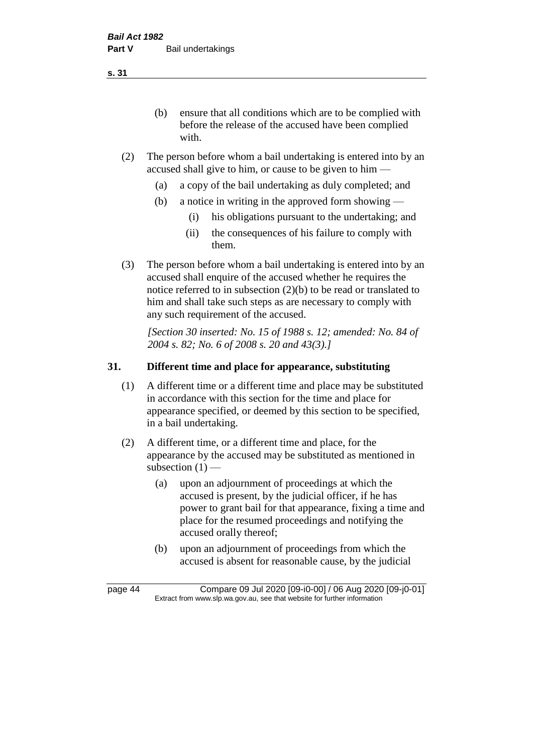(b) ensure that all conditions which are to be complied with before the release of the accused have been complied with.

- (2) The person before whom a bail undertaking is entered into by an accused shall give to him, or cause to be given to him —
	- (a) a copy of the bail undertaking as duly completed; and
	- (b) a notice in writing in the approved form showing
		- (i) his obligations pursuant to the undertaking; and
		- (ii) the consequences of his failure to comply with them.
- (3) The person before whom a bail undertaking is entered into by an accused shall enquire of the accused whether he requires the notice referred to in subsection (2)(b) to be read or translated to him and shall take such steps as are necessary to comply with any such requirement of the accused.

*[Section 30 inserted: No. 15 of 1988 s. 12; amended: No. 84 of 2004 s. 82; No. 6 of 2008 s. 20 and 43(3).]* 

# **31. Different time and place for appearance, substituting**

- (1) A different time or a different time and place may be substituted in accordance with this section for the time and place for appearance specified, or deemed by this section to be specified, in a bail undertaking.
- (2) A different time, or a different time and place, for the appearance by the accused may be substituted as mentioned in subsection  $(1)$  —
	- (a) upon an adjournment of proceedings at which the accused is present, by the judicial officer, if he has power to grant bail for that appearance, fixing a time and place for the resumed proceedings and notifying the accused orally thereof;
	- (b) upon an adjournment of proceedings from which the accused is absent for reasonable cause, by the judicial

page 44 Compare 09 Jul 2020 [09-i0-00] / 06 Aug 2020 [09-j0-01] Extract from www.slp.wa.gov.au, see that website for further information

**s. 31**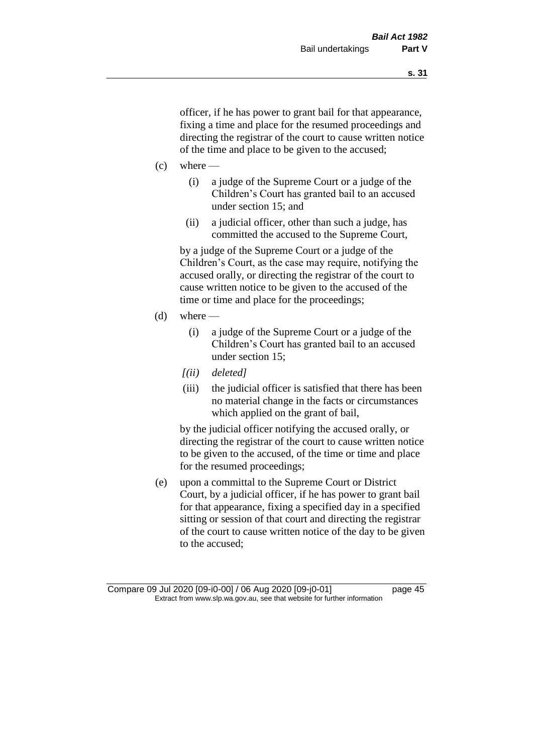officer, if he has power to grant bail for that appearance, fixing a time and place for the resumed proceedings and directing the registrar of the court to cause written notice of the time and place to be given to the accused;

- $(c)$  where
	- (i) a judge of the Supreme Court or a judge of the Children's Court has granted bail to an accused under section 15; and
	- (ii) a judicial officer, other than such a judge, has committed the accused to the Supreme Court,

by a judge of the Supreme Court or a judge of the Children's Court, as the case may require, notifying the accused orally, or directing the registrar of the court to cause written notice to be given to the accused of the time or time and place for the proceedings;

- $(d)$  where
	- (i) a judge of the Supreme Court or a judge of the Children's Court has granted bail to an accused under section 15;
	- *[(ii) deleted]*
	- (iii) the judicial officer is satisfied that there has been no material change in the facts or circumstances which applied on the grant of bail,

by the judicial officer notifying the accused orally, or directing the registrar of the court to cause written notice to be given to the accused, of the time or time and place for the resumed proceedings;

(e) upon a committal to the Supreme Court or District Court, by a judicial officer, if he has power to grant bail for that appearance, fixing a specified day in a specified sitting or session of that court and directing the registrar of the court to cause written notice of the day to be given to the accused;

Compare 09 Jul 2020 [09-i0-00] / 06 Aug 2020 [09-j0-01] page 45 Extract from www.slp.wa.gov.au, see that website for further information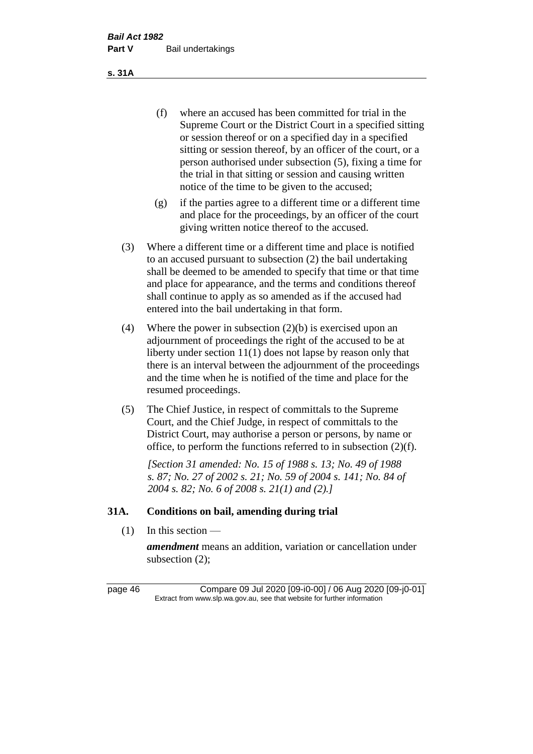(f) where an accused has been committed for trial in the Supreme Court or the District Court in a specified sitting or session thereof or on a specified day in a specified sitting or session thereof, by an officer of the court, or a person authorised under subsection (5), fixing a time for the trial in that sitting or session and causing written notice of the time to be given to the accused;

- (g) if the parties agree to a different time or a different time and place for the proceedings, by an officer of the court giving written notice thereof to the accused.
- (3) Where a different time or a different time and place is notified to an accused pursuant to subsection (2) the bail undertaking shall be deemed to be amended to specify that time or that time and place for appearance, and the terms and conditions thereof shall continue to apply as so amended as if the accused had entered into the bail undertaking in that form.
- (4) Where the power in subsection (2)(b) is exercised upon an adjournment of proceedings the right of the accused to be at liberty under section 11(1) does not lapse by reason only that there is an interval between the adjournment of the proceedings and the time when he is notified of the time and place for the resumed proceedings.
- (5) The Chief Justice, in respect of committals to the Supreme Court, and the Chief Judge, in respect of committals to the District Court, may authorise a person or persons, by name or office, to perform the functions referred to in subsection (2)(f).

*[Section 31 amended: No. 15 of 1988 s. 13; No. 49 of 1988 s. 87; No. 27 of 2002 s. 21; No. 59 of 2004 s. 141; No. 84 of 2004 s. 82; No. 6 of 2008 s. 21(1) and (2).]* 

#### **31A. Conditions on bail, amending during trial**

 $(1)$  In this section —

*amendment* means an addition, variation or cancellation under subsection (2);

page 46 Compare 09 Jul 2020 [09-i0-00] / 06 Aug 2020 [09-j0-01] Extract from www.slp.wa.gov.au, see that website for further information

**s. 31A**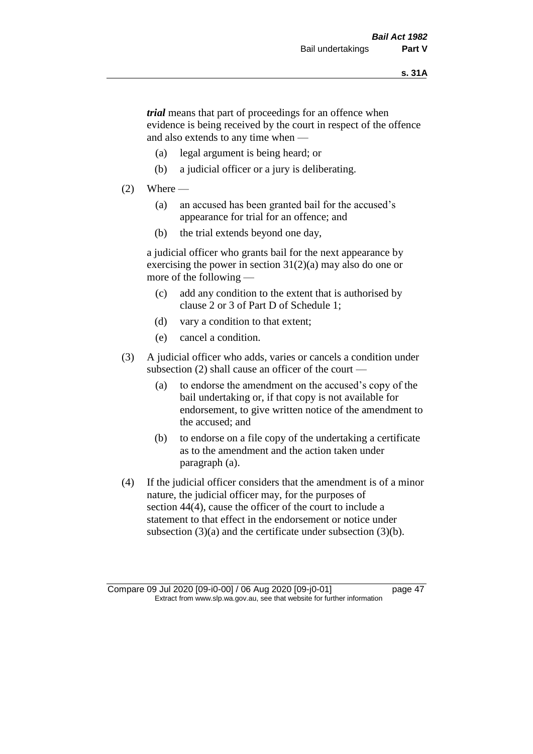*trial* means that part of proceedings for an offence when evidence is being received by the court in respect of the offence and also extends to any time when —

- (a) legal argument is being heard; or
- (b) a judicial officer or a jury is deliberating.

#### $(2)$  Where —

- (a) an accused has been granted bail for the accused's appearance for trial for an offence; and
- (b) the trial extends beyond one day,

a judicial officer who grants bail for the next appearance by exercising the power in section  $31(2)(a)$  may also do one or more of the following —

- (c) add any condition to the extent that is authorised by clause 2 or 3 of Part D of Schedule 1;
- (d) vary a condition to that extent;
- (e) cancel a condition.
- (3) A judicial officer who adds, varies or cancels a condition under subsection (2) shall cause an officer of the court —
	- (a) to endorse the amendment on the accused's copy of the bail undertaking or, if that copy is not available for endorsement, to give written notice of the amendment to the accused; and
	- (b) to endorse on a file copy of the undertaking a certificate as to the amendment and the action taken under paragraph (a).
- (4) If the judicial officer considers that the amendment is of a minor nature, the judicial officer may, for the purposes of section 44(4), cause the officer of the court to include a statement to that effect in the endorsement or notice under subsection (3)(a) and the certificate under subsection (3)(b).

Compare 09 Jul 2020 [09-i0-00] / 06 Aug 2020 [09-j0-01] page 47 Extract from www.slp.wa.gov.au, see that website for further information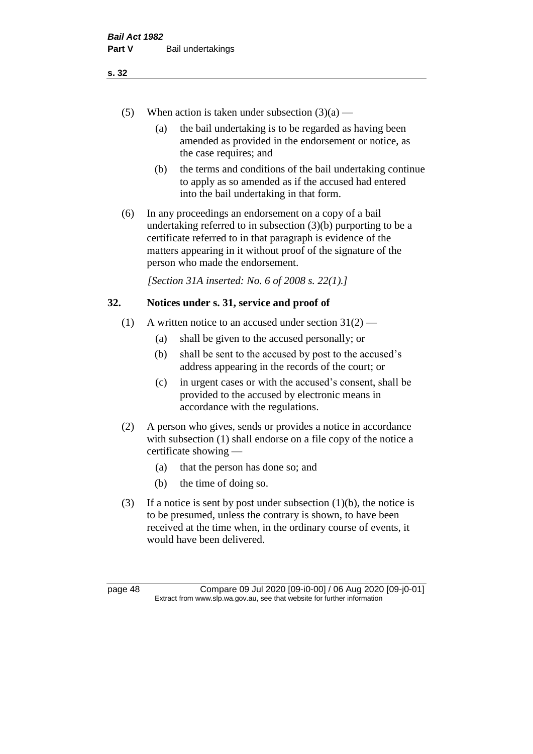- (5) When action is taken under subsection  $(3)(a)$ 
	- (a) the bail undertaking is to be regarded as having been amended as provided in the endorsement or notice, as the case requires; and
	- (b) the terms and conditions of the bail undertaking continue to apply as so amended as if the accused had entered into the bail undertaking in that form.
- (6) In any proceedings an endorsement on a copy of a bail undertaking referred to in subsection (3)(b) purporting to be a certificate referred to in that paragraph is evidence of the matters appearing in it without proof of the signature of the person who made the endorsement.

*[Section 31A inserted: No. 6 of 2008 s. 22(1).]*

### **32. Notices under s. 31, service and proof of**

- (1) A written notice to an accused under section  $31(2)$ 
	- (a) shall be given to the accused personally; or
	- (b) shall be sent to the accused by post to the accused's address appearing in the records of the court; or
	- (c) in urgent cases or with the accused's consent, shall be provided to the accused by electronic means in accordance with the regulations.
- (2) A person who gives, sends or provides a notice in accordance with subsection (1) shall endorse on a file copy of the notice a certificate showing —
	- (a) that the person has done so; and
	- (b) the time of doing so.
- (3) If a notice is sent by post under subsection  $(1)(b)$ , the notice is to be presumed, unless the contrary is shown, to have been received at the time when, in the ordinary course of events, it would have been delivered.

page 48 Compare 09 Jul 2020 [09-i0-00] / 06 Aug 2020 [09-j0-01] Extract from www.slp.wa.gov.au, see that website for further information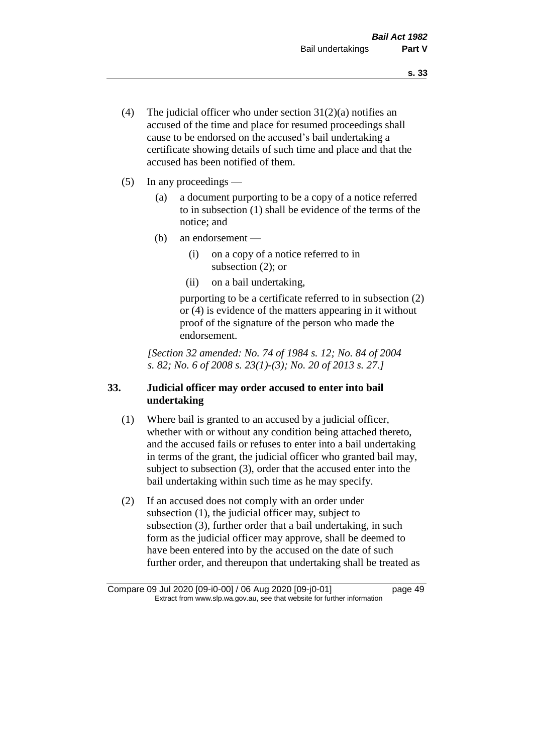- (4) The judicial officer who under section  $31(2)(a)$  notifies an accused of the time and place for resumed proceedings shall cause to be endorsed on the accused's bail undertaking a certificate showing details of such time and place and that the accused has been notified of them.
- (5) In any proceedings
	- (a) a document purporting to be a copy of a notice referred to in subsection (1) shall be evidence of the terms of the notice; and
	- (b) an endorsement
		- (i) on a copy of a notice referred to in subsection (2); or
		- (ii) on a bail undertaking,

purporting to be a certificate referred to in subsection (2) or (4) is evidence of the matters appearing in it without proof of the signature of the person who made the endorsement.

*[Section 32 amended: No. 74 of 1984 s. 12; No. 84 of 2004 s. 82; No. 6 of 2008 s. 23(1)-(3); No. 20 of 2013 s. 27.]* 

# **33. Judicial officer may order accused to enter into bail undertaking**

- (1) Where bail is granted to an accused by a judicial officer, whether with or without any condition being attached thereto, and the accused fails or refuses to enter into a bail undertaking in terms of the grant, the judicial officer who granted bail may, subject to subsection (3), order that the accused enter into the bail undertaking within such time as he may specify.
- (2) If an accused does not comply with an order under subsection (1), the judicial officer may, subject to subsection (3), further order that a bail undertaking, in such form as the judicial officer may approve, shall be deemed to have been entered into by the accused on the date of such further order, and thereupon that undertaking shall be treated as

Compare 09 Jul 2020 [09-i0-00] / 06 Aug 2020 [09-j0-01] page 49 Extract from www.slp.wa.gov.au, see that website for further information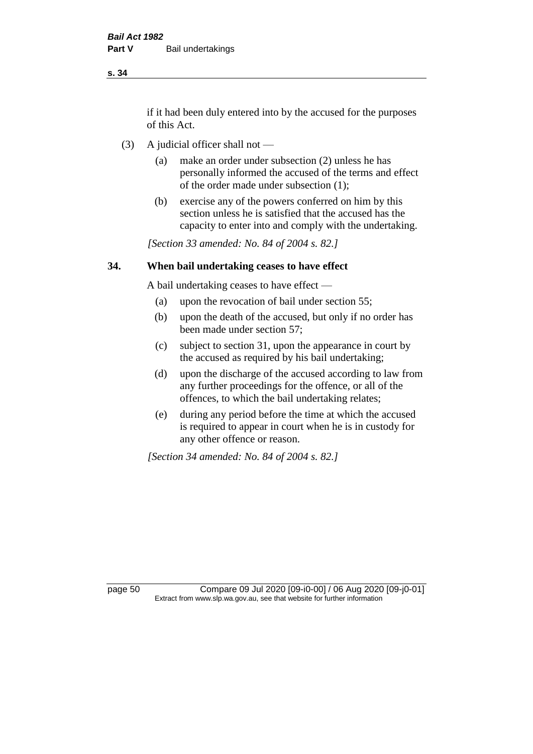if it had been duly entered into by the accused for the purposes of this Act.

- (3) A judicial officer shall not
	- (a) make an order under subsection (2) unless he has personally informed the accused of the terms and effect of the order made under subsection (1);
	- (b) exercise any of the powers conferred on him by this section unless he is satisfied that the accused has the capacity to enter into and comply with the undertaking.

*[Section 33 amended: No. 84 of 2004 s. 82.]* 

#### **34. When bail undertaking ceases to have effect**

A bail undertaking ceases to have effect —

- (a) upon the revocation of bail under section 55;
- (b) upon the death of the accused, but only if no order has been made under section 57;
- (c) subject to section 31, upon the appearance in court by the accused as required by his bail undertaking;
- (d) upon the discharge of the accused according to law from any further proceedings for the offence, or all of the offences, to which the bail undertaking relates;
- (e) during any period before the time at which the accused is required to appear in court when he is in custody for any other offence or reason.

*[Section 34 amended: No. 84 of 2004 s. 82.]* 

page 50 Compare 09 Jul 2020 [09-i0-00] / 06 Aug 2020 [09-j0-01] Extract from www.slp.wa.gov.au, see that website for further information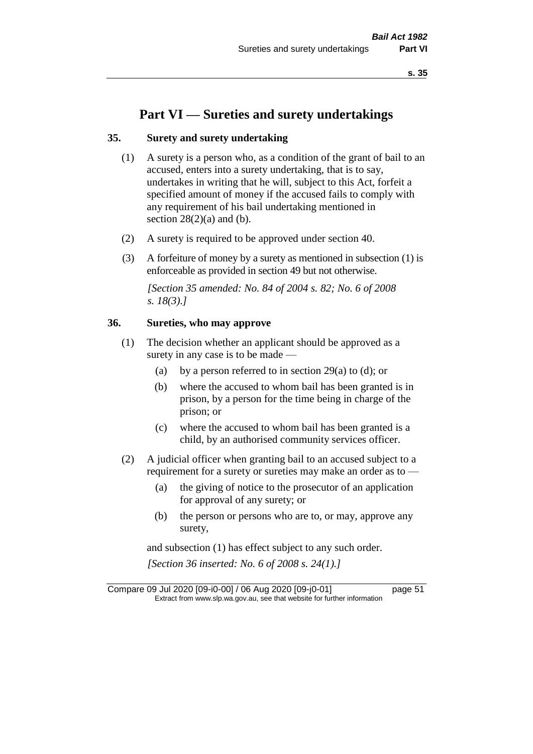# **Part VI — Sureties and surety undertakings**

#### **35. Surety and surety undertaking**

- (1) A surety is a person who, as a condition of the grant of bail to an accused, enters into a surety undertaking, that is to say, undertakes in writing that he will, subject to this Act, forfeit a specified amount of money if the accused fails to comply with any requirement of his bail undertaking mentioned in section  $28(2)(a)$  and (b).
- (2) A surety is required to be approved under section 40.
- (3) A forfeiture of money by a surety as mentioned in subsection (1) is enforceable as provided in section 49 but not otherwise.

*[Section 35 amended: No. 84 of 2004 s. 82; No. 6 of 2008 s. 18(3).]* 

#### **36. Sureties, who may approve**

- (1) The decision whether an applicant should be approved as a surety in any case is to be made —
	- (a) by a person referred to in section 29(a) to (d); or
	- (b) where the accused to whom bail has been granted is in prison, by a person for the time being in charge of the prison; or
	- (c) where the accused to whom bail has been granted is a child, by an authorised community services officer.
- (2) A judicial officer when granting bail to an accused subject to a requirement for a surety or sureties may make an order as to -
	- (a) the giving of notice to the prosecutor of an application for approval of any surety; or
	- (b) the person or persons who are to, or may, approve any surety,

and subsection (1) has effect subject to any such order. *[Section 36 inserted: No. 6 of 2008 s. 24(1).]*

Compare 09 Jul 2020 [09-i0-00] / 06 Aug 2020 [09-j0-01] page 51 Extract from www.slp.wa.gov.au, see that website for further information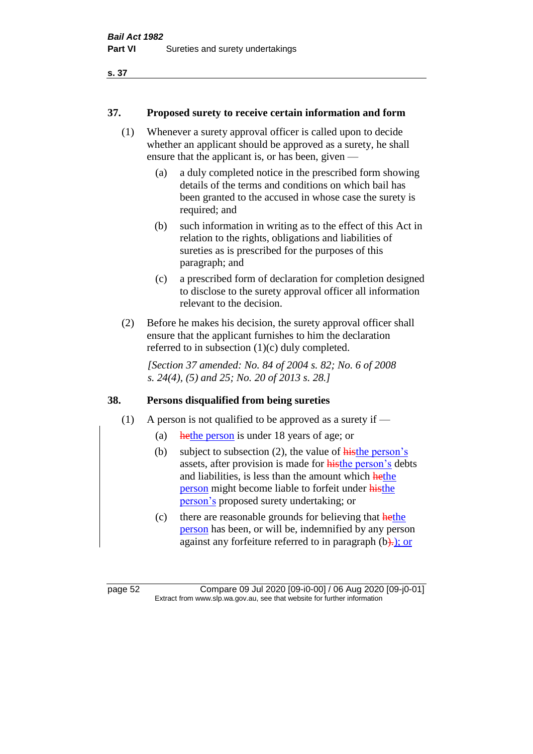#### **37. Proposed surety to receive certain information and form**

- (1) Whenever a surety approval officer is called upon to decide whether an applicant should be approved as a surety, he shall ensure that the applicant is, or has been, given —
	- (a) a duly completed notice in the prescribed form showing details of the terms and conditions on which bail has been granted to the accused in whose case the surety is required; and
	- (b) such information in writing as to the effect of this Act in relation to the rights, obligations and liabilities of sureties as is prescribed for the purposes of this paragraph; and
	- (c) a prescribed form of declaration for completion designed to disclose to the surety approval officer all information relevant to the decision.
- (2) Before he makes his decision, the surety approval officer shall ensure that the applicant furnishes to him the declaration referred to in subsection (1)(c) duly completed.

*[Section 37 amended: No. 84 of 2004 s. 82; No. 6 of 2008 s. 24(4), (5) and 25; No. 20 of 2013 s. 28.]* 

#### **38. Persons disqualified from being sureties**

- (1) A person is not qualified to be approved as a surety if  $-$ 
	- (a) hethe person is under 18 years of age; or
	- (b) subject to subsection  $(2)$ , the value of histhe person's assets, after provision is made for **histhe person**'s debts and liabilities, is less than the amount which hethe person might become liable to forfeit under histhe person's proposed surety undertaking; or
	- (c) there are reasonable grounds for believing that hethe person has been, or will be, indemnified by any person against any forfeiture referred to in paragraph  $(b)$ .); or

page 52 Compare 09 Jul 2020 [09-i0-00] / 06 Aug 2020 [09-j0-01] Extract from www.slp.wa.gov.au, see that website for further information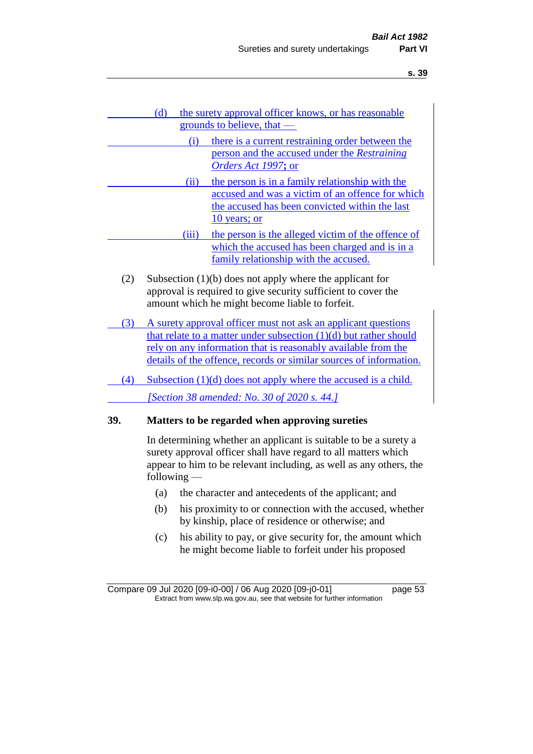|                            | (d)                                                                 |               | the surety approval officer knows, or has reasonable                                                               |  |
|----------------------------|---------------------------------------------------------------------|---------------|--------------------------------------------------------------------------------------------------------------------|--|
| grounds to believe, that — |                                                                     |               |                                                                                                                    |  |
|                            |                                                                     | (i)           | there is a current restraining order between the                                                                   |  |
|                            |                                                                     |               | person and the accused under the Restraining<br>Orders Act 1997; or                                                |  |
|                            |                                                                     |               |                                                                                                                    |  |
|                            |                                                                     | (ii)          | the person is in a family relationship with the<br>accused and was a victim of an offence for which                |  |
|                            |                                                                     |               | the accused has been convicted within the last                                                                     |  |
|                            |                                                                     |               | 10 years; or                                                                                                       |  |
|                            |                                                                     | (iii)         | the person is the alleged victim of the offence of                                                                 |  |
|                            |                                                                     |               | which the accused has been charged and is in a                                                                     |  |
|                            |                                                                     |               | family relationship with the accused.                                                                              |  |
| (2)                        | Subsection $(1)(b)$ does not apply where the applicant for          |               |                                                                                                                    |  |
|                            |                                                                     |               | approval is required to give security sufficient to cover the                                                      |  |
|                            |                                                                     |               | amount which he might become liable to forfeit.                                                                    |  |
| (3)                        |                                                                     |               | A surety approval officer must not ask an applicant questions                                                      |  |
|                            | that relate to a matter under subsection $(1)(d)$ but rather should |               |                                                                                                                    |  |
|                            | rely on any information that is reasonably available from the       |               |                                                                                                                    |  |
|                            |                                                                     |               | details of the offence, records or similar sources of information.                                                 |  |
| (4)                        | Subsection $(1)(d)$ does not apply where the accused is a child.    |               |                                                                                                                    |  |
|                            | <i>Section 38 amended: No. 30 of 2020 s. 44.]</i>                   |               |                                                                                                                    |  |
| 39.                        | Matters to be regarded when approving sureties                      |               |                                                                                                                    |  |
|                            | In determining whether an applicant is suitable to be a surety a    |               |                                                                                                                    |  |
|                            | surety approval officer shall have regard to all matters which      |               |                                                                                                                    |  |
|                            | appear to him to be relevant including, as well as any others, the  |               |                                                                                                                    |  |
|                            |                                                                     | $following -$ |                                                                                                                    |  |
|                            | (a)                                                                 |               | the character and antecedents of the applicant; and                                                                |  |
|                            | (b)                                                                 |               | his proximity to or connection with the accused, whether<br>by kinship, place of residence or otherwise; and       |  |
|                            | (c)                                                                 |               | his ability to pay, or give security for, the amount which<br>he might become liable to forfeit under his proposed |  |

Compare 09 Jul 2020 [09-i0-00] / 06 Aug 2020 [09-j0-01] page 53 Extract from www.slp.wa.gov.au, see that website for further information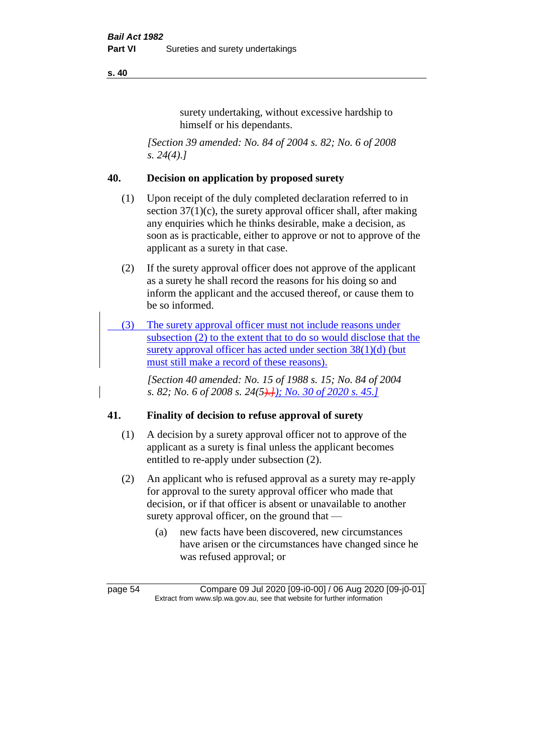surety undertaking, without excessive hardship to himself or his dependants.

*[Section 39 amended: No. 84 of 2004 s. 82; No. 6 of 2008 s. 24(4).]* 

#### **40. Decision on application by proposed surety**

- (1) Upon receipt of the duly completed declaration referred to in section  $37(1)(c)$ , the surety approval officer shall, after making any enquiries which he thinks desirable, make a decision, as soon as is practicable, either to approve or not to approve of the applicant as a surety in that case.
- (2) If the surety approval officer does not approve of the applicant as a surety he shall record the reasons for his doing so and inform the applicant and the accused thereof, or cause them to be so informed.
- (3) The surety approval officer must not include reasons under subsection (2) to the extent that to do so would disclose that the surety approval officer has acted under section 38(1)(d) (but must still make a record of these reasons).

*[Section 40 amended: No. 15 of 1988 s. 15; No. 84 of 2004 s. 82; No. 6 of 2008 s. 24(5).]); No. 30 of 2020 s. 45.]*

#### **41. Finality of decision to refuse approval of surety**

- (1) A decision by a surety approval officer not to approve of the applicant as a surety is final unless the applicant becomes entitled to re-apply under subsection (2).
- (2) An applicant who is refused approval as a surety may re-apply for approval to the surety approval officer who made that decision, or if that officer is absent or unavailable to another surety approval officer, on the ground that —
	- (a) new facts have been discovered, new circumstances have arisen or the circumstances have changed since he was refused approval; or

page 54 Compare 09 Jul 2020 [09-i0-00] / 06 Aug 2020 [09-j0-01] Extract from www.slp.wa.gov.au, see that website for further information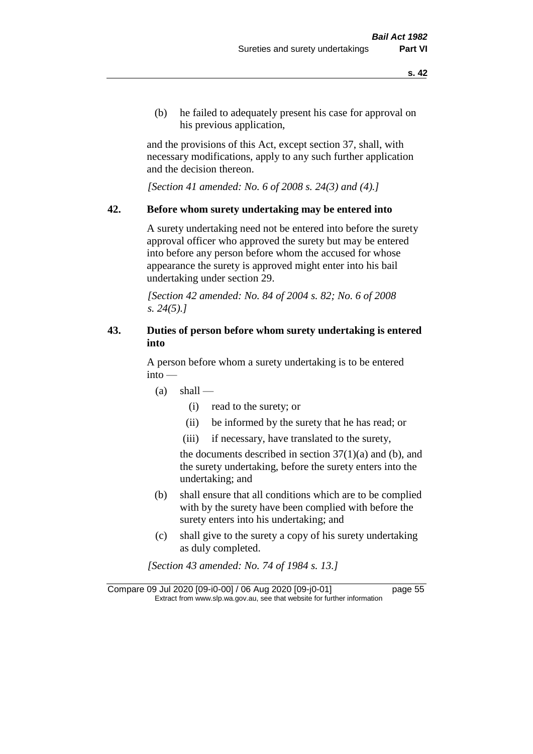(b) he failed to adequately present his case for approval on his previous application,

and the provisions of this Act, except section 37, shall, with necessary modifications, apply to any such further application and the decision thereon.

*[Section 41 amended: No. 6 of 2008 s. 24(3) and (4).]*

#### **42. Before whom surety undertaking may be entered into**

A surety undertaking need not be entered into before the surety approval officer who approved the surety but may be entered into before any person before whom the accused for whose appearance the surety is approved might enter into his bail undertaking under section 29.

*[Section 42 amended: No. 84 of 2004 s. 82; No. 6 of 2008 s. 24(5).]* 

# **43. Duties of person before whom surety undertaking is entered into**

A person before whom a surety undertaking is to be entered into —

- $(a)$  shall
	- (i) read to the surety; or
	- (ii) be informed by the surety that he has read; or
	- (iii) if necessary, have translated to the surety,

the documents described in section  $37(1)(a)$  and (b), and the surety undertaking, before the surety enters into the undertaking; and

- (b) shall ensure that all conditions which are to be complied with by the surety have been complied with before the surety enters into his undertaking; and
- (c) shall give to the surety a copy of his surety undertaking as duly completed.

*[Section 43 amended: No. 74 of 1984 s. 13.]* 

Compare 09 Jul 2020 [09-i0-00] / 06 Aug 2020 [09-j0-01] page 55 Extract from www.slp.wa.gov.au, see that website for further information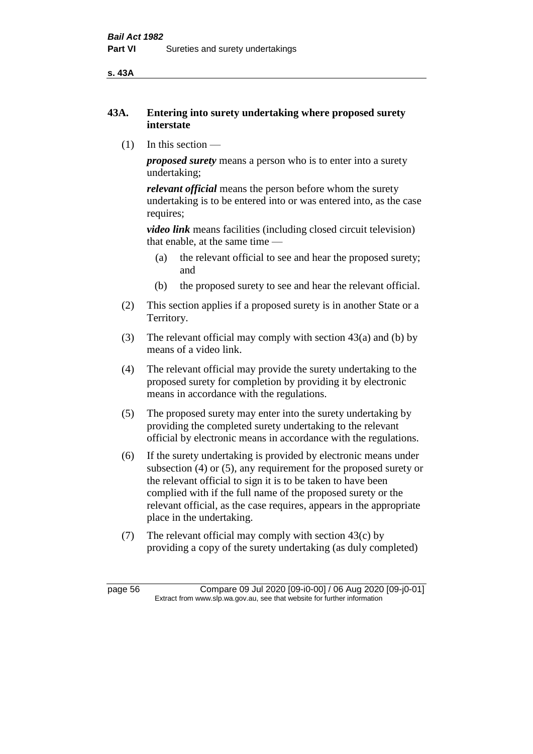**s. 43A**

#### **43A. Entering into surety undertaking where proposed surety interstate**

(1) In this section —

*proposed surety* means a person who is to enter into a surety undertaking;

*relevant official* means the person before whom the surety undertaking is to be entered into or was entered into, as the case requires;

*video link* means facilities (including closed circuit television) that enable, at the same time —

- (a) the relevant official to see and hear the proposed surety; and
- (b) the proposed surety to see and hear the relevant official.
- (2) This section applies if a proposed surety is in another State or a Territory.
- (3) The relevant official may comply with section 43(a) and (b) by means of a video link.
- (4) The relevant official may provide the surety undertaking to the proposed surety for completion by providing it by electronic means in accordance with the regulations.
- (5) The proposed surety may enter into the surety undertaking by providing the completed surety undertaking to the relevant official by electronic means in accordance with the regulations.
- (6) If the surety undertaking is provided by electronic means under subsection (4) or (5), any requirement for the proposed surety or the relevant official to sign it is to be taken to have been complied with if the full name of the proposed surety or the relevant official, as the case requires, appears in the appropriate place in the undertaking.
- (7) The relevant official may comply with section 43(c) by providing a copy of the surety undertaking (as duly completed)

page 56 Compare 09 Jul 2020 [09-i0-00] / 06 Aug 2020 [09-j0-01] Extract from www.slp.wa.gov.au, see that website for further information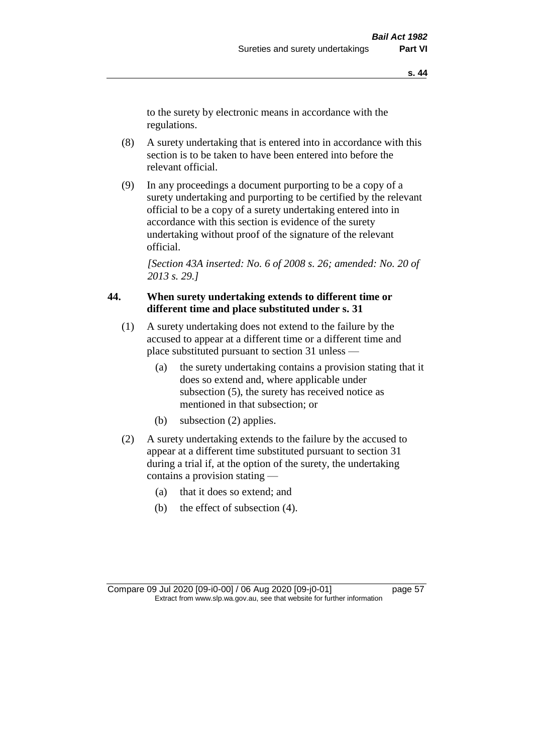to the surety by electronic means in accordance with the regulations.

- (8) A surety undertaking that is entered into in accordance with this section is to be taken to have been entered into before the relevant official.
- (9) In any proceedings a document purporting to be a copy of a surety undertaking and purporting to be certified by the relevant official to be a copy of a surety undertaking entered into in accordance with this section is evidence of the surety undertaking without proof of the signature of the relevant official.

*[Section 43A inserted: No. 6 of 2008 s. 26; amended: No. 20 of 2013 s. 29.]*

# **44. When surety undertaking extends to different time or different time and place substituted under s. 31**

- (1) A surety undertaking does not extend to the failure by the accused to appear at a different time or a different time and place substituted pursuant to section 31 unless —
	- (a) the surety undertaking contains a provision stating that it does so extend and, where applicable under subsection (5), the surety has received notice as mentioned in that subsection; or
	- (b) subsection (2) applies.
- (2) A surety undertaking extends to the failure by the accused to appear at a different time substituted pursuant to section 31 during a trial if, at the option of the surety, the undertaking contains a provision stating —
	- (a) that it does so extend; and
	- (b) the effect of subsection (4).

Compare 09 Jul 2020 [09-i0-00] / 06 Aug 2020 [09-j0-01] page 57 Extract from www.slp.wa.gov.au, see that website for further information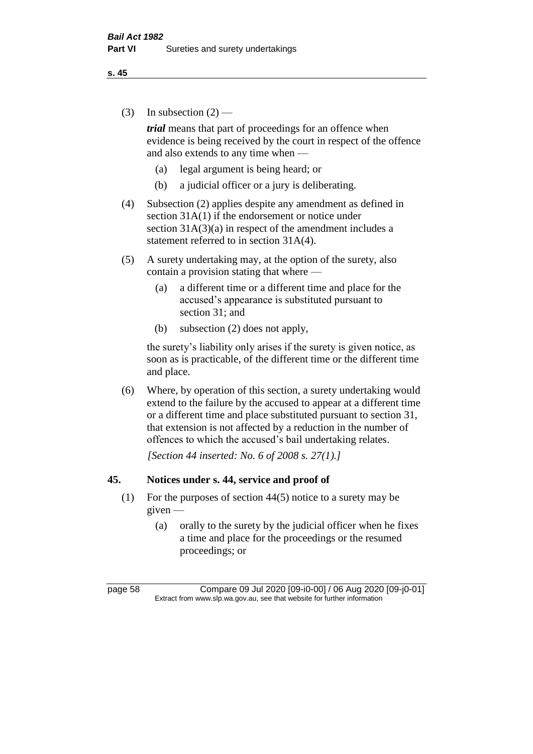(3) In subsection  $(2)$  —

*trial* means that part of proceedings for an offence when evidence is being received by the court in respect of the offence and also extends to any time when —

- (a) legal argument is being heard; or
- (b) a judicial officer or a jury is deliberating.
- (4) Subsection (2) applies despite any amendment as defined in section 31A(1) if the endorsement or notice under section  $31A(3)(a)$  in respect of the amendment includes a statement referred to in section 31A(4).
- (5) A surety undertaking may, at the option of the surety, also contain a provision stating that where —
	- (a) a different time or a different time and place for the accused's appearance is substituted pursuant to section 31; and
	- (b) subsection (2) does not apply,

the surety's liability only arises if the surety is given notice, as soon as is practicable, of the different time or the different time and place.

(6) Where, by operation of this section, a surety undertaking would extend to the failure by the accused to appear at a different time or a different time and place substituted pursuant to section 31, that extension is not affected by a reduction in the number of offences to which the accused's bail undertaking relates.

*[Section 44 inserted: No. 6 of 2008 s. 27(1).]*

#### **45. Notices under s. 44, service and proof of**

- (1) For the purposes of section 44(5) notice to a surety may be given —
	- (a) orally to the surety by the judicial officer when he fixes a time and place for the proceedings or the resumed proceedings; or

page 58 Compare 09 Jul 2020 [09-i0-00] / 06 Aug 2020 [09-j0-01] Extract from www.slp.wa.gov.au, see that website for further information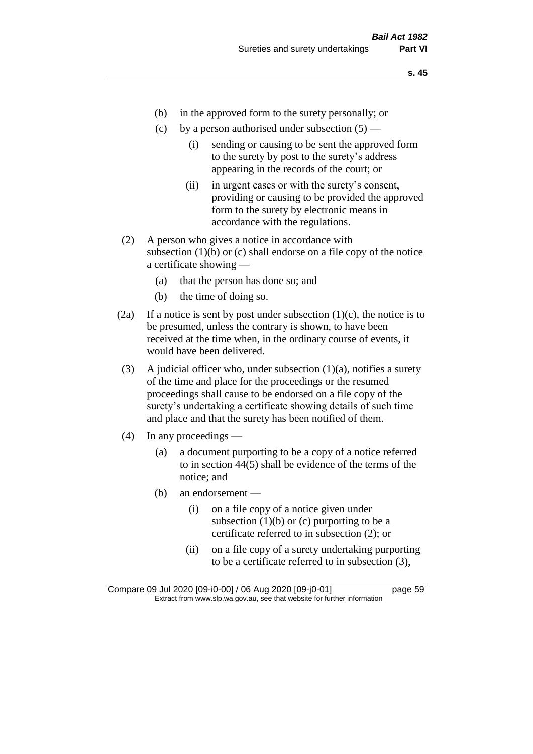- (b) in the approved form to the surety personally; or
- (c) by a person authorised under subsection  $(5)$ 
	- (i) sending or causing to be sent the approved form to the surety by post to the surety's address appearing in the records of the court; or
	- (ii) in urgent cases or with the surety's consent, providing or causing to be provided the approved form to the surety by electronic means in accordance with the regulations.
- (2) A person who gives a notice in accordance with subsection  $(1)(b)$  or  $(c)$  shall endorse on a file copy of the notice a certificate showing —
	- (a) that the person has done so; and
	- (b) the time of doing so.
- (2a) If a notice is sent by post under subsection  $(1)(c)$ , the notice is to be presumed, unless the contrary is shown, to have been received at the time when, in the ordinary course of events, it would have been delivered.
- (3) A judicial officer who, under subsection  $(1)(a)$ , notifies a surety of the time and place for the proceedings or the resumed proceedings shall cause to be endorsed on a file copy of the surety's undertaking a certificate showing details of such time and place and that the surety has been notified of them.
- (4) In any proceedings
	- (a) a document purporting to be a copy of a notice referred to in section 44(5) shall be evidence of the terms of the notice; and
	- (b) an endorsement
		- (i) on a file copy of a notice given under subsection  $(1)(b)$  or  $(c)$  purporting to be a certificate referred to in subsection (2); or
		- (ii) on a file copy of a surety undertaking purporting to be a certificate referred to in subsection (3),

Compare 09 Jul 2020 [09-i0-00] / 06 Aug 2020 [09-j0-01] page 59 Extract from www.slp.wa.gov.au, see that website for further information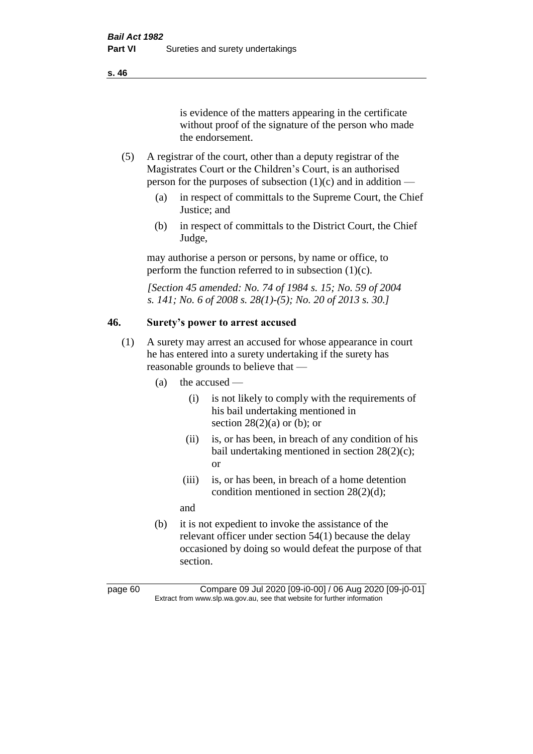is evidence of the matters appearing in the certificate without proof of the signature of the person who made the endorsement.

- (5) A registrar of the court, other than a deputy registrar of the Magistrates Court or the Children's Court, is an authorised person for the purposes of subsection  $(1)(c)$  and in addition —
	- (a) in respect of committals to the Supreme Court, the Chief Justice; and
	- (b) in respect of committals to the District Court, the Chief Judge,

may authorise a person or persons, by name or office, to perform the function referred to in subsection  $(1)(c)$ .

*[Section 45 amended: No. 74 of 1984 s. 15; No. 59 of 2004 s. 141; No. 6 of 2008 s. 28(1)-(5); No. 20 of 2013 s. 30.]* 

# **46. Surety's power to arrest accused**

- (1) A surety may arrest an accused for whose appearance in court he has entered into a surety undertaking if the surety has reasonable grounds to believe that —
	- (a) the accused
		- (i) is not likely to comply with the requirements of his bail undertaking mentioned in section  $28(2)(a)$  or (b); or
		- (ii) is, or has been, in breach of any condition of his bail undertaking mentioned in section 28(2)(c); or
		- (iii) is, or has been, in breach of a home detention condition mentioned in section 28(2)(d);

and

(b) it is not expedient to invoke the assistance of the relevant officer under section 54(1) because the delay occasioned by doing so would defeat the purpose of that section.

page 60 Compare 09 Jul 2020 [09-i0-00] / 06 Aug 2020 [09-j0-01] Extract from www.slp.wa.gov.au, see that website for further information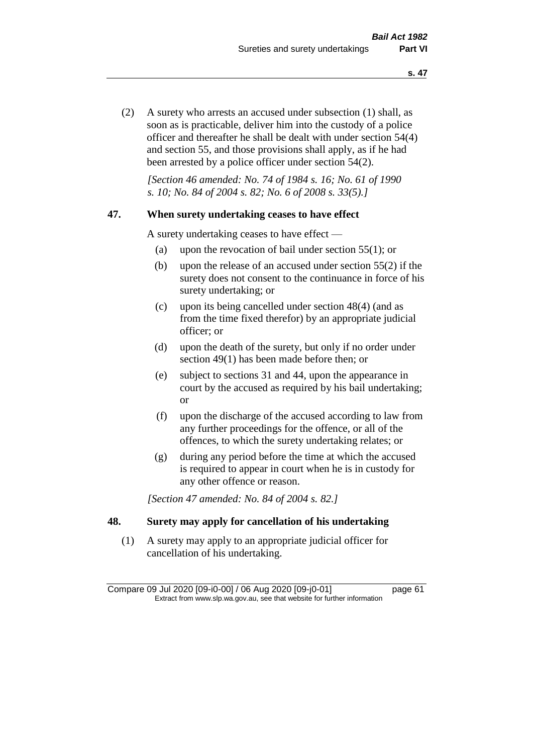(2) A surety who arrests an accused under subsection (1) shall, as soon as is practicable, deliver him into the custody of a police officer and thereafter he shall be dealt with under section 54(4) and section 55, and those provisions shall apply, as if he had been arrested by a police officer under section 54(2).

*[Section 46 amended: No. 74 of 1984 s. 16; No. 61 of 1990 s. 10; No. 84 of 2004 s. 82; No. 6 of 2008 s. 33(5).]* 

#### **47. When surety undertaking ceases to have effect**

A surety undertaking ceases to have effect —

- (a) upon the revocation of bail under section 55(1); or
- (b) upon the release of an accused under section 55(2) if the surety does not consent to the continuance in force of his surety undertaking; or
- (c) upon its being cancelled under section 48(4) (and as from the time fixed therefor) by an appropriate judicial officer; or
- (d) upon the death of the surety, but only if no order under section 49(1) has been made before then; or
- (e) subject to sections 31 and 44, upon the appearance in court by the accused as required by his bail undertaking; or
- (f) upon the discharge of the accused according to law from any further proceedings for the offence, or all of the offences, to which the surety undertaking relates; or
- (g) during any period before the time at which the accused is required to appear in court when he is in custody for any other offence or reason.

*[Section 47 amended: No. 84 of 2004 s. 82.]* 

#### **48. Surety may apply for cancellation of his undertaking**

(1) A surety may apply to an appropriate judicial officer for cancellation of his undertaking.

Compare 09 Jul 2020 [09-i0-00] / 06 Aug 2020 [09-j0-01] page 61 Extract from www.slp.wa.gov.au, see that website for further information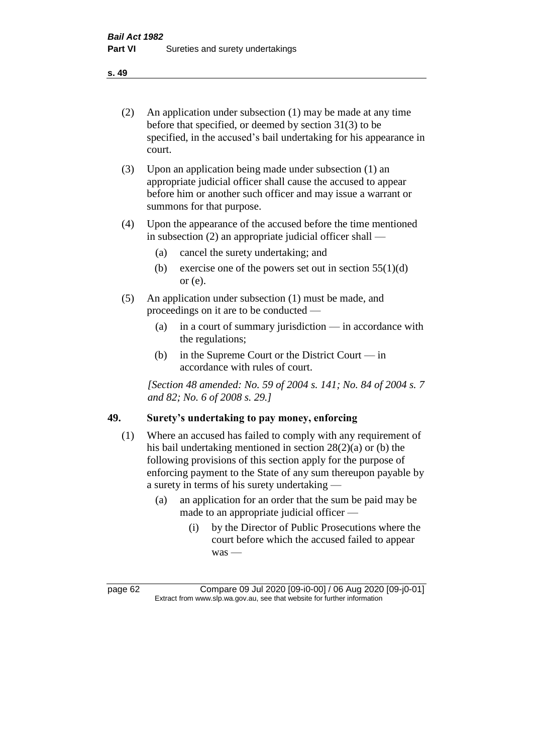- (2) An application under subsection (1) may be made at any time before that specified, or deemed by section 31(3) to be specified, in the accused's bail undertaking for his appearance in court.
- (3) Upon an application being made under subsection (1) an appropriate judicial officer shall cause the accused to appear before him or another such officer and may issue a warrant or summons for that purpose.
- (4) Upon the appearance of the accused before the time mentioned in subsection (2) an appropriate judicial officer shall —
	- (a) cancel the surety undertaking; and
	- (b) exercise one of the powers set out in section  $55(1)(d)$ or (e).
- (5) An application under subsection (1) must be made, and proceedings on it are to be conducted —
	- (a) in a court of summary jurisdiction in accordance with the regulations;
	- (b) in the Supreme Court or the District Court in accordance with rules of court.

*[Section 48 amended: No. 59 of 2004 s. 141; No. 84 of 2004 s. 7 and 82; No. 6 of 2008 s. 29.]* 

# **49. Surety's undertaking to pay money, enforcing**

- (1) Where an accused has failed to comply with any requirement of his bail undertaking mentioned in section 28(2)(a) or (b) the following provisions of this section apply for the purpose of enforcing payment to the State of any sum thereupon payable by a surety in terms of his surety undertaking —
	- (a) an application for an order that the sum be paid may be made to an appropriate judicial officer —
		- (i) by the Director of Public Prosecutions where the court before which the accused failed to appear was —

page 62 Compare 09 Jul 2020 [09-i0-00] / 06 Aug 2020 [09-j0-01] Extract from www.slp.wa.gov.au, see that website for further information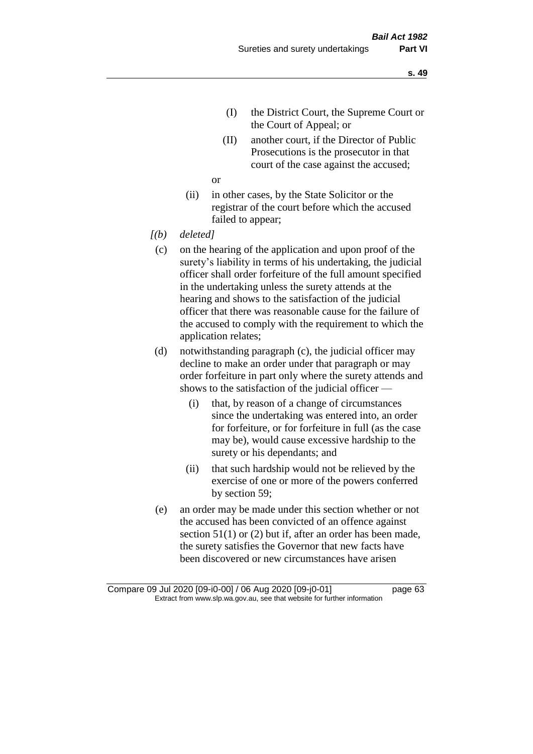- (I) the District Court, the Supreme Court or the Court of Appeal; or
- (II) another court, if the Director of Public Prosecutions is the prosecutor in that court of the case against the accused;

or

- (ii) in other cases, by the State Solicitor or the registrar of the court before which the accused failed to appear;
- *[(b) deleted]*
	- (c) on the hearing of the application and upon proof of the surety's liability in terms of his undertaking, the judicial officer shall order forfeiture of the full amount specified in the undertaking unless the surety attends at the hearing and shows to the satisfaction of the judicial officer that there was reasonable cause for the failure of the accused to comply with the requirement to which the application relates;
	- (d) notwithstanding paragraph (c), the judicial officer may decline to make an order under that paragraph or may order forfeiture in part only where the surety attends and shows to the satisfaction of the judicial officer —
		- (i) that, by reason of a change of circumstances since the undertaking was entered into, an order for forfeiture, or for forfeiture in full (as the case may be), would cause excessive hardship to the surety or his dependants; and
		- (ii) that such hardship would not be relieved by the exercise of one or more of the powers conferred by section 59;
	- (e) an order may be made under this section whether or not the accused has been convicted of an offence against section 51(1) or (2) but if, after an order has been made, the surety satisfies the Governor that new facts have been discovered or new circumstances have arisen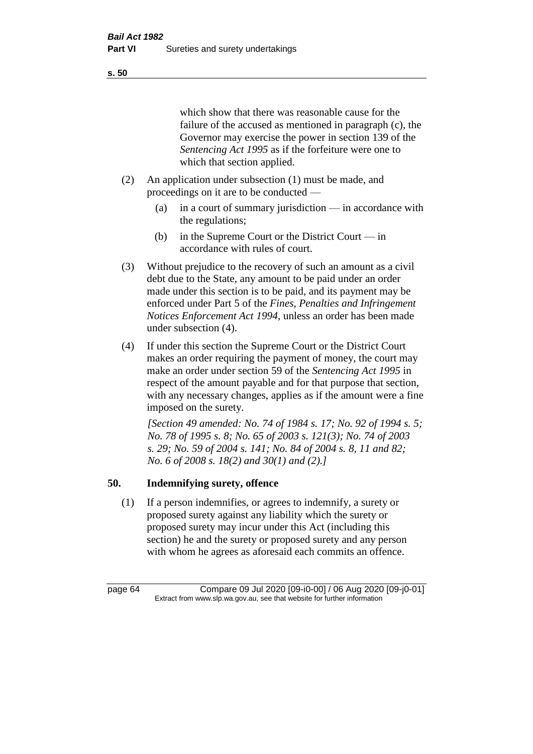which show that there was reasonable cause for the failure of the accused as mentioned in paragraph (c), the Governor may exercise the power in section 139 of the *Sentencing Act 1995* as if the forfeiture were one to which that section applied.

- (2) An application under subsection (1) must be made, and proceedings on it are to be conducted —
	- (a) in a court of summary jurisdiction in accordance with the regulations;
	- (b) in the Supreme Court or the District Court in accordance with rules of court.
- (3) Without prejudice to the recovery of such an amount as a civil debt due to the State, any amount to be paid under an order made under this section is to be paid, and its payment may be enforced under Part 5 of the *Fines, Penalties and Infringement Notices Enforcement Act 1994*, unless an order has been made under subsection (4).
- (4) If under this section the Supreme Court or the District Court makes an order requiring the payment of money, the court may make an order under section 59 of the *Sentencing Act 1995* in respect of the amount payable and for that purpose that section, with any necessary changes, applies as if the amount were a fine imposed on the surety.

*[Section 49 amended: No. 74 of 1984 s. 17; No. 92 of 1994 s. 5; No. 78 of 1995 s. 8; No. 65 of 2003 s. 121(3); No. 74 of 2003 s. 29; No. 59 of 2004 s. 141; No. 84 of 2004 s. 8, 11 and 82; No. 6 of 2008 s. 18(2) and 30(1) and (2).]* 

#### **50. Indemnifying surety, offence**

(1) If a person indemnifies, or agrees to indemnify, a surety or proposed surety against any liability which the surety or proposed surety may incur under this Act (including this section) he and the surety or proposed surety and any person with whom he agrees as aforesaid each commits an offence.

page 64 Compare 09 Jul 2020 [09-i0-00] / 06 Aug 2020 [09-j0-01] Extract from www.slp.wa.gov.au, see that website for further information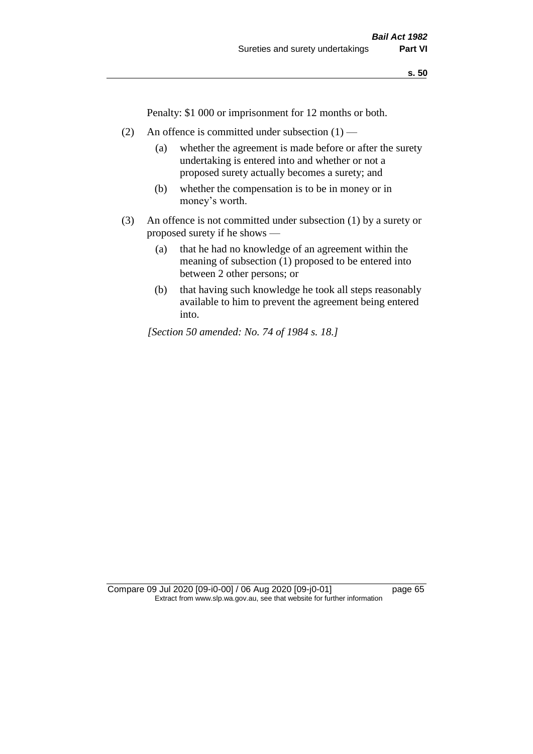Penalty: \$1 000 or imprisonment for 12 months or both.

- (2) An offence is committed under subsection  $(1)$ 
	- (a) whether the agreement is made before or after the surety undertaking is entered into and whether or not a proposed surety actually becomes a surety; and
	- (b) whether the compensation is to be in money or in money's worth.
- (3) An offence is not committed under subsection (1) by a surety or proposed surety if he shows —
	- (a) that he had no knowledge of an agreement within the meaning of subsection (1) proposed to be entered into between 2 other persons; or
	- (b) that having such knowledge he took all steps reasonably available to him to prevent the agreement being entered into.

*[Section 50 amended: No. 74 of 1984 s. 18.]*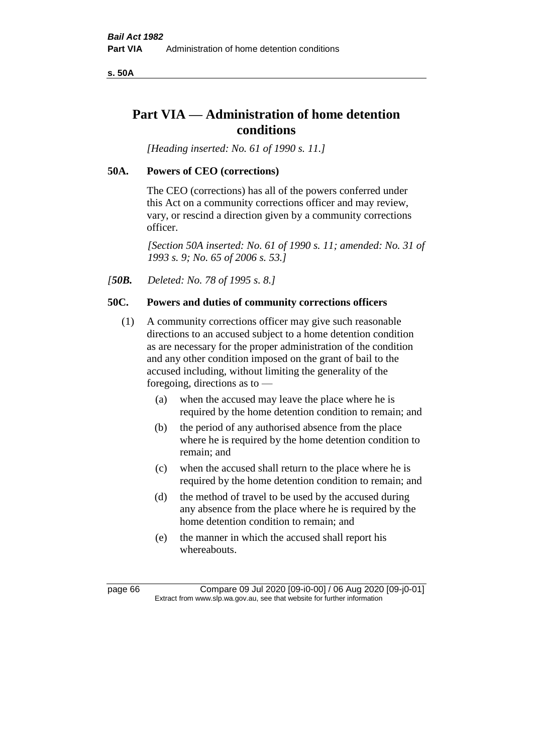**s. 50A**

# **Part VIA — Administration of home detention conditions**

*[Heading inserted: No. 61 of 1990 s. 11.]* 

#### **50A. Powers of CEO (corrections)**

The CEO (corrections) has all of the powers conferred under this Act on a community corrections officer and may review, vary, or rescind a direction given by a community corrections officer.

*[Section 50A inserted: No. 61 of 1990 s. 11; amended: No. 31 of 1993 s. 9; No. 65 of 2006 s. 53.]* 

*[50B. Deleted: No. 78 of 1995 s. 8.]* 

# **50C. Powers and duties of community corrections officers**

- (1) A community corrections officer may give such reasonable directions to an accused subject to a home detention condition as are necessary for the proper administration of the condition and any other condition imposed on the grant of bail to the accused including, without limiting the generality of the foregoing, directions as to —
	- (a) when the accused may leave the place where he is required by the home detention condition to remain; and
	- (b) the period of any authorised absence from the place where he is required by the home detention condition to remain; and
	- (c) when the accused shall return to the place where he is required by the home detention condition to remain; and
	- (d) the method of travel to be used by the accused during any absence from the place where he is required by the home detention condition to remain; and
	- (e) the manner in which the accused shall report his whereabouts.

page 66 Compare 09 Jul 2020 [09-i0-00] / 06 Aug 2020 [09-j0-01] Extract from www.slp.wa.gov.au, see that website for further information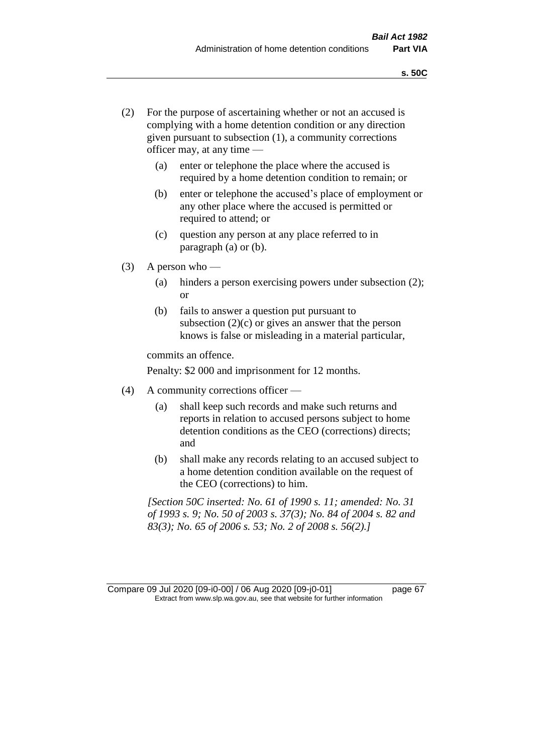- (2) For the purpose of ascertaining whether or not an accused is complying with a home detention condition or any direction given pursuant to subsection (1), a community corrections officer may, at any time —
	- (a) enter or telephone the place where the accused is required by a home detention condition to remain; or
	- (b) enter or telephone the accused's place of employment or any other place where the accused is permitted or required to attend; or
	- (c) question any person at any place referred to in paragraph (a) or (b).
- (3) A person who
	- (a) hinders a person exercising powers under subsection (2); or
	- (b) fails to answer a question put pursuant to subsection  $(2)(c)$  or gives an answer that the person knows is false or misleading in a material particular,

commits an offence.

Penalty: \$2 000 and imprisonment for 12 months.

- (4) A community corrections officer
	- (a) shall keep such records and make such returns and reports in relation to accused persons subject to home detention conditions as the CEO (corrections) directs; and
	- (b) shall make any records relating to an accused subject to a home detention condition available on the request of the CEO (corrections) to him.

*[Section 50C inserted: No. 61 of 1990 s. 11; amended: No. 31 of 1993 s. 9; No. 50 of 2003 s. 37(3); No. 84 of 2004 s. 82 and 83(3); No. 65 of 2006 s. 53; No. 2 of 2008 s. 56(2).]*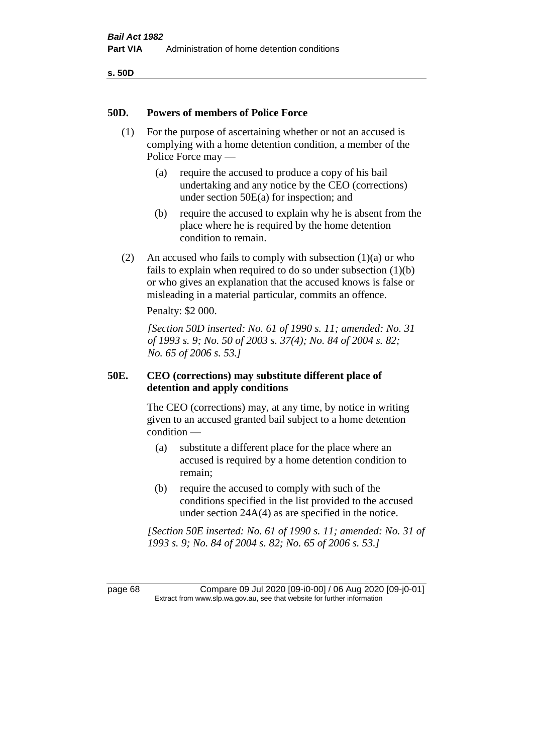**s. 50D**

#### **50D. Powers of members of Police Force**

- (1) For the purpose of ascertaining whether or not an accused is complying with a home detention condition, a member of the Police Force may —
	- (a) require the accused to produce a copy of his bail undertaking and any notice by the CEO (corrections) under section 50E(a) for inspection; and
	- (b) require the accused to explain why he is absent from the place where he is required by the home detention condition to remain.
- (2) An accused who fails to comply with subsection  $(1)(a)$  or who fails to explain when required to do so under subsection (1)(b) or who gives an explanation that the accused knows is false or misleading in a material particular, commits an offence.

Penalty: \$2 000.

*[Section 50D inserted: No. 61 of 1990 s. 11; amended: No. 31 of 1993 s. 9; No. 50 of 2003 s. 37(4); No. 84 of 2004 s. 82; No. 65 of 2006 s. 53.]* 

#### **50E. CEO (corrections) may substitute different place of detention and apply conditions**

The CEO (corrections) may, at any time, by notice in writing given to an accused granted bail subject to a home detention condition —

- (a) substitute a different place for the place where an accused is required by a home detention condition to remain;
- (b) require the accused to comply with such of the conditions specified in the list provided to the accused under section 24A(4) as are specified in the notice.

*[Section 50E inserted: No. 61 of 1990 s. 11; amended: No. 31 of 1993 s. 9; No. 84 of 2004 s. 82; No. 65 of 2006 s. 53.]* 

page 68 Compare 09 Jul 2020 [09-i0-00] / 06 Aug 2020 [09-j0-01] Extract from www.slp.wa.gov.au, see that website for further information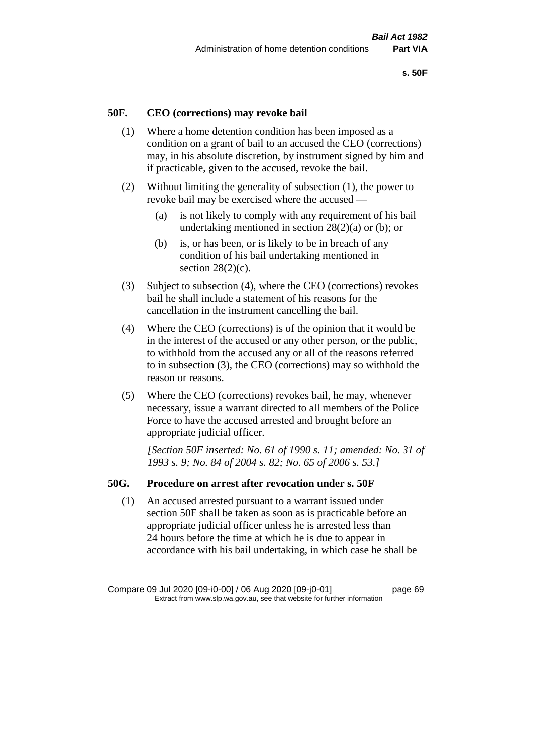#### **50F. CEO (corrections) may revoke bail**

- (1) Where a home detention condition has been imposed as a condition on a grant of bail to an accused the CEO (corrections) may, in his absolute discretion, by instrument signed by him and if practicable, given to the accused, revoke the bail.
- (2) Without limiting the generality of subsection (1), the power to revoke bail may be exercised where the accused —
	- (a) is not likely to comply with any requirement of his bail undertaking mentioned in section 28(2)(a) or (b); or
	- (b) is, or has been, or is likely to be in breach of any condition of his bail undertaking mentioned in section  $28(2)(c)$ .
- (3) Subject to subsection (4), where the CEO (corrections) revokes bail he shall include a statement of his reasons for the cancellation in the instrument cancelling the bail.
- (4) Where the CEO (corrections) is of the opinion that it would be in the interest of the accused or any other person, or the public, to withhold from the accused any or all of the reasons referred to in subsection (3), the CEO (corrections) may so withhold the reason or reasons.
- (5) Where the CEO (corrections) revokes bail, he may, whenever necessary, issue a warrant directed to all members of the Police Force to have the accused arrested and brought before an appropriate judicial officer.

*[Section 50F inserted: No. 61 of 1990 s. 11; amended: No. 31 of 1993 s. 9; No. 84 of 2004 s. 82; No. 65 of 2006 s. 53.]* 

#### **50G. Procedure on arrest after revocation under s. 50F**

(1) An accused arrested pursuant to a warrant issued under section 50F shall be taken as soon as is practicable before an appropriate judicial officer unless he is arrested less than 24 hours before the time at which he is due to appear in accordance with his bail undertaking, in which case he shall be

Compare 09 Jul 2020 [09-i0-00] / 06 Aug 2020 [09-j0-01] page 69 Extract from www.slp.wa.gov.au, see that website for further information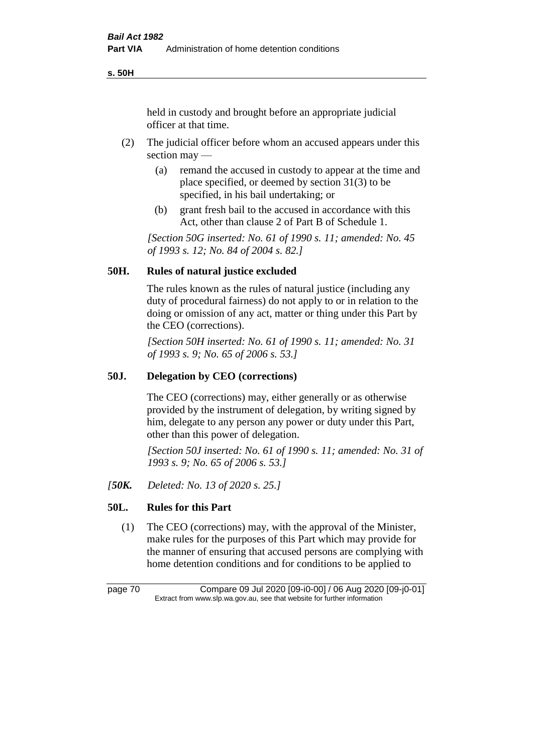**s. 50H**

held in custody and brought before an appropriate judicial officer at that time.

- (2) The judicial officer before whom an accused appears under this section may —
	- (a) remand the accused in custody to appear at the time and place specified, or deemed by section 31(3) to be specified, in his bail undertaking; or
	- (b) grant fresh bail to the accused in accordance with this Act, other than clause 2 of Part B of Schedule 1.

*[Section 50G inserted: No. 61 of 1990 s. 11; amended: No. 45 of 1993 s. 12; No. 84 of 2004 s. 82.]* 

#### **50H. Rules of natural justice excluded**

The rules known as the rules of natural justice (including any duty of procedural fairness) do not apply to or in relation to the doing or omission of any act, matter or thing under this Part by the CEO (corrections).

*[Section 50H inserted: No. 61 of 1990 s. 11; amended: No. 31 of 1993 s. 9; No. 65 of 2006 s. 53.]* 

#### **50J. Delegation by CEO (corrections)**

The CEO (corrections) may, either generally or as otherwise provided by the instrument of delegation, by writing signed by him, delegate to any person any power or duty under this Part, other than this power of delegation.

*[Section 50J inserted: No. 61 of 1990 s. 11; amended: No. 31 of 1993 s. 9; No. 65 of 2006 s. 53.]* 

*[50K. Deleted: No. 13 of 2020 s. 25.]*

# **50L. Rules for this Part**

(1) The CEO (corrections) may, with the approval of the Minister, make rules for the purposes of this Part which may provide for the manner of ensuring that accused persons are complying with home detention conditions and for conditions to be applied to

page 70 Compare 09 Jul 2020 [09-i0-00] / 06 Aug 2020 [09-j0-01] Extract from www.slp.wa.gov.au, see that website for further information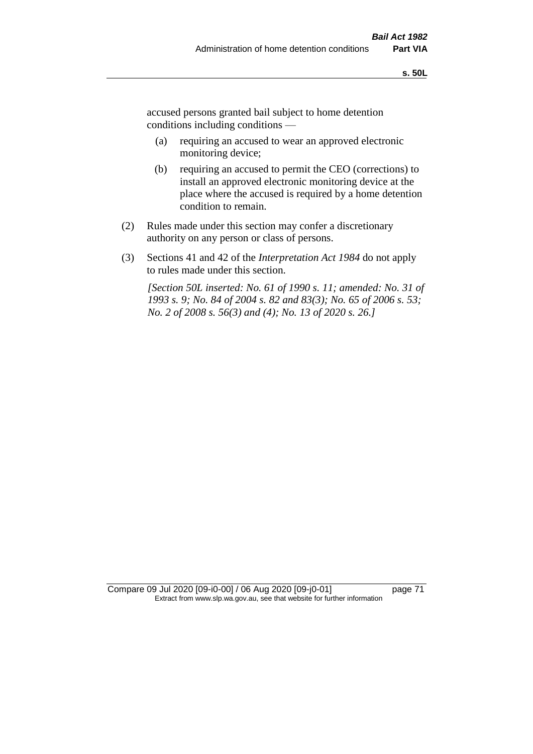accused persons granted bail subject to home detention conditions including conditions —

- (a) requiring an accused to wear an approved electronic monitoring device;
- (b) requiring an accused to permit the CEO (corrections) to install an approved electronic monitoring device at the place where the accused is required by a home detention condition to remain.
- (2) Rules made under this section may confer a discretionary authority on any person or class of persons.
- (3) Sections 41 and 42 of the *Interpretation Act 1984* do not apply to rules made under this section.

*[Section 50L inserted: No. 61 of 1990 s. 11; amended: No. 31 of 1993 s. 9; No. 84 of 2004 s. 82 and 83(3); No. 65 of 2006 s. 53; No. 2 of 2008 s. 56(3) and (4); No. 13 of 2020 s. 26.]* 

Compare 09 Jul 2020 [09-i0-00] / 06 Aug 2020 [09-j0-01] page 71 Extract from www.slp.wa.gov.au, see that website for further information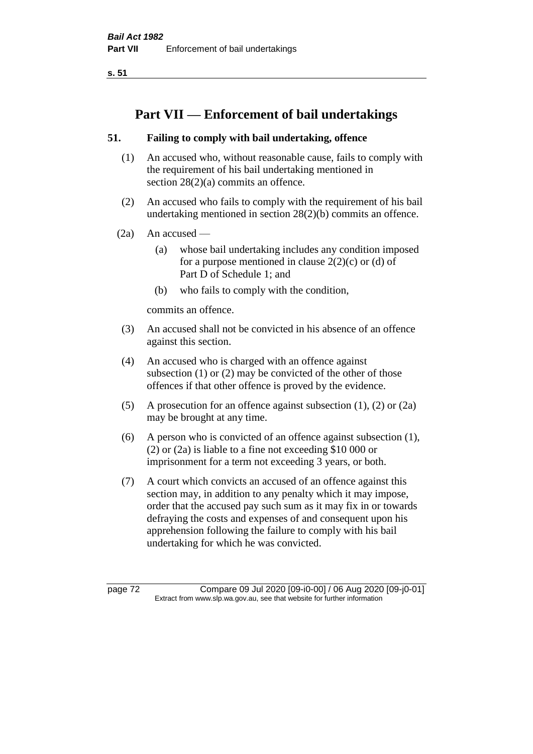**s. 51**

# **Part VII — Enforcement of bail undertakings**

# **51. Failing to comply with bail undertaking, offence**

- (1) An accused who, without reasonable cause, fails to comply with the requirement of his bail undertaking mentioned in section 28(2)(a) commits an offence.
- (2) An accused who fails to comply with the requirement of his bail undertaking mentioned in section 28(2)(b) commits an offence.
- $(2a)$  An accused
	- (a) whose bail undertaking includes any condition imposed for a purpose mentioned in clause  $2(2)(c)$  or (d) of Part D of Schedule 1; and
	- (b) who fails to comply with the condition,

commits an offence.

- (3) An accused shall not be convicted in his absence of an offence against this section.
- (4) An accused who is charged with an offence against subsection (1) or (2) may be convicted of the other of those offences if that other offence is proved by the evidence.
- (5) A prosecution for an offence against subsection (1), (2) or (2a) may be brought at any time.
- (6) A person who is convicted of an offence against subsection (1), (2) or (2a) is liable to a fine not exceeding \$10 000 or imprisonment for a term not exceeding 3 years, or both.
- (7) A court which convicts an accused of an offence against this section may, in addition to any penalty which it may impose, order that the accused pay such sum as it may fix in or towards defraying the costs and expenses of and consequent upon his apprehension following the failure to comply with his bail undertaking for which he was convicted.

page 72 Compare 09 Jul 2020 [09-i0-00] / 06 Aug 2020 [09-j0-01] Extract from www.slp.wa.gov.au, see that website for further information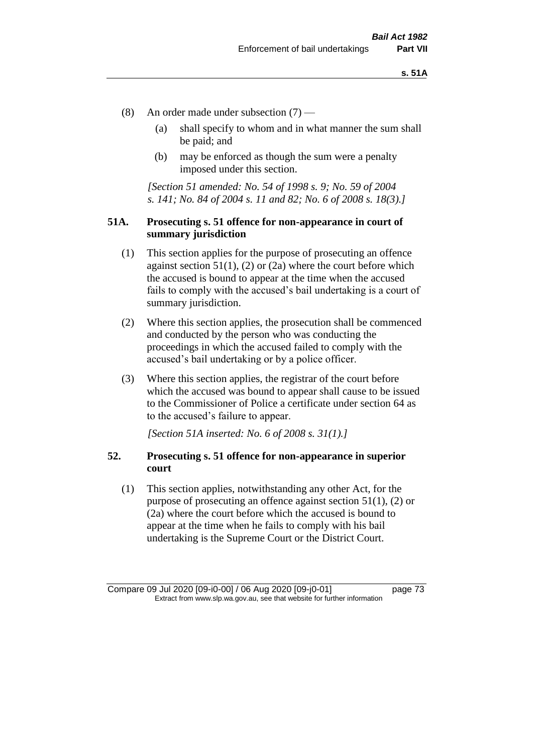- (8) An order made under subsection (7)
	- (a) shall specify to whom and in what manner the sum shall be paid; and
	- (b) may be enforced as though the sum were a penalty imposed under this section.

*[Section 51 amended: No. 54 of 1998 s. 9; No. 59 of 2004 s. 141; No. 84 of 2004 s. 11 and 82; No. 6 of 2008 s. 18(3).]*

## **51A. Prosecuting s. 51 offence for non-appearance in court of summary jurisdiction**

- (1) This section applies for the purpose of prosecuting an offence against section  $51(1)$ , (2) or (2a) where the court before which the accused is bound to appear at the time when the accused fails to comply with the accused's bail undertaking is a court of summary jurisdiction.
- (2) Where this section applies, the prosecution shall be commenced and conducted by the person who was conducting the proceedings in which the accused failed to comply with the accused's bail undertaking or by a police officer.
- (3) Where this section applies, the registrar of the court before which the accused was bound to appear shall cause to be issued to the Commissioner of Police a certificate under section 64 as to the accused's failure to appear.

*[Section 51A inserted: No. 6 of 2008 s. 31(1).]*

# **52. Prosecuting s. 51 offence for non-appearance in superior court**

(1) This section applies, notwithstanding any other Act, for the purpose of prosecuting an offence against section 51(1), (2) or (2a) where the court before which the accused is bound to appear at the time when he fails to comply with his bail undertaking is the Supreme Court or the District Court.

Compare 09 Jul 2020 [09-i0-00] / 06 Aug 2020 [09-j0-01] page 73 Extract from www.slp.wa.gov.au, see that website for further information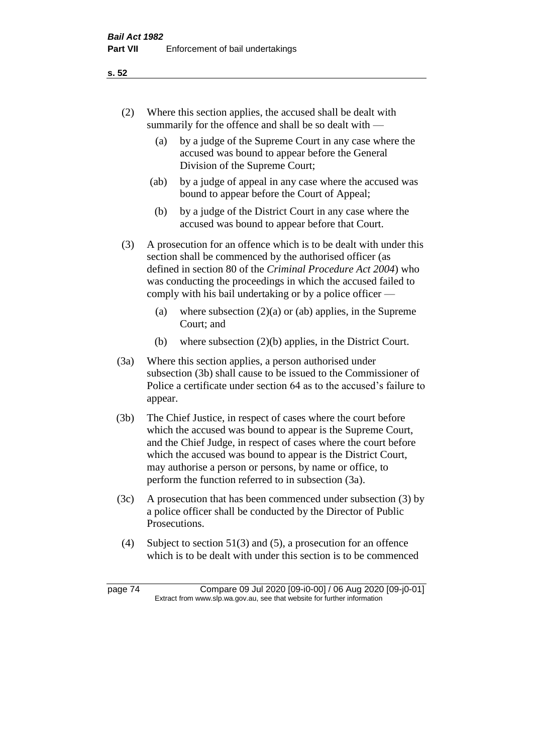- (2) Where this section applies, the accused shall be dealt with summarily for the offence and shall be so dealt with —
	- (a) by a judge of the Supreme Court in any case where the accused was bound to appear before the General Division of the Supreme Court;
	- (ab) by a judge of appeal in any case where the accused was bound to appear before the Court of Appeal;
	- (b) by a judge of the District Court in any case where the accused was bound to appear before that Court.
- (3) A prosecution for an offence which is to be dealt with under this section shall be commenced by the authorised officer (as defined in section 80 of the *Criminal Procedure Act 2004*) who was conducting the proceedings in which the accused failed to comply with his bail undertaking or by a police officer —
	- (a) where subsection  $(2)(a)$  or (ab) applies, in the Supreme Court; and
	- (b) where subsection (2)(b) applies, in the District Court.
- (3a) Where this section applies, a person authorised under subsection (3b) shall cause to be issued to the Commissioner of Police a certificate under section 64 as to the accused's failure to appear.
- (3b) The Chief Justice, in respect of cases where the court before which the accused was bound to appear is the Supreme Court, and the Chief Judge, in respect of cases where the court before which the accused was bound to appear is the District Court, may authorise a person or persons, by name or office, to perform the function referred to in subsection (3a).
- (3c) A prosecution that has been commenced under subsection (3) by a police officer shall be conducted by the Director of Public Prosecutions.
- (4) Subject to section 51(3) and (5), a prosecution for an offence which is to be dealt with under this section is to be commenced

**s. 52**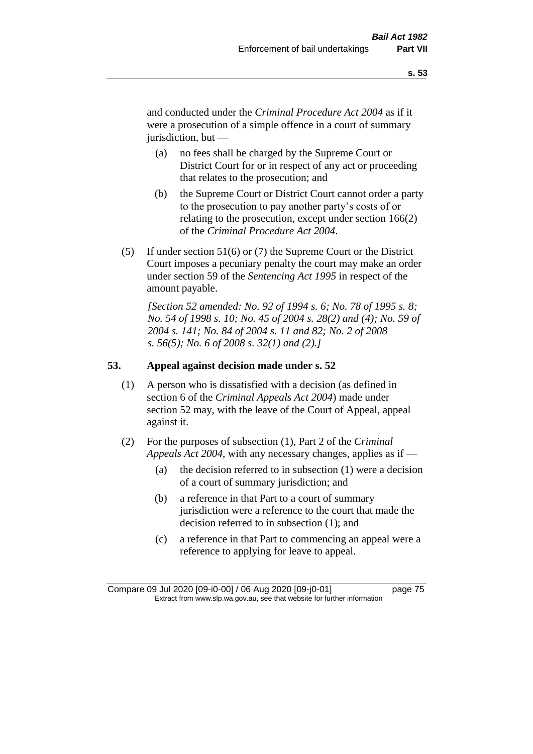and conducted under the *Criminal Procedure Act 2004* as if it were a prosecution of a simple offence in a court of summary jurisdiction, but —

- (a) no fees shall be charged by the Supreme Court or District Court for or in respect of any act or proceeding that relates to the prosecution; and
- (b) the Supreme Court or District Court cannot order a party to the prosecution to pay another party's costs of or relating to the prosecution, except under section 166(2) of the *Criminal Procedure Act 2004*.
- (5) If under section 51(6) or (7) the Supreme Court or the District Court imposes a pecuniary penalty the court may make an order under section 59 of the *Sentencing Act 1995* in respect of the amount payable.

*[Section 52 amended: No. 92 of 1994 s. 6; No. 78 of 1995 s. 8; No. 54 of 1998 s. 10; No. 45 of 2004 s. 28(2) and (4); No. 59 of 2004 s. 141; No. 84 of 2004 s. 11 and 82; No. 2 of 2008 s. 56(5); No. 6 of 2008 s. 32(1) and (2).]* 

#### **53. Appeal against decision made under s. 52**

- (1) A person who is dissatisfied with a decision (as defined in section 6 of the *Criminal Appeals Act 2004*) made under section 52 may, with the leave of the Court of Appeal, appeal against it.
- (2) For the purposes of subsection (1), Part 2 of the *Criminal Appeals Act 2004*, with any necessary changes, applies as if —
	- (a) the decision referred to in subsection (1) were a decision of a court of summary jurisdiction; and
	- (b) a reference in that Part to a court of summary jurisdiction were a reference to the court that made the decision referred to in subsection (1); and
	- (c) a reference in that Part to commencing an appeal were a reference to applying for leave to appeal.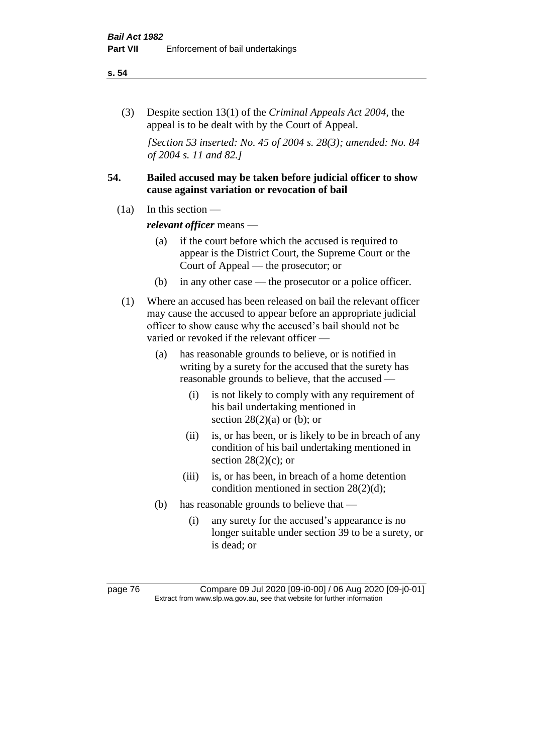#### **s. 54**

(3) Despite section 13(1) of the *Criminal Appeals Act 2004*, the appeal is to be dealt with by the Court of Appeal.

*[Section 53 inserted: No. 45 of 2004 s. 28(3); amended: No. 84 of 2004 s. 11 and 82.]*

# **54. Bailed accused may be taken before judicial officer to show cause against variation or revocation of bail**

 $(1a)$  In this section —

*relevant officer* means —

- (a) if the court before which the accused is required to appear is the District Court, the Supreme Court or the Court of Appeal — the prosecutor; or
- (b) in any other case the prosecutor or a police officer.
- (1) Where an accused has been released on bail the relevant officer may cause the accused to appear before an appropriate judicial officer to show cause why the accused's bail should not be varied or revoked if the relevant officer —
	- (a) has reasonable grounds to believe, or is notified in writing by a surety for the accused that the surety has reasonable grounds to believe, that the accused —
		- (i) is not likely to comply with any requirement of his bail undertaking mentioned in section  $28(2)(a)$  or (b); or
		- (ii) is, or has been, or is likely to be in breach of any condition of his bail undertaking mentioned in section  $28(2)(c)$ ; or
		- (iii) is, or has been, in breach of a home detention condition mentioned in section 28(2)(d);
	- (b) has reasonable grounds to believe that
		- (i) any surety for the accused's appearance is no longer suitable under section 39 to be a surety, or is dead; or

page 76 Compare 09 Jul 2020 [09-i0-00] / 06 Aug 2020 [09-j0-01] Extract from www.slp.wa.gov.au, see that website for further information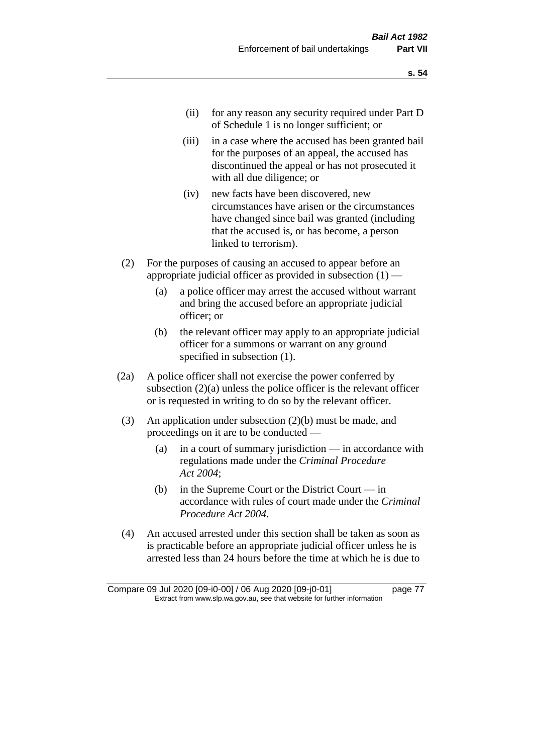- (ii) for any reason any security required under Part D of Schedule 1 is no longer sufficient; or
- (iii) in a case where the accused has been granted bail for the purposes of an appeal, the accused has discontinued the appeal or has not prosecuted it with all due diligence; or
- (iv) new facts have been discovered, new circumstances have arisen or the circumstances have changed since bail was granted (including that the accused is, or has become, a person linked to terrorism).
- (2) For the purposes of causing an accused to appear before an appropriate judicial officer as provided in subsection  $(1)$  —
	- (a) a police officer may arrest the accused without warrant and bring the accused before an appropriate judicial officer; or
	- (b) the relevant officer may apply to an appropriate judicial officer for a summons or warrant on any ground specified in subsection (1).
- (2a) A police officer shall not exercise the power conferred by subsection (2)(a) unless the police officer is the relevant officer or is requested in writing to do so by the relevant officer.
- (3) An application under subsection (2)(b) must be made, and proceedings on it are to be conducted —
	- (a) in a court of summary jurisdiction in accordance with regulations made under the *Criminal Procedure Act 2004*;
	- (b) in the Supreme Court or the District Court  $-\text{in}$ accordance with rules of court made under the *Criminal Procedure Act 2004*.
- (4) An accused arrested under this section shall be taken as soon as is practicable before an appropriate judicial officer unless he is arrested less than 24 hours before the time at which he is due to

Compare 09 Jul 2020 [09-i0-00] / 06 Aug 2020 [09-j0-01] page 77 Extract from www.slp.wa.gov.au, see that website for further information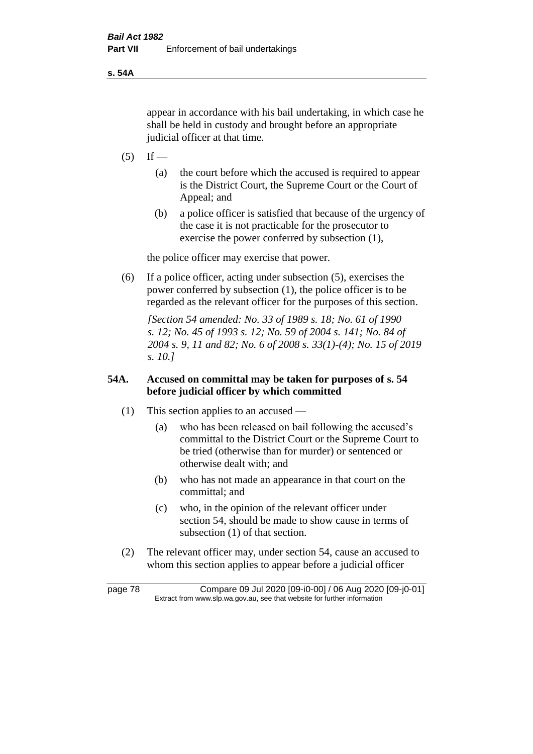**s. 54A**

appear in accordance with his bail undertaking, in which case he shall be held in custody and brought before an appropriate judicial officer at that time.

- $(5)$  If
	- (a) the court before which the accused is required to appear is the District Court, the Supreme Court or the Court of Appeal; and
	- (b) a police officer is satisfied that because of the urgency of the case it is not practicable for the prosecutor to exercise the power conferred by subsection (1),

the police officer may exercise that power.

(6) If a police officer, acting under subsection (5), exercises the power conferred by subsection (1), the police officer is to be regarded as the relevant officer for the purposes of this section.

*[Section 54 amended: No. 33 of 1989 s. 18; No. 61 of 1990 s. 12; No. 45 of 1993 s. 12; No. 59 of 2004 s. 141; No. 84 of 2004 s. 9, 11 and 82; No. 6 of 2008 s. 33(1)-(4); No. 15 of 2019 s. 10.]* 

# **54A. Accused on committal may be taken for purposes of s. 54 before judicial officer by which committed**

- (1) This section applies to an accused
	- (a) who has been released on bail following the accused's committal to the District Court or the Supreme Court to be tried (otherwise than for murder) or sentenced or otherwise dealt with; and
	- (b) who has not made an appearance in that court on the committal; and
	- (c) who, in the opinion of the relevant officer under section 54, should be made to show cause in terms of subsection (1) of that section.
- (2) The relevant officer may, under section 54, cause an accused to whom this section applies to appear before a judicial officer

page 78 Compare 09 Jul 2020 [09-i0-00] / 06 Aug 2020 [09-j0-01] Extract from www.slp.wa.gov.au, see that website for further information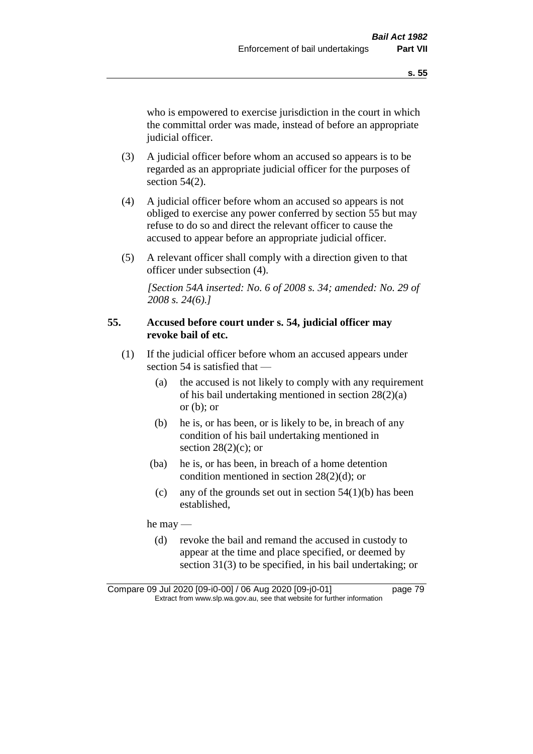who is empowered to exercise jurisdiction in the court in which the committal order was made, instead of before an appropriate judicial officer.

- (3) A judicial officer before whom an accused so appears is to be regarded as an appropriate judicial officer for the purposes of section 54(2).
- (4) A judicial officer before whom an accused so appears is not obliged to exercise any power conferred by section 55 but may refuse to do so and direct the relevant officer to cause the accused to appear before an appropriate judicial officer.
- (5) A relevant officer shall comply with a direction given to that officer under subsection (4).

*[Section 54A inserted: No. 6 of 2008 s. 34; amended: No. 29 of 2008 s. 24(6).]*

# **55. Accused before court under s. 54, judicial officer may revoke bail of etc.**

- (1) If the judicial officer before whom an accused appears under section 54 is satisfied that —
	- (a) the accused is not likely to comply with any requirement of his bail undertaking mentioned in section 28(2)(a) or  $(b)$ ; or
	- (b) he is, or has been, or is likely to be, in breach of any condition of his bail undertaking mentioned in section  $28(2)(c)$ ; or
	- (ba) he is, or has been, in breach of a home detention condition mentioned in section 28(2)(d); or
		- (c) any of the grounds set out in section  $54(1)(b)$  has been established,

he may —

(d) revoke the bail and remand the accused in custody to appear at the time and place specified, or deemed by section 31(3) to be specified, in his bail undertaking; or

Compare 09 Jul 2020 [09-i0-00] / 06 Aug 2020 [09-j0-01] page 79 Extract from www.slp.wa.gov.au, see that website for further information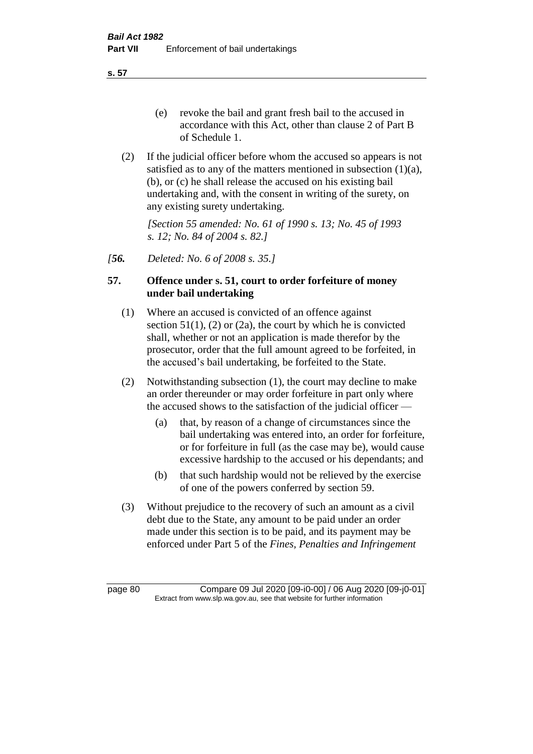**s. 57**

- (e) revoke the bail and grant fresh bail to the accused in accordance with this Act, other than clause 2 of Part B of Schedule 1.
- (2) If the judicial officer before whom the accused so appears is not satisfied as to any of the matters mentioned in subsection (1)(a), (b), or (c) he shall release the accused on his existing bail undertaking and, with the consent in writing of the surety, on any existing surety undertaking.

*[Section 55 amended: No. 61 of 1990 s. 13; No. 45 of 1993 s. 12; No. 84 of 2004 s. 82.]* 

*[56. Deleted: No. 6 of 2008 s. 35.]*

# **57. Offence under s. 51, court to order forfeiture of money under bail undertaking**

- (1) Where an accused is convicted of an offence against section  $51(1)$ ,  $(2)$  or  $(2a)$ , the court by which he is convicted shall, whether or not an application is made therefor by the prosecutor, order that the full amount agreed to be forfeited, in the accused's bail undertaking, be forfeited to the State.
- (2) Notwithstanding subsection (1), the court may decline to make an order thereunder or may order forfeiture in part only where the accused shows to the satisfaction of the judicial officer —
	- (a) that, by reason of a change of circumstances since the bail undertaking was entered into, an order for forfeiture, or for forfeiture in full (as the case may be), would cause excessive hardship to the accused or his dependants; and
	- (b) that such hardship would not be relieved by the exercise of one of the powers conferred by section 59.
- (3) Without prejudice to the recovery of such an amount as a civil debt due to the State, any amount to be paid under an order made under this section is to be paid, and its payment may be enforced under Part 5 of the *Fines, Penalties and Infringement*

page 80 Compare 09 Jul 2020 [09-i0-00] / 06 Aug 2020 [09-j0-01] Extract from www.slp.wa.gov.au, see that website for further information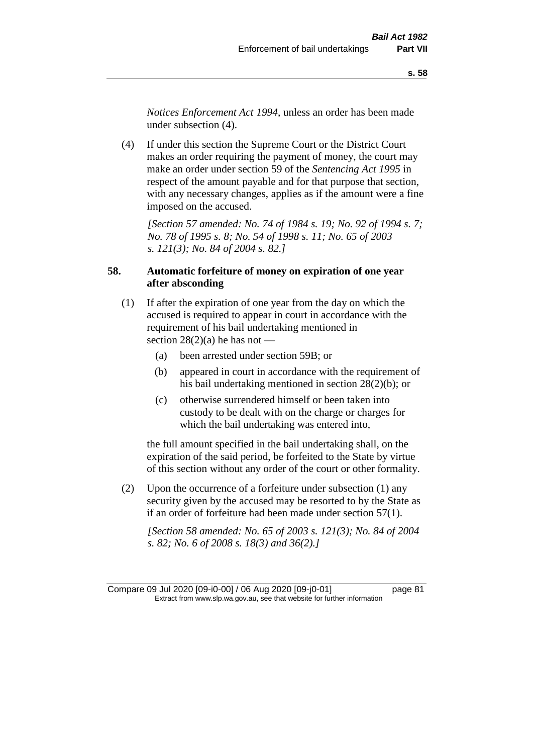*Notices Enforcement Act 1994*, unless an order has been made under subsection (4).

(4) If under this section the Supreme Court or the District Court makes an order requiring the payment of money, the court may make an order under section 59 of the *Sentencing Act 1995* in respect of the amount payable and for that purpose that section, with any necessary changes, applies as if the amount were a fine imposed on the accused.

*[Section 57 amended: No. 74 of 1984 s. 19; No. 92 of 1994 s. 7; No. 78 of 1995 s. 8; No. 54 of 1998 s. 11; No. 65 of 2003 s. 121(3); No. 84 of 2004 s. 82.]* 

# **58. Automatic forfeiture of money on expiration of one year after absconding**

- (1) If after the expiration of one year from the day on which the accused is required to appear in court in accordance with the requirement of his bail undertaking mentioned in section  $28(2)(a)$  he has not —
	- (a) been arrested under section 59B; or
	- (b) appeared in court in accordance with the requirement of his bail undertaking mentioned in section 28(2)(b); or
	- (c) otherwise surrendered himself or been taken into custody to be dealt with on the charge or charges for which the bail undertaking was entered into,

the full amount specified in the bail undertaking shall, on the expiration of the said period, be forfeited to the State by virtue of this section without any order of the court or other formality.

(2) Upon the occurrence of a forfeiture under subsection (1) any security given by the accused may be resorted to by the State as if an order of forfeiture had been made under section 57(1).

*[Section 58 amended: No. 65 of 2003 s. 121(3); No. 84 of 2004 s. 82; No. 6 of 2008 s. 18(3) and 36(2).]*

Compare 09 Jul 2020 [09-i0-00] / 06 Aug 2020 [09-j0-01] page 81 Extract from www.slp.wa.gov.au, see that website for further information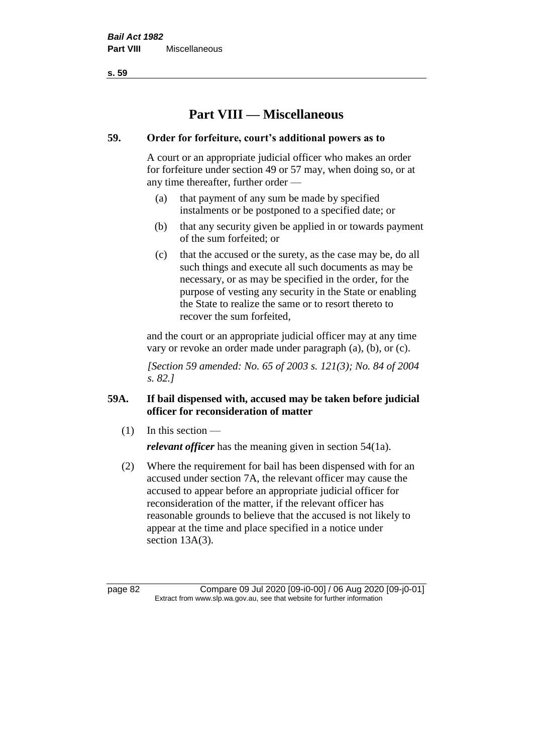**s. 59**

# **Part VIII — Miscellaneous**

# **59. Order for forfeiture, court's additional powers as to**

A court or an appropriate judicial officer who makes an order for forfeiture under section 49 or 57 may, when doing so, or at any time thereafter, further order —

- (a) that payment of any sum be made by specified instalments or be postponed to a specified date; or
- (b) that any security given be applied in or towards payment of the sum forfeited; or
- (c) that the accused or the surety, as the case may be, do all such things and execute all such documents as may be necessary, or as may be specified in the order, for the purpose of vesting any security in the State or enabling the State to realize the same or to resort thereto to recover the sum forfeited,

and the court or an appropriate judicial officer may at any time vary or revoke an order made under paragraph (a), (b), or (c).

*[Section 59 amended: No. 65 of 2003 s. 121(3); No. 84 of 2004 s. 82.]*

# **59A. If bail dispensed with, accused may be taken before judicial officer for reconsideration of matter**

 $(1)$  In this section —

*relevant officer* has the meaning given in section 54(1a).

(2) Where the requirement for bail has been dispensed with for an accused under section 7A, the relevant officer may cause the accused to appear before an appropriate judicial officer for reconsideration of the matter, if the relevant officer has reasonable grounds to believe that the accused is not likely to appear at the time and place specified in a notice under section 13A(3).

page 82 Compare 09 Jul 2020 [09-i0-00] / 06 Aug 2020 [09-j0-01] Extract from www.slp.wa.gov.au, see that website for further information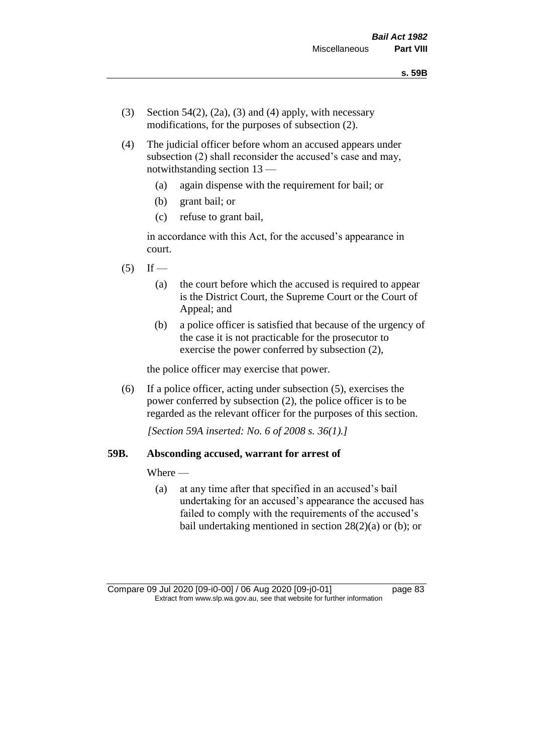- (3) Section 54(2), (2a), (3) and (4) apply, with necessary modifications, for the purposes of subsection (2).
- (4) The judicial officer before whom an accused appears under subsection (2) shall reconsider the accused's case and may, notwithstanding section 13 —
	- (a) again dispense with the requirement for bail; or
	- (b) grant bail; or
	- (c) refuse to grant bail,

in accordance with this Act, for the accused's appearance in court.

- $(5)$  If
	- (a) the court before which the accused is required to appear is the District Court, the Supreme Court or the Court of Appeal; and
	- (b) a police officer is satisfied that because of the urgency of the case it is not practicable for the prosecutor to exercise the power conferred by subsection (2),

the police officer may exercise that power.

(6) If a police officer, acting under subsection (5), exercises the power conferred by subsection (2), the police officer is to be regarded as the relevant officer for the purposes of this section.

*[Section 59A inserted: No. 6 of 2008 s. 36(1).]*

## **59B. Absconding accused, warrant for arrest of**

Where —

(a) at any time after that specified in an accused's bail undertaking for an accused's appearance the accused has failed to comply with the requirements of the accused's bail undertaking mentioned in section  $28(2)(a)$  or (b); or

Compare 09 Jul 2020 [09-i0-00] / 06 Aug 2020 [09-j0-01] page 83 Extract from www.slp.wa.gov.au, see that website for further information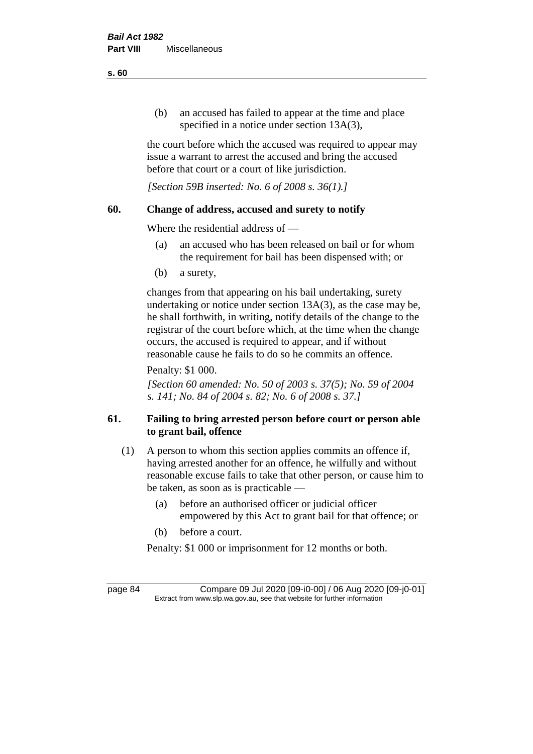(b) an accused has failed to appear at the time and place specified in a notice under section 13A(3),

the court before which the accused was required to appear may issue a warrant to arrest the accused and bring the accused before that court or a court of like jurisdiction.

*[Section 59B inserted: No. 6 of 2008 s. 36(1).]*

# **60. Change of address, accused and surety to notify**

Where the residential address of —

- (a) an accused who has been released on bail or for whom the requirement for bail has been dispensed with; or
- (b) a surety,

changes from that appearing on his bail undertaking, surety undertaking or notice under section 13A(3), as the case may be, he shall forthwith, in writing, notify details of the change to the registrar of the court before which, at the time when the change occurs, the accused is required to appear, and if without reasonable cause he fails to do so he commits an offence.

Penalty: \$1 000.

*[Section 60 amended: No. 50 of 2003 s. 37(5); No. 59 of 2004 s. 141; No. 84 of 2004 s. 82; No. 6 of 2008 s. 37.]*

# **61. Failing to bring arrested person before court or person able to grant bail, offence**

- (1) A person to whom this section applies commits an offence if, having arrested another for an offence, he wilfully and without reasonable excuse fails to take that other person, or cause him to be taken, as soon as is practicable —
	- (a) before an authorised officer or judicial officer empowered by this Act to grant bail for that offence; or
	- (b) before a court.

Penalty: \$1 000 or imprisonment for 12 months or both.

page 84 Compare 09 Jul 2020 [09-i0-00] / 06 Aug 2020 [09-j0-01] Extract from www.slp.wa.gov.au, see that website for further information

**s. 60**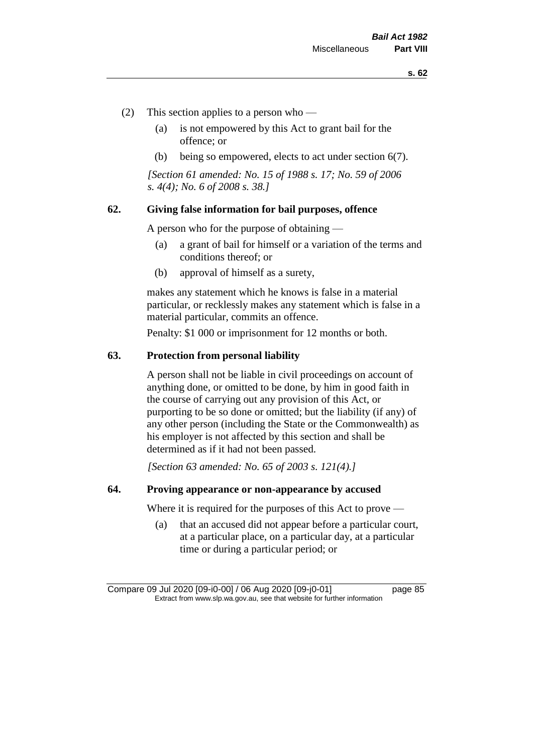- (2) This section applies to a person who
	- (a) is not empowered by this Act to grant bail for the offence; or
	- (b) being so empowered, elects to act under section 6(7).

*[Section 61 amended: No. 15 of 1988 s. 17; No. 59 of 2006 s. 4(4); No. 6 of 2008 s. 38.]* 

## **62. Giving false information for bail purposes, offence**

A person who for the purpose of obtaining —

- (a) a grant of bail for himself or a variation of the terms and conditions thereof; or
- (b) approval of himself as a surety,

makes any statement which he knows is false in a material particular, or recklessly makes any statement which is false in a material particular, commits an offence.

Penalty: \$1 000 or imprisonment for 12 months or both.

#### **63. Protection from personal liability**

A person shall not be liable in civil proceedings on account of anything done, or omitted to be done, by him in good faith in the course of carrying out any provision of this Act, or purporting to be so done or omitted; but the liability (if any) of any other person (including the State or the Commonwealth) as his employer is not affected by this section and shall be determined as if it had not been passed.

*[Section 63 amended: No. 65 of 2003 s. 121(4).]*

## **64. Proving appearance or non-appearance by accused**

Where it is required for the purposes of this Act to prove —

(a) that an accused did not appear before a particular court, at a particular place, on a particular day, at a particular time or during a particular period; or

Compare 09 Jul 2020 [09-i0-00] / 06 Aug 2020 [09-j0-01] page 85 Extract from www.slp.wa.gov.au, see that website for further information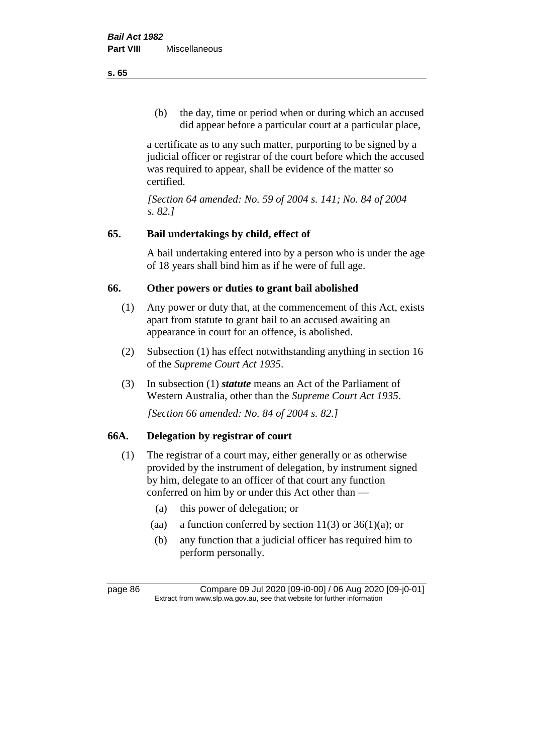(b) the day, time or period when or during which an accused did appear before a particular court at a particular place,

a certificate as to any such matter, purporting to be signed by a judicial officer or registrar of the court before which the accused was required to appear, shall be evidence of the matter so certified.

*[Section 64 amended: No. 59 of 2004 s. 141; No. 84 of 2004 s. 82.]* 

# **65. Bail undertakings by child, effect of**

A bail undertaking entered into by a person who is under the age of 18 years shall bind him as if he were of full age.

# **66. Other powers or duties to grant bail abolished**

- (1) Any power or duty that, at the commencement of this Act, exists apart from statute to grant bail to an accused awaiting an appearance in court for an offence, is abolished.
- (2) Subsection (1) has effect notwithstanding anything in section 16 of the *Supreme Court Act 1935*.
- (3) In subsection (1) *statute* means an Act of the Parliament of Western Australia, other than the *Supreme Court Act 1935*.

*[Section 66 amended: No. 84 of 2004 s. 82.]*

# **66A. Delegation by registrar of court**

- (1) The registrar of a court may, either generally or as otherwise provided by the instrument of delegation, by instrument signed by him, delegate to an officer of that court any function conferred on him by or under this Act other than —
	- (a) this power of delegation; or
	- (aa) a function conferred by section  $11(3)$  or  $36(1)(a)$ ; or
	- (b) any function that a judicial officer has required him to perform personally.

#### **s. 65**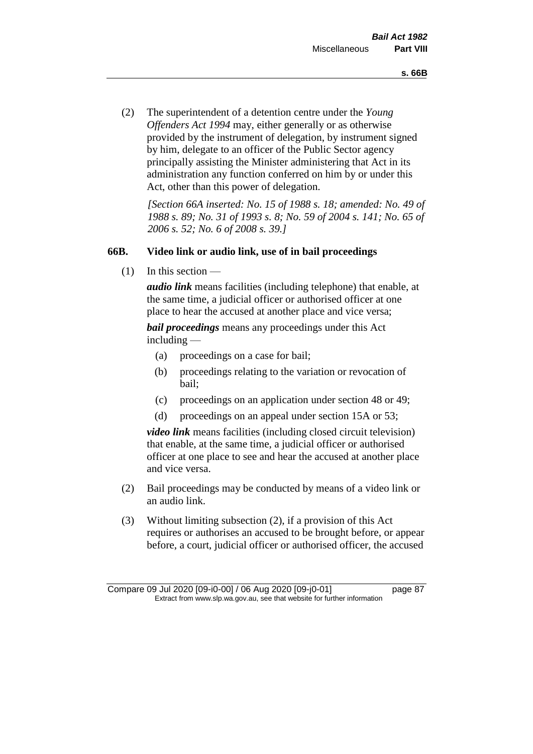(2) The superintendent of a detention centre under the *Young Offenders Act 1994* may, either generally or as otherwise provided by the instrument of delegation, by instrument signed by him, delegate to an officer of the Public Sector agency principally assisting the Minister administering that Act in its administration any function conferred on him by or under this Act, other than this power of delegation.

*[Section 66A inserted: No. 15 of 1988 s. 18; amended: No. 49 of 1988 s. 89; No. 31 of 1993 s. 8; No. 59 of 2004 s. 141; No. 65 of 2006 s. 52; No. 6 of 2008 s. 39.]* 

## **66B. Video link or audio link, use of in bail proceedings**

 $(1)$  In this section —

*audio link* means facilities (including telephone) that enable, at the same time, a judicial officer or authorised officer at one place to hear the accused at another place and vice versa;

*bail proceedings* means any proceedings under this Act including —

- (a) proceedings on a case for bail;
- (b) proceedings relating to the variation or revocation of bail;
- (c) proceedings on an application under section 48 or 49;
- (d) proceedings on an appeal under section 15A or 53;

*video link* means facilities (including closed circuit television) that enable, at the same time, a judicial officer or authorised officer at one place to see and hear the accused at another place and vice versa.

- (2) Bail proceedings may be conducted by means of a video link or an audio link.
- (3) Without limiting subsection (2), if a provision of this Act requires or authorises an accused to be brought before, or appear before, a court, judicial officer or authorised officer, the accused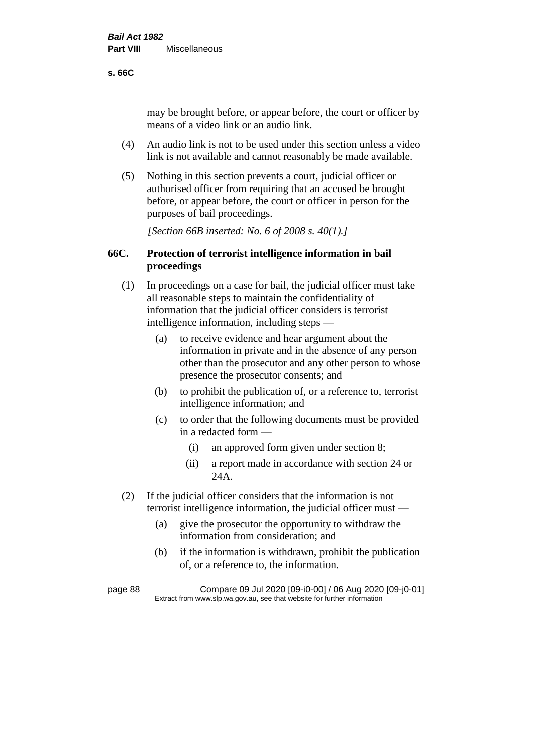#### **s. 66C**

may be brought before, or appear before, the court or officer by means of a video link or an audio link.

- (4) An audio link is not to be used under this section unless a video link is not available and cannot reasonably be made available.
- (5) Nothing in this section prevents a court, judicial officer or authorised officer from requiring that an accused be brought before, or appear before, the court or officer in person for the purposes of bail proceedings.

*[Section 66B inserted: No. 6 of 2008 s. 40(1).]*

# **66C. Protection of terrorist intelligence information in bail proceedings**

- (1) In proceedings on a case for bail, the judicial officer must take all reasonable steps to maintain the confidentiality of information that the judicial officer considers is terrorist intelligence information, including steps —
	- (a) to receive evidence and hear argument about the information in private and in the absence of any person other than the prosecutor and any other person to whose presence the prosecutor consents; and
	- (b) to prohibit the publication of, or a reference to, terrorist intelligence information; and
	- (c) to order that the following documents must be provided in a redacted form —
		- (i) an approved form given under section 8;
		- (ii) a report made in accordance with section 24 or 24A.
- (2) If the judicial officer considers that the information is not terrorist intelligence information, the judicial officer must —
	- (a) give the prosecutor the opportunity to withdraw the information from consideration; and
	- (b) if the information is withdrawn, prohibit the publication of, or a reference to, the information.

page 88 Compare 09 Jul 2020 [09-i0-00] / 06 Aug 2020 [09-j0-01] Extract from www.slp.wa.gov.au, see that website for further information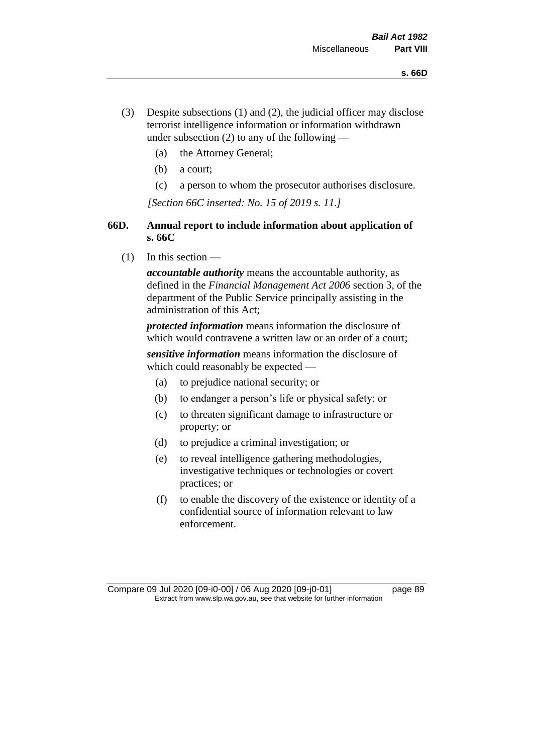- (3) Despite subsections (1) and (2), the judicial officer may disclose terrorist intelligence information or information withdrawn under subsection  $(2)$  to any of the following —
	- (a) the Attorney General;
	- (b) a court;
	- (c) a person to whom the prosecutor authorises disclosure.

*[Section 66C inserted: No. 15 of 2019 s. 11.]*

# **66D. Annual report to include information about application of s. 66C**

 $(1)$  In this section —

*accountable authority* means the accountable authority, as defined in the *Financial Management Act 2006* section 3, of the department of the Public Service principally assisting in the administration of this Act;

*protected information* means information the disclosure of which would contravene a written law or an order of a court;

*sensitive information* means information the disclosure of which could reasonably be expected —

- (a) to prejudice national security; or
- (b) to endanger a person's life or physical safety; or
- (c) to threaten significant damage to infrastructure or property; or
- (d) to prejudice a criminal investigation; or
- (e) to reveal intelligence gathering methodologies, investigative techniques or technologies or covert practices; or
- (f) to enable the discovery of the existence or identity of a confidential source of information relevant to law enforcement.

Compare 09 Jul 2020 [09-i0-00] / 06 Aug 2020 [09-j0-01] page 89 Extract from www.slp.wa.gov.au, see that website for further information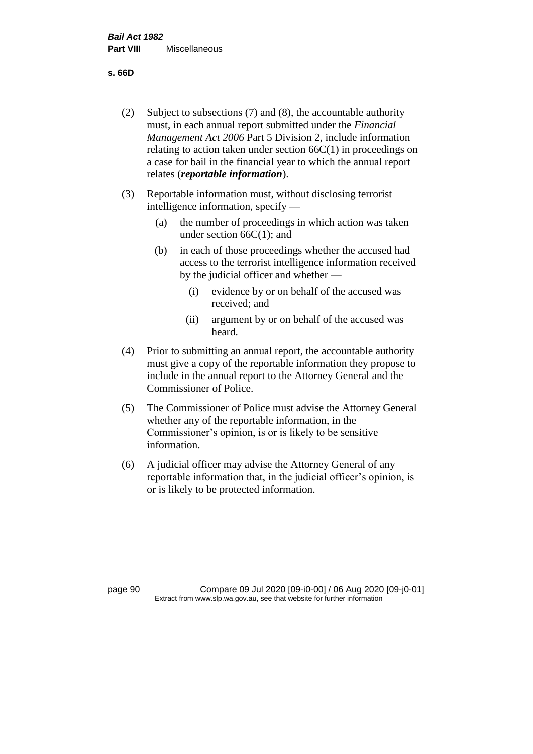**s. 66D**

- (2) Subject to subsections (7) and (8), the accountable authority must, in each annual report submitted under the *Financial Management Act 2006* Part 5 Division 2, include information relating to action taken under section  $66C(1)$  in proceedings on a case for bail in the financial year to which the annual report relates (*reportable information*).
- (3) Reportable information must, without disclosing terrorist intelligence information, specify —
	- (a) the number of proceedings in which action was taken under section  $66C(1)$ ; and
	- (b) in each of those proceedings whether the accused had access to the terrorist intelligence information received by the judicial officer and whether —
		- (i) evidence by or on behalf of the accused was received; and
		- (ii) argument by or on behalf of the accused was heard.
- (4) Prior to submitting an annual report, the accountable authority must give a copy of the reportable information they propose to include in the annual report to the Attorney General and the Commissioner of Police.
- (5) The Commissioner of Police must advise the Attorney General whether any of the reportable information, in the Commissioner's opinion, is or is likely to be sensitive information.
- (6) A judicial officer may advise the Attorney General of any reportable information that, in the judicial officer's opinion, is or is likely to be protected information.

page 90 Compare 09 Jul 2020 [09-i0-00] / 06 Aug 2020 [09-j0-01] Extract from www.slp.wa.gov.au, see that website for further information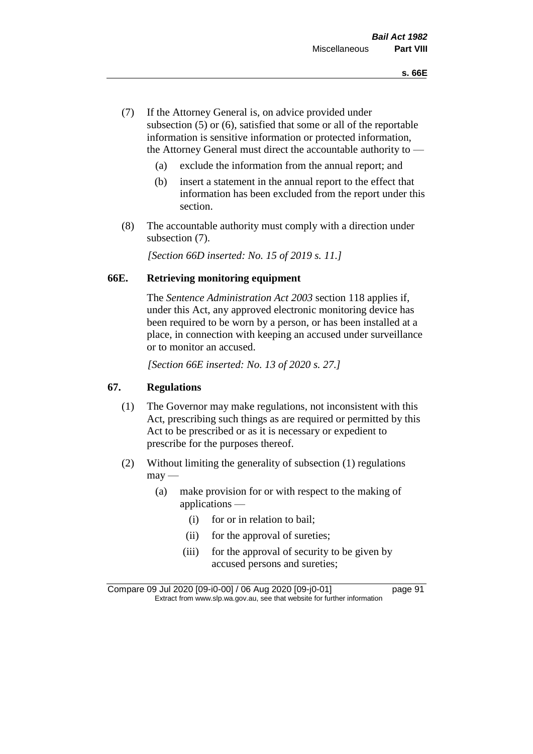- (7) If the Attorney General is, on advice provided under subsection (5) or (6), satisfied that some or all of the reportable information is sensitive information or protected information, the Attorney General must direct the accountable authority to —
	- (a) exclude the information from the annual report; and
	- (b) insert a statement in the annual report to the effect that information has been excluded from the report under this section.
- (8) The accountable authority must comply with a direction under subsection (7).

*[Section 66D inserted: No. 15 of 2019 s. 11.]*

#### **66E. Retrieving monitoring equipment**

The *Sentence Administration Act 2003* section 118 applies if, under this Act, any approved electronic monitoring device has been required to be worn by a person, or has been installed at a place, in connection with keeping an accused under surveillance or to monitor an accused.

*[Section 66E inserted: No. 13 of 2020 s. 27.]*

# **67. Regulations**

- (1) The Governor may make regulations, not inconsistent with this Act, prescribing such things as are required or permitted by this Act to be prescribed or as it is necessary or expedient to prescribe for the purposes thereof.
- (2) Without limiting the generality of subsection (1) regulations  $may$ —
	- (a) make provision for or with respect to the making of applications —
		- (i) for or in relation to bail;
		- (ii) for the approval of sureties;
		- (iii) for the approval of security to be given by accused persons and sureties;

Compare 09 Jul 2020 [09-i0-00] / 06 Aug 2020 [09-j0-01] page 91 Extract from www.slp.wa.gov.au, see that website for further information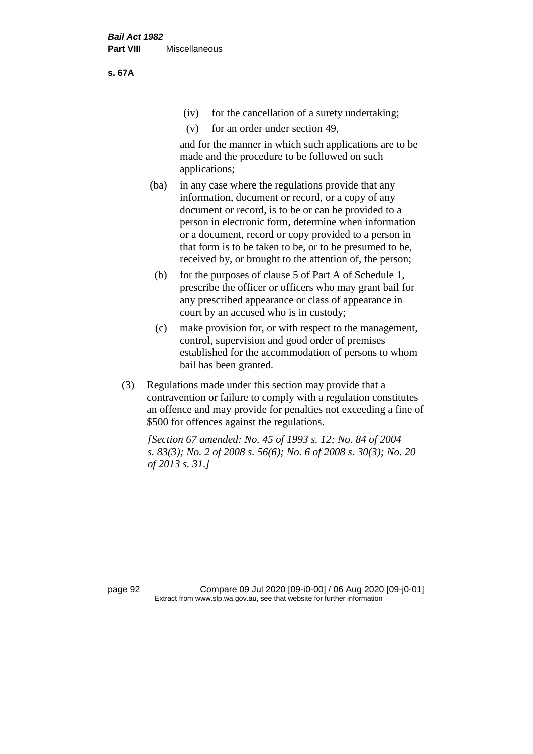(iv) for the cancellation of a surety undertaking;

(v) for an order under section 49,

and for the manner in which such applications are to be made and the procedure to be followed on such applications;

- (ba) in any case where the regulations provide that any information, document or record, or a copy of any document or record, is to be or can be provided to a person in electronic form, determine when information or a document, record or copy provided to a person in that form is to be taken to be, or to be presumed to be, received by, or brought to the attention of, the person;
	- (b) for the purposes of clause 5 of Part A of Schedule 1, prescribe the officer or officers who may grant bail for any prescribed appearance or class of appearance in court by an accused who is in custody;
	- (c) make provision for, or with respect to the management, control, supervision and good order of premises established for the accommodation of persons to whom bail has been granted.
- (3) Regulations made under this section may provide that a contravention or failure to comply with a regulation constitutes an offence and may provide for penalties not exceeding a fine of \$500 for offences against the regulations.

*[Section 67 amended: No. 45 of 1993 s. 12; No. 84 of 2004 s. 83(3); No. 2 of 2008 s. 56(6); No. 6 of 2008 s. 30(3); No. 20 of 2013 s. 31.]* 

page 92 Compare 09 Jul 2020 [09-i0-00] / 06 Aug 2020 [09-j0-01] Extract from www.slp.wa.gov.au, see that website for further information

**s. 67A**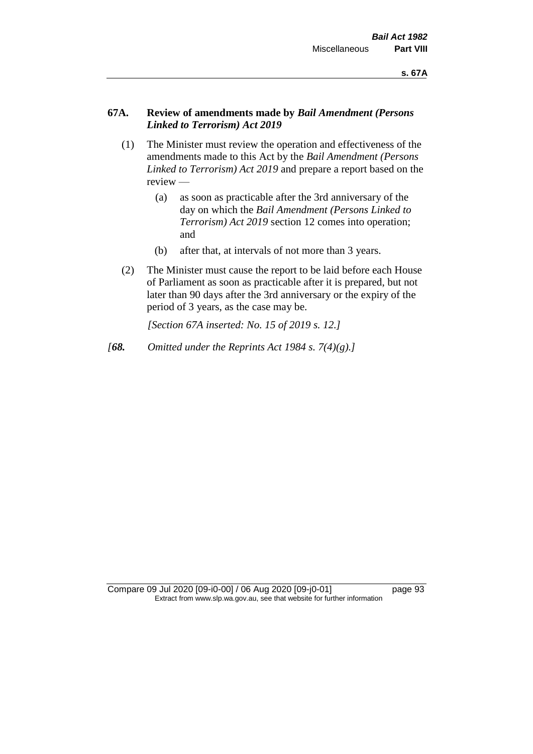# **67A. Review of amendments made by** *Bail Amendment (Persons Linked to Terrorism) Act 2019*

- (1) The Minister must review the operation and effectiveness of the amendments made to this Act by the *Bail Amendment (Persons Linked to Terrorism) Act 2019* and prepare a report based on the review —
	- (a) as soon as practicable after the 3rd anniversary of the day on which the *Bail Amendment (Persons Linked to Terrorism) Act 2019* section 12 comes into operation; and
	- (b) after that, at intervals of not more than 3 years.
- (2) The Minister must cause the report to be laid before each House of Parliament as soon as practicable after it is prepared, but not later than 90 days after the 3rd anniversary or the expiry of the period of 3 years, as the case may be.

*[Section 67A inserted: No. 15 of 2019 s. 12.]*

*[68. Omitted under the Reprints Act 1984 s. 7(4)(g).]*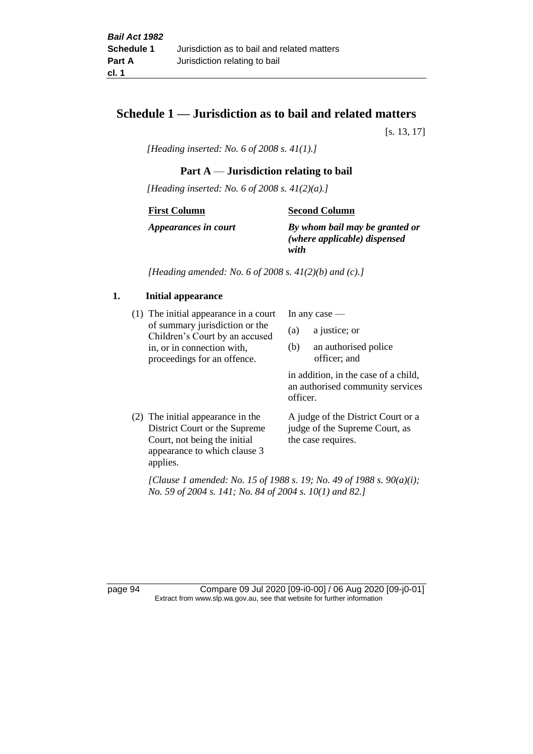# **Schedule 1 — Jurisdiction as to bail and related matters**

[s. 13, 17]

*[Heading inserted: No. 6 of 2008 s. 41(1).]*

# **Part A** — **Jurisdiction relating to bail**

*[Heading inserted: No. 6 of 2008 s. 41(2)(a).]*

**First Column**

**Second Column**

*Appearances in court*

*By whom bail may be granted or (where applicable) dispensed* 

*with*

*[Heading amended: No. 6 of 2008 s. 41(2)(b) and (c).]*

#### **1. Initial appearance**

(1) The initial appearance in a court of summary jurisdiction or the Children's Court by an accused in, or in connection with, proceedings for an offence.

In any case —

- (a) a justice; or
- (b) an authorised police officer; and

in addition, in the case of a child, an authorised community services officer.

(2) The initial appearance in the District Court or the Supreme Court, not being the initial appearance to which clause 3 applies. A judge of the District Court or a judge of the Supreme Court, as the case requires.

*[Clause 1 amended: No. 15 of 1988 s. 19; No. 49 of 1988 s. 90(a)(i); No. 59 of 2004 s. 141; No. 84 of 2004 s. 10(1) and 82.]*

page 94 Compare 09 Jul 2020 [09-i0-00] / 06 Aug 2020 [09-j0-01] Extract from www.slp.wa.gov.au, see that website for further information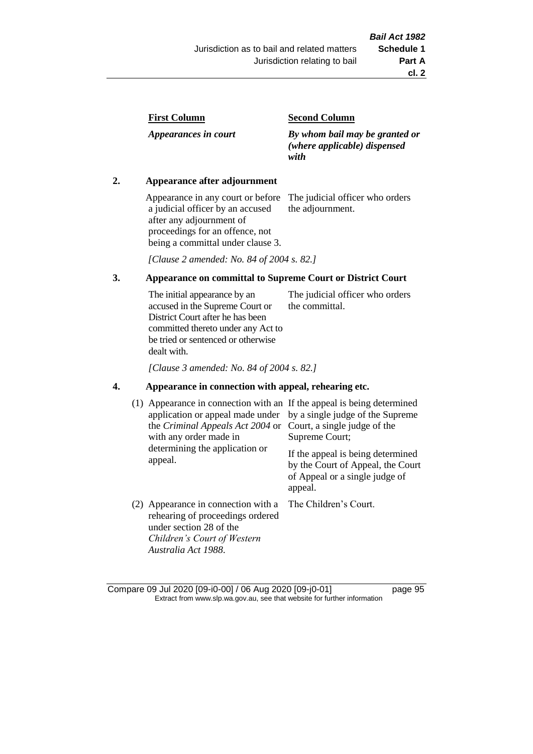| <b>First Column</b> |
|---------------------|
|---------------------|

*Appearances in court*

#### **Second Column**

*By whom bail may be granted or (where applicable) dispensed with*

## **2. Appearance after adjournment**

Appearance in any court or before a judicial officer by an accused after any adjournment of proceedings for an offence, not being a committal under clause 3.

The judicial officer who orders the adjournment.

*[Clause 2 amended: No. 84 of 2004 s. 82.]*

# **3. Appearance on committal to Supreme Court or District Court**

The initial appearance by an accused in the Supreme Court or District Court after he has been committed thereto under any Act to be tried or sentenced or otherwise dealt with. The judicial officer who orders the committal.

*[Clause 3 amended: No. 84 of 2004 s. 82.]*

# **4. Appearance in connection with appeal, rehearing etc.**

| (1) | Appearance in connection with an If the appeal is being determined<br>application or appeal made under<br>the <i>Criminal Appeals Act 2004</i> or<br>with any order made in<br>determining the application or<br>appeal. | by a single judge of the Supreme<br>Court, a single judge of the<br>Supreme Court;<br>If the appeal is being determined<br>by the Court of Appeal, the Court<br>of Appeal or a single judge of<br>appeal. |
|-----|--------------------------------------------------------------------------------------------------------------------------------------------------------------------------------------------------------------------------|-----------------------------------------------------------------------------------------------------------------------------------------------------------------------------------------------------------|
|     | (2) Appearance in connection with a<br>rehearing of proceedings ordered<br>under section 28 of the<br>Children's Court of Western<br>Australia Act 1988.                                                                 | The Children's Court.                                                                                                                                                                                     |

Compare 09 Jul 2020 [09-i0-00] / 06 Aug 2020 [09-j0-01] page 95 Extract from www.slp.wa.gov.au, see that website for further information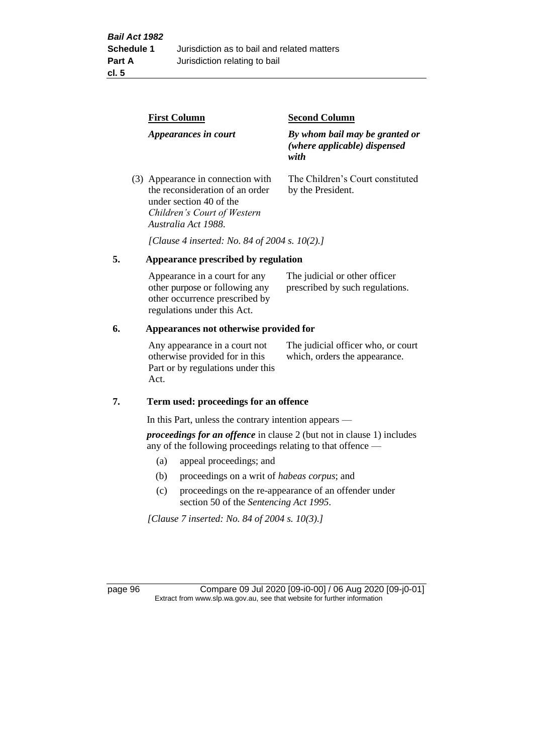**First Column** *Appearances in court* **Second Column** *By whom bail may be granted or (where applicable) dispensed with* (3) Appearance in connection with the reconsideration of an order under section 40 of the *Children's Court of Western Australia Act 1988*. The Children's Court constituted by the President. *[Clause 4 inserted: No. 84 of 2004 s. 10(2).]*

#### **5. Appearance prescribed by regulation**

| Appearance in a court for any  | The judicial or other officer   |
|--------------------------------|---------------------------------|
| other purpose or following any | prescribed by such regulations. |
| other occurrence prescribed by |                                 |
| regulations under this Act.    |                                 |

#### **6. Appearances not otherwise provided for**

Any appearance in a court not otherwise provided for in this Part or by regulations under this Act.

The judicial officer who, or court which, orders the appearance.

#### **7. Term used: proceedings for an offence**

In this Part, unless the contrary intention appears —

*proceedings for an offence* in clause 2 (but not in clause 1) includes any of the following proceedings relating to that offence —

- (a) appeal proceedings; and
- (b) proceedings on a writ of *habeas corpus*; and
- (c) proceedings on the re-appearance of an offender under section 50 of the *Sentencing Act 1995*.

*[Clause 7 inserted: No. 84 of 2004 s. 10(3).]*

page 96 Compare 09 Jul 2020 [09-i0-00] / 06 Aug 2020 [09-j0-01] Extract from www.slp.wa.gov.au, see that website for further information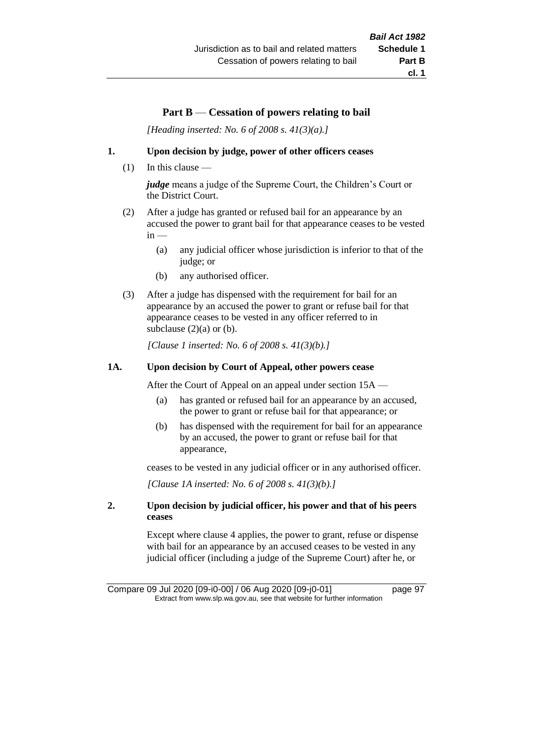# **Part B** — **Cessation of powers relating to bail**

*[Heading inserted: No. 6 of 2008 s. 41(3)(a).]*

### **1. Upon decision by judge, power of other officers ceases**

(1) In this clause —

*judge* means a judge of the Supreme Court, the Children's Court or the District Court.

- (2) After a judge has granted or refused bail for an appearance by an accused the power to grant bail for that appearance ceases to be vested  $in -$ 
	- (a) any judicial officer whose jurisdiction is inferior to that of the judge; or
	- (b) any authorised officer.
- (3) After a judge has dispensed with the requirement for bail for an appearance by an accused the power to grant or refuse bail for that appearance ceases to be vested in any officer referred to in subclause  $(2)(a)$  or  $(b)$ .

*[Clause 1 inserted: No. 6 of 2008 s. 41(3)(b).]*

#### **1A. Upon decision by Court of Appeal, other powers cease**

After the Court of Appeal on an appeal under section 15A —

- (a) has granted or refused bail for an appearance by an accused, the power to grant or refuse bail for that appearance; or
- (b) has dispensed with the requirement for bail for an appearance by an accused, the power to grant or refuse bail for that appearance,

ceases to be vested in any judicial officer or in any authorised officer.

*[Clause 1A inserted: No. 6 of 2008 s. 41(3)(b).]*

## **2. Upon decision by judicial officer, his power and that of his peers ceases**

Except where clause 4 applies, the power to grant, refuse or dispense with bail for an appearance by an accused ceases to be vested in any judicial officer (including a judge of the Supreme Court) after he, or

Compare 09 Jul 2020 [09-i0-00] / 06 Aug 2020 [09-j0-01] page 97 Extract from www.slp.wa.gov.au, see that website for further information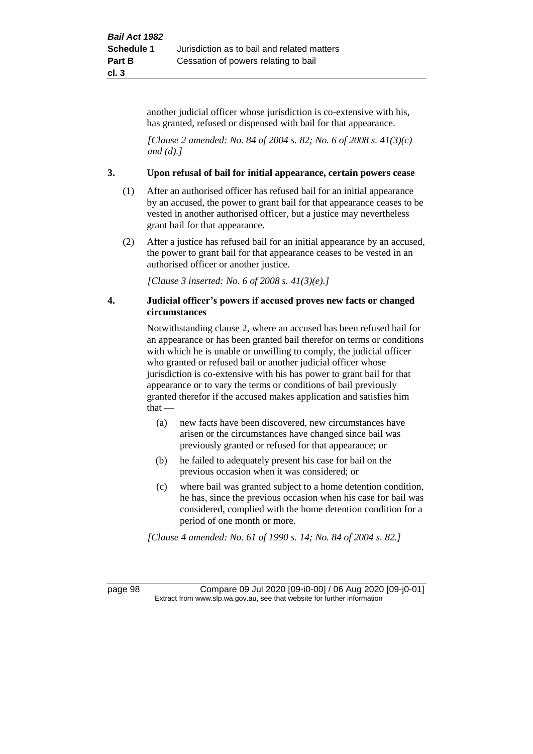another judicial officer whose jurisdiction is co-extensive with his, has granted, refused or dispensed with bail for that appearance.

*[Clause 2 amended: No. 84 of 2004 s. 82; No. 6 of 2008 s. 41(3)(c) and (d).]*

#### **3. Upon refusal of bail for initial appearance, certain powers cease**

- (1) After an authorised officer has refused bail for an initial appearance by an accused, the power to grant bail for that appearance ceases to be vested in another authorised officer, but a justice may nevertheless grant bail for that appearance.
- (2) After a justice has refused bail for an initial appearance by an accused, the power to grant bail for that appearance ceases to be vested in an authorised officer or another justice.

*[Clause 3 inserted: No. 6 of 2008 s. 41(3)(e).]*

#### **4. Judicial officer's powers if accused proves new facts or changed circumstances**

Notwithstanding clause 2, where an accused has been refused bail for an appearance or has been granted bail therefor on terms or conditions with which he is unable or unwilling to comply, the judicial officer who granted or refused bail or another judicial officer whose jurisdiction is co-extensive with his has power to grant bail for that appearance or to vary the terms or conditions of bail previously granted therefor if the accused makes application and satisfies him  $that -$ 

- (a) new facts have been discovered, new circumstances have arisen or the circumstances have changed since bail was previously granted or refused for that appearance; or
- (b) he failed to adequately present his case for bail on the previous occasion when it was considered; or
- (c) where bail was granted subject to a home detention condition, he has, since the previous occasion when his case for bail was considered, complied with the home detention condition for a period of one month or more.

*[Clause 4 amended: No. 61 of 1990 s. 14; No. 84 of 2004 s. 82.]*

page 98 Compare 09 Jul 2020 [09-i0-00] / 06 Aug 2020 [09-j0-01] Extract from www.slp.wa.gov.au, see that website for further information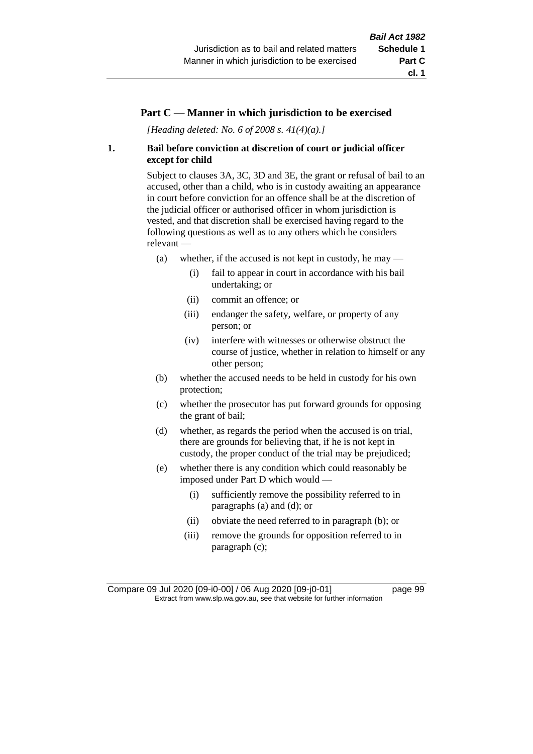## **Part C — Manner in which jurisdiction to be exercised**

*[Heading deleted: No. 6 of 2008 s. 41(4)(a).]*

#### **1. Bail before conviction at discretion of court or judicial officer except for child**

Subject to clauses 3A, 3C, 3D and 3E, the grant or refusal of bail to an accused, other than a child, who is in custody awaiting an appearance in court before conviction for an offence shall be at the discretion of the judicial officer or authorised officer in whom jurisdiction is vested, and that discretion shall be exercised having regard to the following questions as well as to any others which he considers relevant —

- (a) whether, if the accused is not kept in custody, he may  $-$ 
	- (i) fail to appear in court in accordance with his bail undertaking; or
	- (ii) commit an offence; or
	- (iii) endanger the safety, welfare, or property of any person; or
	- (iv) interfere with witnesses or otherwise obstruct the course of justice, whether in relation to himself or any other person;
- (b) whether the accused needs to be held in custody for his own protection;
- (c) whether the prosecutor has put forward grounds for opposing the grant of bail;
- (d) whether, as regards the period when the accused is on trial, there are grounds for believing that, if he is not kept in custody, the proper conduct of the trial may be prejudiced;
- (e) whether there is any condition which could reasonably be imposed under Part D which would —
	- (i) sufficiently remove the possibility referred to in paragraphs (a) and (d); or
	- (ii) obviate the need referred to in paragraph (b); or
	- (iii) remove the grounds for opposition referred to in paragraph (c);

Compare 09 Jul 2020 [09-i0-00] / 06 Aug 2020 [09-j0-01] page 99 Extract from www.slp.wa.gov.au, see that website for further information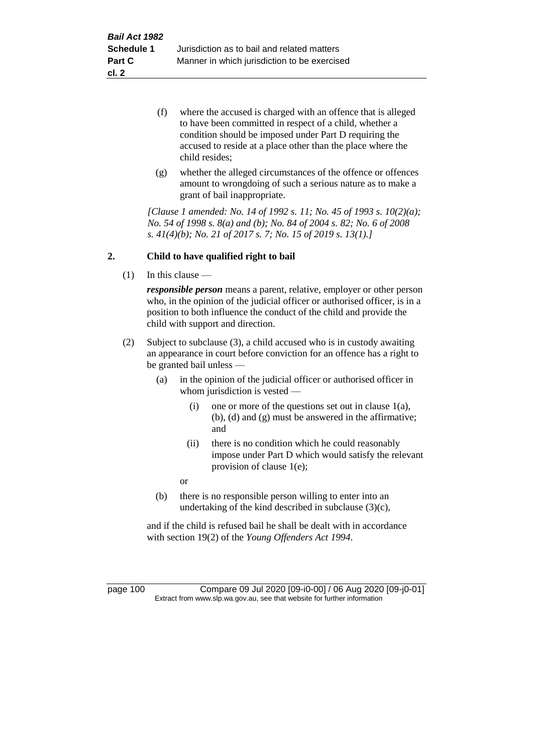- (f) where the accused is charged with an offence that is alleged to have been committed in respect of a child, whether a condition should be imposed under Part D requiring the accused to reside at a place other than the place where the child resides;
- (g) whether the alleged circumstances of the offence or offences amount to wrongdoing of such a serious nature as to make a grant of bail inappropriate.

*[Clause 1 amended: No. 14 of 1992 s. 11; No. 45 of 1993 s. 10(2)(a); No. 54 of 1998 s. 8(a) and (b); No. 84 of 2004 s. 82; No. 6 of 2008 s. 41(4)(b); No. 21 of 2017 s. 7; No. 15 of 2019 s. 13(1).]*

## **2. Child to have qualified right to bail**

(1) In this clause —

*responsible person* means a parent, relative, employer or other person who, in the opinion of the judicial officer or authorised officer, is in a position to both influence the conduct of the child and provide the child with support and direction.

- (2) Subject to subclause (3), a child accused who is in custody awaiting an appearance in court before conviction for an offence has a right to be granted bail unless —
	- (a) in the opinion of the judicial officer or authorised officer in whom jurisdiction is vested —
		- (i) one or more of the questions set out in clause  $1(a)$ , (b), (d) and (g) must be answered in the affirmative; and
		- (ii) there is no condition which he could reasonably impose under Part D which would satisfy the relevant provision of clause 1(e);

or

(b) there is no responsible person willing to enter into an undertaking of the kind described in subclause (3)(c),

and if the child is refused bail he shall be dealt with in accordance with section 19(2) of the *Young Offenders Act 1994*.

page 100 Compare 09 Jul 2020 [09-i0-00] / 06 Aug 2020 [09-j0-01] Extract from www.slp.wa.gov.au, see that website for further information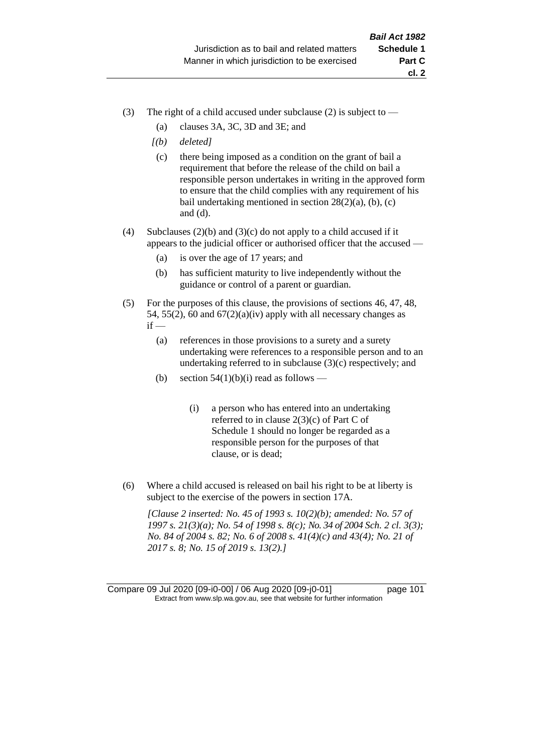- (3) The right of a child accused under subclause (2) is subject to  $-$ 
	- (a) clauses 3A, 3C, 3D and 3E; and
	- *[(b) deleted]*
	- (c) there being imposed as a condition on the grant of bail a requirement that before the release of the child on bail a responsible person undertakes in writing in the approved form to ensure that the child complies with any requirement of his bail undertaking mentioned in section  $28(2)(a)$ , (b), (c) and (d).
- (4) Subclauses (2)(b) and (3)(c) do not apply to a child accused if it appears to the judicial officer or authorised officer that the accused —
	- (a) is over the age of 17 years; and
	- (b) has sufficient maturity to live independently without the guidance or control of a parent or guardian.
- (5) For the purposes of this clause, the provisions of sections 46, 47, 48, 54, 55(2), 60 and  $67(2)(a)(iv)$  apply with all necessary changes as  $if -$ 
	- (a) references in those provisions to a surety and a surety undertaking were references to a responsible person and to an undertaking referred to in subclause (3)(c) respectively; and
	- (b) section  $54(1)(b)(i)$  read as follows
		- (i) a person who has entered into an undertaking referred to in clause 2(3)(c) of Part C of Schedule 1 should no longer be regarded as a responsible person for the purposes of that clause, or is dead;
- (6) Where a child accused is released on bail his right to be at liberty is subject to the exercise of the powers in section 17A.

*[Clause 2 inserted: No. 45 of 1993 s. 10(2)(b); amended: No. 57 of 1997 s. 21(3)(a); No. 54 of 1998 s. 8(c); No. 34 of 2004 Sch. 2 cl. 3(3); No. 84 of 2004 s. 82; No. 6 of 2008 s. 41(4)(c) and 43(4); No. 21 of 2017 s. 8; No. 15 of 2019 s. 13(2).]*

Compare 09 Jul 2020 [09-i0-00] / 06 Aug 2020 [09-j0-01] page 101 Extract from www.slp.wa.gov.au, see that website for further information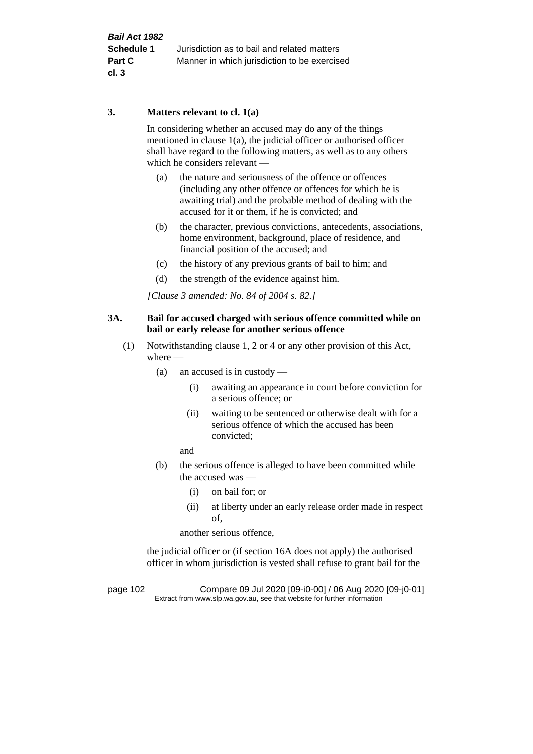### **3. Matters relevant to cl. 1(a)**

In considering whether an accused may do any of the things mentioned in clause 1(a), the judicial officer or authorised officer shall have regard to the following matters, as well as to any others which he considers relevant —

- (a) the nature and seriousness of the offence or offences (including any other offence or offences for which he is awaiting trial) and the probable method of dealing with the accused for it or them, if he is convicted; and
- (b) the character, previous convictions, antecedents, associations, home environment, background, place of residence, and financial position of the accused; and
- (c) the history of any previous grants of bail to him; and
- (d) the strength of the evidence against him.

*[Clause 3 amended: No. 84 of 2004 s. 82.]*

### **3A. Bail for accused charged with serious offence committed while on bail or early release for another serious offence**

- (1) Notwithstanding clause 1, 2 or 4 or any other provision of this Act, where —
	- (a) an accused is in custody
		- (i) awaiting an appearance in court before conviction for a serious offence; or
		- (ii) waiting to be sentenced or otherwise dealt with for a serious offence of which the accused has been convicted;

and

- (b) the serious offence is alleged to have been committed while the accused was —
	- (i) on bail for; or
	- (ii) at liberty under an early release order made in respect of,

another serious offence,

the judicial officer or (if section 16A does not apply) the authorised officer in whom jurisdiction is vested shall refuse to grant bail for the

page 102 Compare 09 Jul 2020 [09-i0-00] / 06 Aug 2020 [09-j0-01] Extract from www.slp.wa.gov.au, see that website for further information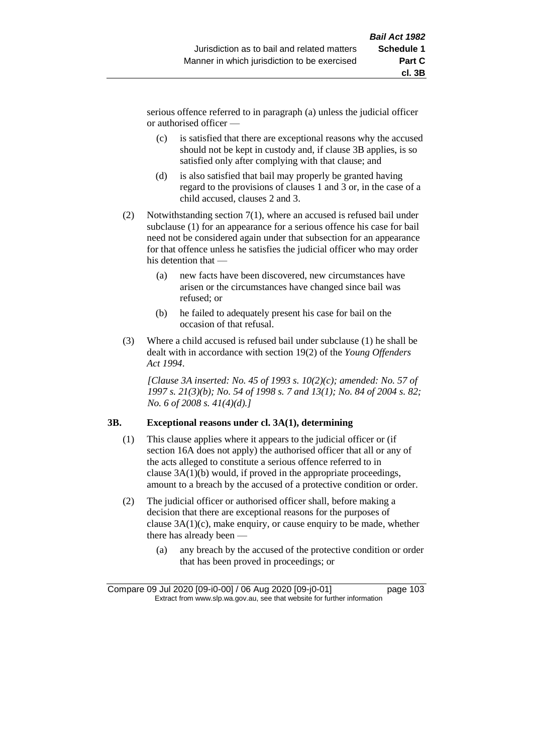serious offence referred to in paragraph (a) unless the judicial officer or authorised officer —

- (c) is satisfied that there are exceptional reasons why the accused should not be kept in custody and, if clause 3B applies, is so satisfied only after complying with that clause; and
- (d) is also satisfied that bail may properly be granted having regard to the provisions of clauses 1 and 3 or, in the case of a child accused, clauses 2 and 3.
- (2) Notwithstanding section 7(1), where an accused is refused bail under subclause (1) for an appearance for a serious offence his case for bail need not be considered again under that subsection for an appearance for that offence unless he satisfies the judicial officer who may order his detention that —
	- (a) new facts have been discovered, new circumstances have arisen or the circumstances have changed since bail was refused; or
	- (b) he failed to adequately present his case for bail on the occasion of that refusal.
- (3) Where a child accused is refused bail under subclause (1) he shall be dealt with in accordance with section 19(2) of the *Young Offenders Act 1994*.

*[Clause 3A inserted: No. 45 of 1993 s. 10(2)(c); amended: No. 57 of 1997 s. 21(3)(b); No. 54 of 1998 s. 7 and 13(1); No. 84 of 2004 s. 82; No. 6 of 2008 s. 41(4)(d).]*

#### **3B. Exceptional reasons under cl. 3A(1), determining**

- (1) This clause applies where it appears to the judicial officer or (if section 16A does not apply) the authorised officer that all or any of the acts alleged to constitute a serious offence referred to in clause 3A(1)(b) would, if proved in the appropriate proceedings, amount to a breach by the accused of a protective condition or order.
- (2) The judicial officer or authorised officer shall, before making a decision that there are exceptional reasons for the purposes of clause 3A(1)(c), make enquiry, or cause enquiry to be made, whether there has already been —
	- (a) any breach by the accused of the protective condition or order that has been proved in proceedings; or

Compare 09 Jul 2020 [09-i0-00] / 06 Aug 2020 [09-j0-01] page 103 Extract from www.slp.wa.gov.au, see that website for further information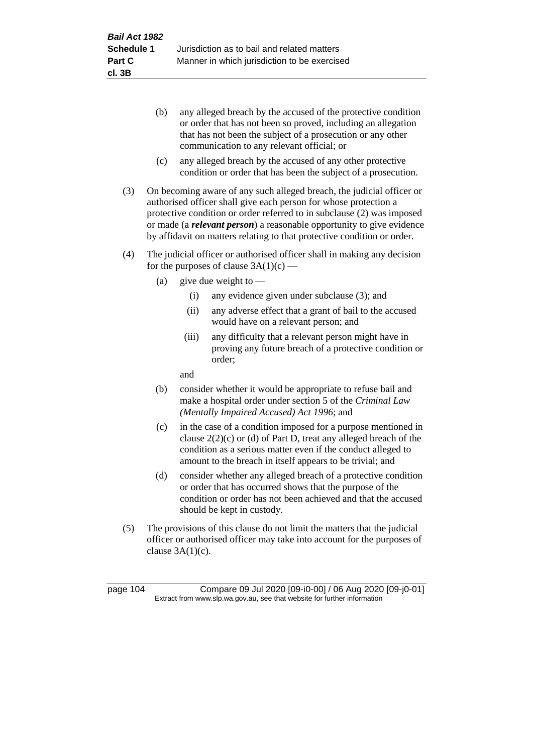- (b) any alleged breach by the accused of the protective condition or order that has not been so proved, including an allegation that has not been the subject of a prosecution or any other communication to any relevant official; or
- (c) any alleged breach by the accused of any other protective condition or order that has been the subject of a prosecution.
- (3) On becoming aware of any such alleged breach, the judicial officer or authorised officer shall give each person for whose protection a protective condition or order referred to in subclause (2) was imposed or made (a *relevant person*) a reasonable opportunity to give evidence by affidavit on matters relating to that protective condition or order.
- (4) The judicial officer or authorised officer shall in making any decision for the purposes of clause  $3A(1)(c)$  —
	- (a) give due weight to  $-$ 
		- (i) any evidence given under subclause (3); and
		- (ii) any adverse effect that a grant of bail to the accused would have on a relevant person; and
		- (iii) any difficulty that a relevant person might have in proving any future breach of a protective condition or order;

and

- (b) consider whether it would be appropriate to refuse bail and make a hospital order under section 5 of the *Criminal Law (Mentally Impaired Accused) Act 1996*; and
- (c) in the case of a condition imposed for a purpose mentioned in clause  $2(2)(c)$  or (d) of Part D, treat any alleged breach of the condition as a serious matter even if the conduct alleged to amount to the breach in itself appears to be trivial; and
- (d) consider whether any alleged breach of a protective condition or order that has occurred shows that the purpose of the condition or order has not been achieved and that the accused should be kept in custody.
- (5) The provisions of this clause do not limit the matters that the judicial officer or authorised officer may take into account for the purposes of clause  $3A(1)(c)$ .

page 104 Compare 09 Jul 2020 [09-i0-00] / 06 Aug 2020 [09-j0-01] Extract from www.slp.wa.gov.au, see that website for further information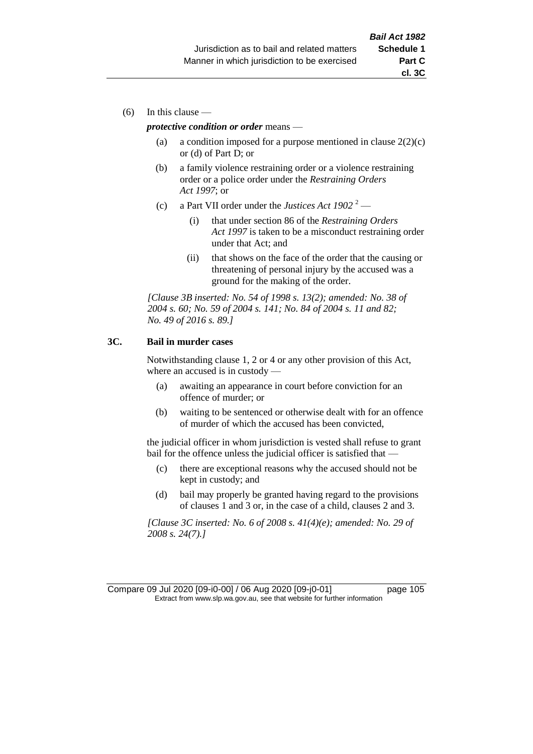(6) In this clause —

#### *protective condition or order* means —

- (a) a condition imposed for a purpose mentioned in clause  $2(2)(c)$ or (d) of Part D; or
- (b) a family violence restraining order or a violence restraining order or a police order under the *Restraining Orders Act 1997*; or
- (c) a Part VII order under the *Justices Act 1902* <sup>2</sup>
	- (i) that under section 86 of the *Restraining Orders Act 1997* is taken to be a misconduct restraining order under that Act; and
	- (ii) that shows on the face of the order that the causing or threatening of personal injury by the accused was a ground for the making of the order.

*[Clause 3B inserted: No. 54 of 1998 s. 13(2); amended: No. 38 of 2004 s. 60; No. 59 of 2004 s. 141; No. 84 of 2004 s. 11 and 82; No. 49 of 2016 s. 89.]*

### **3C. Bail in murder cases**

Notwithstanding clause 1, 2 or 4 or any other provision of this Act, where an accused is in custody —

- (a) awaiting an appearance in court before conviction for an offence of murder; or
- (b) waiting to be sentenced or otherwise dealt with for an offence of murder of which the accused has been convicted,

the judicial officer in whom jurisdiction is vested shall refuse to grant bail for the offence unless the judicial officer is satisfied that —

- (c) there are exceptional reasons why the accused should not be kept in custody; and
- (d) bail may properly be granted having regard to the provisions of clauses 1 and 3 or, in the case of a child, clauses 2 and 3.

*[Clause 3C inserted: No. 6 of 2008 s. 41(4)(e); amended: No. 29 of 2008 s. 24(7).]*

Compare 09 Jul 2020 [09-i0-00] / 06 Aug 2020 [09-j0-01] page 105 Extract from www.slp.wa.gov.au, see that website for further information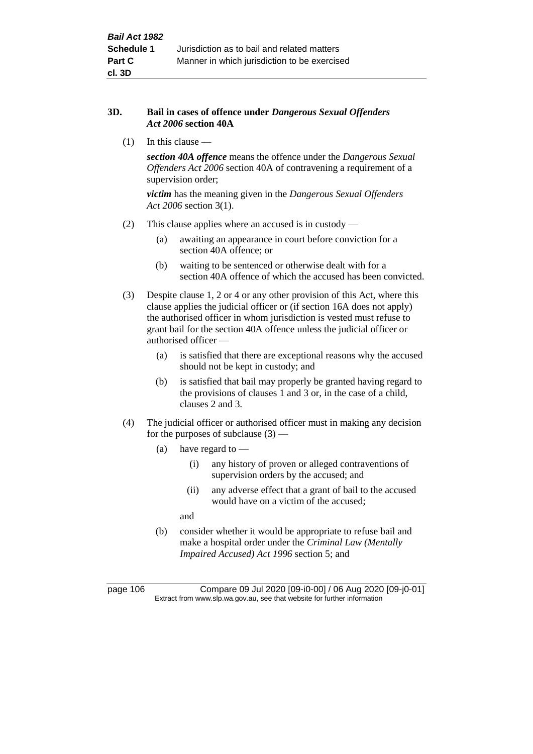#### **3D. Bail in cases of offence under** *Dangerous Sexual Offenders Act 2006* **section 40A**

(1) In this clause —

*section 40A offence* means the offence under the *Dangerous Sexual Offenders Act 2006* section 40A of contravening a requirement of a supervision order;

*victim* has the meaning given in the *Dangerous Sexual Offenders Act 2006* section 3(1).

- (2) This clause applies where an accused is in custody
	- (a) awaiting an appearance in court before conviction for a section 40A offence; or
	- (b) waiting to be sentenced or otherwise dealt with for a section 40A offence of which the accused has been convicted.
- (3) Despite clause 1, 2 or 4 or any other provision of this Act, where this clause applies the judicial officer or (if section 16A does not apply) the authorised officer in whom jurisdiction is vested must refuse to grant bail for the section 40A offence unless the judicial officer or authorised officer —
	- (a) is satisfied that there are exceptional reasons why the accused should not be kept in custody; and
	- (b) is satisfied that bail may properly be granted having regard to the provisions of clauses 1 and 3 or, in the case of a child, clauses 2 and 3.
- (4) The judicial officer or authorised officer must in making any decision for the purposes of subclause  $(3)$  —
	- (a) have regard to
		- (i) any history of proven or alleged contraventions of supervision orders by the accused; and
		- (ii) any adverse effect that a grant of bail to the accused would have on a victim of the accused;

and

(b) consider whether it would be appropriate to refuse bail and make a hospital order under the *Criminal Law (Mentally Impaired Accused) Act 1996* section 5; and

page 106 Compare 09 Jul 2020 [09-i0-00] / 06 Aug 2020 [09-j0-01] Extract from www.slp.wa.gov.au, see that website for further information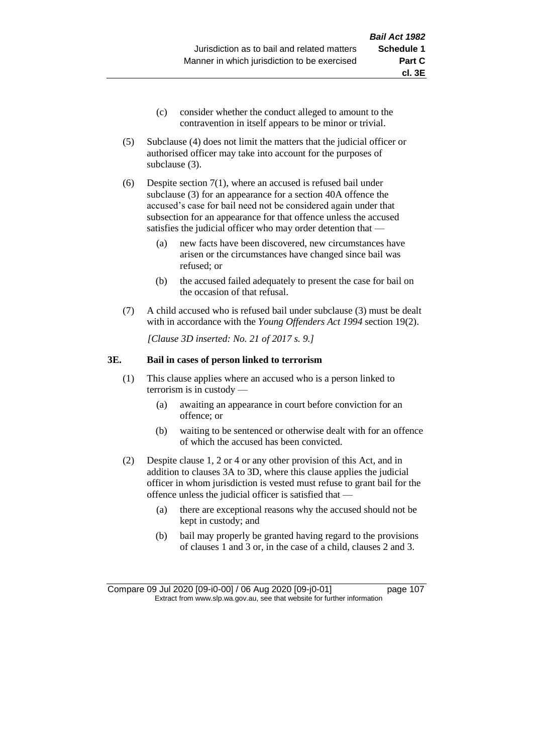- (c) consider whether the conduct alleged to amount to the contravention in itself appears to be minor or trivial.
- (5) Subclause (4) does not limit the matters that the judicial officer or authorised officer may take into account for the purposes of subclause (3).
- (6) Despite section 7(1), where an accused is refused bail under subclause (3) for an appearance for a section 40A offence the accused's case for bail need not be considered again under that subsection for an appearance for that offence unless the accused satisfies the judicial officer who may order detention that —
	- (a) new facts have been discovered, new circumstances have arisen or the circumstances have changed since bail was refused; or
	- (b) the accused failed adequately to present the case for bail on the occasion of that refusal.
- (7) A child accused who is refused bail under subclause (3) must be dealt with in accordance with the *Young Offenders Act 1994* section 19(2).

*[Clause 3D inserted: No. 21 of 2017 s. 9.]*

#### **3E. Bail in cases of person linked to terrorism**

- (1) This clause applies where an accused who is a person linked to terrorism is in custody —
	- (a) awaiting an appearance in court before conviction for an offence; or
	- (b) waiting to be sentenced or otherwise dealt with for an offence of which the accused has been convicted.
- (2) Despite clause 1, 2 or 4 or any other provision of this Act, and in addition to clauses 3A to 3D, where this clause applies the judicial officer in whom jurisdiction is vested must refuse to grant bail for the offence unless the judicial officer is satisfied that —
	- (a) there are exceptional reasons why the accused should not be kept in custody; and
	- (b) bail may properly be granted having regard to the provisions of clauses 1 and 3 or, in the case of a child, clauses 2 and 3.

Compare 09 Jul 2020 [09-i0-00] / 06 Aug 2020 [09-j0-01] page 107 Extract from www.slp.wa.gov.au, see that website for further information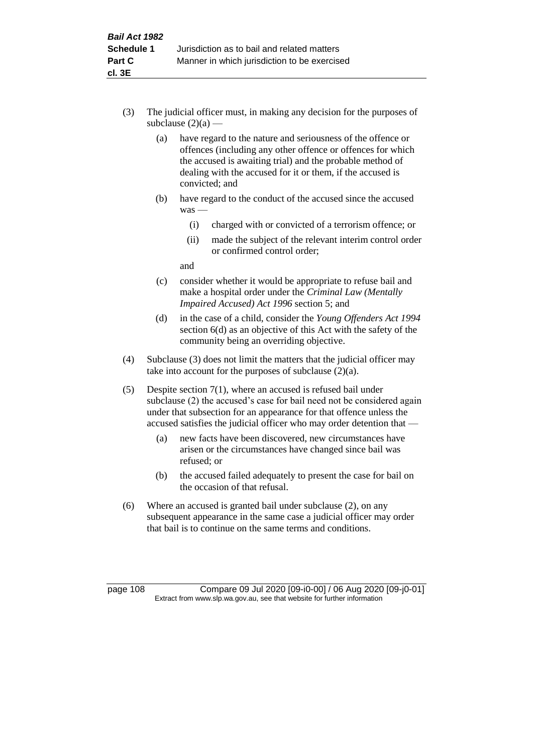- (3) The judicial officer must, in making any decision for the purposes of subclause  $(2)(a)$  —
	- (a) have regard to the nature and seriousness of the offence or offences (including any other offence or offences for which the accused is awaiting trial) and the probable method of dealing with the accused for it or them, if the accused is convicted; and
	- (b) have regard to the conduct of the accused since the accused was —
		- (i) charged with or convicted of a terrorism offence; or
		- (ii) made the subject of the relevant interim control order or confirmed control order;

and

- (c) consider whether it would be appropriate to refuse bail and make a hospital order under the *Criminal Law (Mentally Impaired Accused) Act 1996* section 5; and
- (d) in the case of a child, consider the *Young Offenders Act 1994* section 6(d) as an objective of this Act with the safety of the community being an overriding objective.
- (4) Subclause (3) does not limit the matters that the judicial officer may take into account for the purposes of subclause  $(2)(a)$ .
- (5) Despite section 7(1), where an accused is refused bail under subclause (2) the accused's case for bail need not be considered again under that subsection for an appearance for that offence unless the accused satisfies the judicial officer who may order detention that —
	- (a) new facts have been discovered, new circumstances have arisen or the circumstances have changed since bail was refused; or
	- (b) the accused failed adequately to present the case for bail on the occasion of that refusal.
- (6) Where an accused is granted bail under subclause (2), on any subsequent appearance in the same case a judicial officer may order that bail is to continue on the same terms and conditions.

page 108 Compare 09 Jul 2020 [09-i0-00] / 06 Aug 2020 [09-j0-01] Extract from www.slp.wa.gov.au, see that website for further information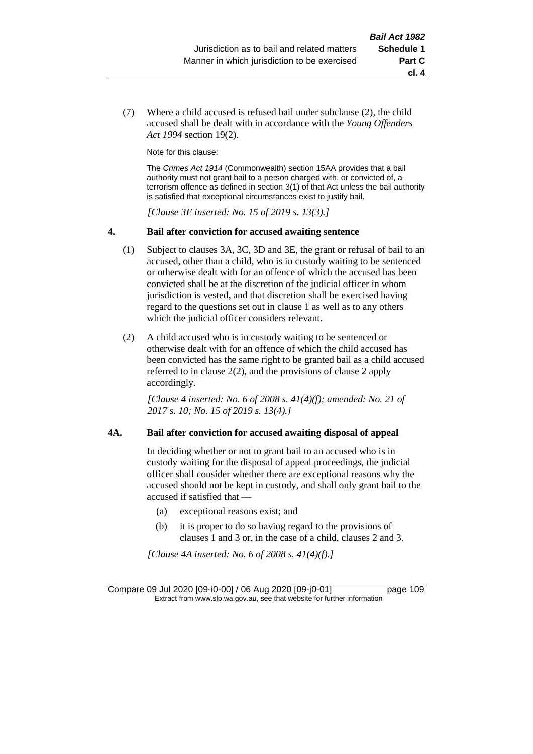**cl. 4**

(7) Where a child accused is refused bail under subclause (2), the child accused shall be dealt with in accordance with the *Young Offenders Act 1994* section 19(2).

Note for this clause:

The *Crimes Act 1914* (Commonwealth) section 15AA provides that a bail authority must not grant bail to a person charged with, or convicted of, a terrorism offence as defined in section 3(1) of that Act unless the bail authority is satisfied that exceptional circumstances exist to justify bail.

*[Clause 3E inserted: No. 15 of 2019 s. 13(3).]*

#### **4. Bail after conviction for accused awaiting sentence**

- (1) Subject to clauses 3A, 3C, 3D and 3E, the grant or refusal of bail to an accused, other than a child, who is in custody waiting to be sentenced or otherwise dealt with for an offence of which the accused has been convicted shall be at the discretion of the judicial officer in whom jurisdiction is vested, and that discretion shall be exercised having regard to the questions set out in clause 1 as well as to any others which the judicial officer considers relevant.
- (2) A child accused who is in custody waiting to be sentenced or otherwise dealt with for an offence of which the child accused has been convicted has the same right to be granted bail as a child accused referred to in clause 2(2), and the provisions of clause 2 apply accordingly.

*[Clause 4 inserted: No. 6 of 2008 s. 41(4)(f); amended: No. 21 of 2017 s. 10; No. 15 of 2019 s. 13(4).]*

#### **4A. Bail after conviction for accused awaiting disposal of appeal**

In deciding whether or not to grant bail to an accused who is in custody waiting for the disposal of appeal proceedings, the judicial officer shall consider whether there are exceptional reasons why the accused should not be kept in custody, and shall only grant bail to the accused if satisfied that —

- (a) exceptional reasons exist; and
- (b) it is proper to do so having regard to the provisions of clauses 1 and 3 or, in the case of a child, clauses 2 and 3.

*[Clause 4A inserted: No. 6 of 2008 s. 41(4)(f).]*

Compare 09 Jul 2020 [09-i0-00] / 06 Aug 2020 [09-j0-01] page 109 Extract from www.slp.wa.gov.au, see that website for further information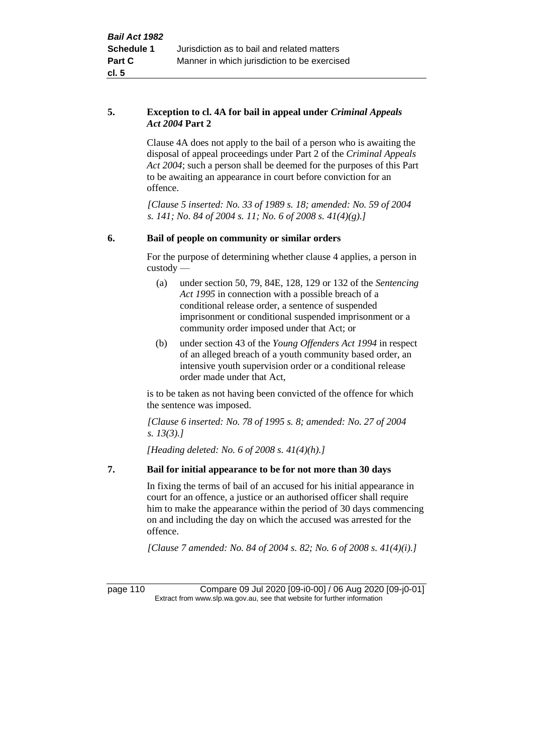#### **5. Exception to cl. 4A for bail in appeal under** *Criminal Appeals Act 2004* **Part 2**

Clause 4A does not apply to the bail of a person who is awaiting the disposal of appeal proceedings under Part 2 of the *Criminal Appeals Act 2004*; such a person shall be deemed for the purposes of this Part to be awaiting an appearance in court before conviction for an offence.

*[Clause 5 inserted: No. 33 of 1989 s. 18; amended: No. 59 of 2004 s. 141; No. 84 of 2004 s. 11; No. 6 of 2008 s. 41(4)(g).]*

## **6. Bail of people on community or similar orders**

For the purpose of determining whether clause 4 applies, a person in custody —

- (a) under section 50, 79, 84E, 128, 129 or 132 of the *Sentencing Act 1995* in connection with a possible breach of a conditional release order, a sentence of suspended imprisonment or conditional suspended imprisonment or a community order imposed under that Act; or
- (b) under section 43 of the *Young Offenders Act 1994* in respect of an alleged breach of a youth community based order, an intensive youth supervision order or a conditional release order made under that Act,

is to be taken as not having been convicted of the offence for which the sentence was imposed.

*[Clause 6 inserted: No. 78 of 1995 s. 8; amended: No. 27 of 2004 s. 13(3).]*

*[Heading deleted: No. 6 of 2008 s. 41(4)(h).]*

# **7. Bail for initial appearance to be for not more than 30 days**

In fixing the terms of bail of an accused for his initial appearance in court for an offence, a justice or an authorised officer shall require him to make the appearance within the period of 30 days commencing on and including the day on which the accused was arrested for the offence.

*[Clause 7 amended: No. 84 of 2004 s. 82; No. 6 of 2008 s. 41(4)(i).]*

page 110 Compare 09 Jul 2020 [09-i0-00] / 06 Aug 2020 [09-j0-01] Extract from www.slp.wa.gov.au, see that website for further information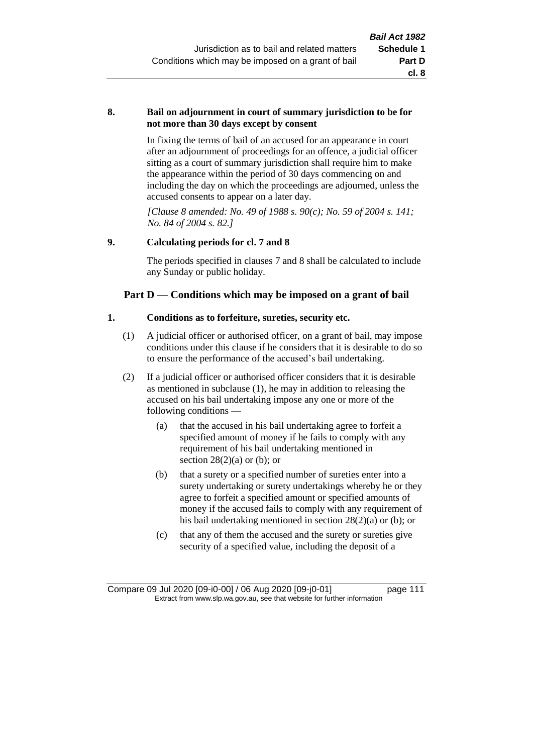#### **8. Bail on adjournment in court of summary jurisdiction to be for not more than 30 days except by consent**

In fixing the terms of bail of an accused for an appearance in court after an adjournment of proceedings for an offence, a judicial officer sitting as a court of summary jurisdiction shall require him to make the appearance within the period of 30 days commencing on and including the day on which the proceedings are adjourned, unless the accused consents to appear on a later day.

*[Clause 8 amended: No. 49 of 1988 s. 90(c); No. 59 of 2004 s. 141; No. 84 of 2004 s. 82.]*

# **9. Calculating periods for cl. 7 and 8**

The periods specified in clauses 7 and 8 shall be calculated to include any Sunday or public holiday.

# **Part D — Conditions which may be imposed on a grant of bail**

# **1. Conditions as to forfeiture, sureties, security etc.**

- (1) A judicial officer or authorised officer, on a grant of bail, may impose conditions under this clause if he considers that it is desirable to do so to ensure the performance of the accused's bail undertaking.
- (2) If a judicial officer or authorised officer considers that it is desirable as mentioned in subclause (1), he may in addition to releasing the accused on his bail undertaking impose any one or more of the following conditions —
	- (a) that the accused in his bail undertaking agree to forfeit a specified amount of money if he fails to comply with any requirement of his bail undertaking mentioned in section  $28(2)(a)$  or (b); or
	- (b) that a surety or a specified number of sureties enter into a surety undertaking or surety undertakings whereby he or they agree to forfeit a specified amount or specified amounts of money if the accused fails to comply with any requirement of his bail undertaking mentioned in section 28(2)(a) or (b); or
	- (c) that any of them the accused and the surety or sureties give security of a specified value, including the deposit of a

Compare 09 Jul 2020 [09-i0-00] / 06 Aug 2020 [09-j0-01] page 111 Extract from www.slp.wa.gov.au, see that website for further information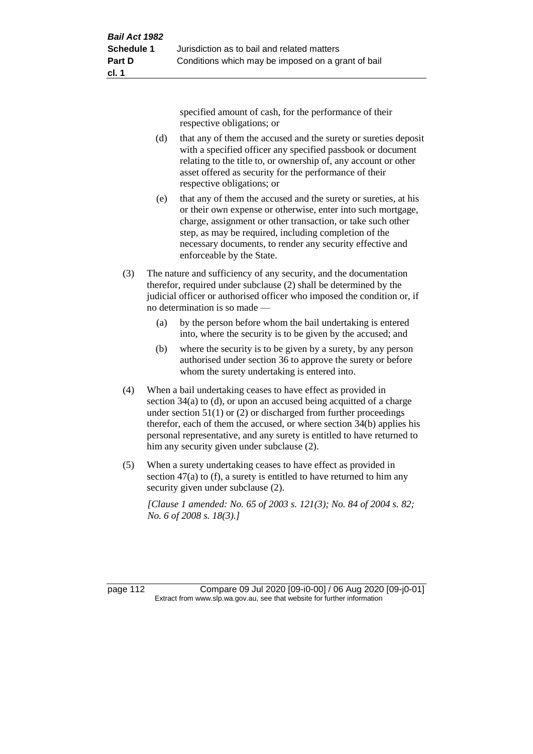specified amount of cash, for the performance of their respective obligations; or

- (d) that any of them the accused and the surety or sureties deposit with a specified officer any specified passbook or document relating to the title to, or ownership of, any account or other asset offered as security for the performance of their respective obligations; or
- (e) that any of them the accused and the surety or sureties, at his or their own expense or otherwise, enter into such mortgage, charge, assignment or other transaction, or take such other step, as may be required, including completion of the necessary documents, to render any security effective and enforceable by the State.
- (3) The nature and sufficiency of any security, and the documentation therefor, required under subclause (2) shall be determined by the judicial officer or authorised officer who imposed the condition or, if no determination is so made —
	- (a) by the person before whom the bail undertaking is entered into, where the security is to be given by the accused; and
	- (b) where the security is to be given by a surety, by any person authorised under section 36 to approve the surety or before whom the surety undertaking is entered into.
- (4) When a bail undertaking ceases to have effect as provided in section 34(a) to (d), or upon an accused being acquitted of a charge under section  $51(1)$  or (2) or discharged from further proceedings therefor, each of them the accused, or where section 34(b) applies his personal representative, and any surety is entitled to have returned to him any security given under subclause (2).
- (5) When a surety undertaking ceases to have effect as provided in section 47(a) to (f), a surety is entitled to have returned to him any security given under subclause (2).

*[Clause 1 amended: No. 65 of 2003 s. 121(3); No. 84 of 2004 s. 82; No. 6 of 2008 s. 18(3).]*

page 112 Compare 09 Jul 2020 [09-i0-00] / 06 Aug 2020 [09-j0-01] Extract from www.slp.wa.gov.au, see that website for further information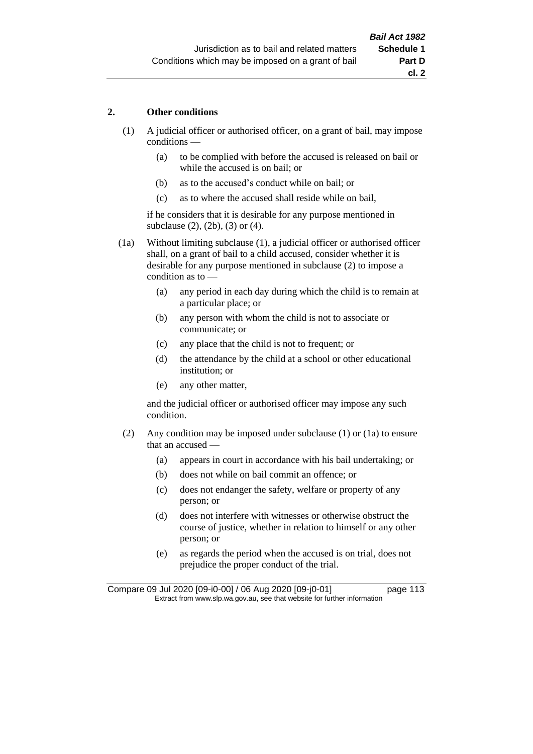#### **2. Other conditions**

- (1) A judicial officer or authorised officer, on a grant of bail, may impose conditions —
	- (a) to be complied with before the accused is released on bail or while the accused is on bail; or
	- (b) as to the accused's conduct while on bail; or
	- (c) as to where the accused shall reside while on bail,

if he considers that it is desirable for any purpose mentioned in subclause (2), (2b), (3) or (4).

(1a) Without limiting subclause (1), a judicial officer or authorised officer shall, on a grant of bail to a child accused, consider whether it is desirable for any purpose mentioned in subclause (2) to impose a condition as to —

- (a) any period in each day during which the child is to remain at a particular place; or
- (b) any person with whom the child is not to associate or communicate; or
- (c) any place that the child is not to frequent; or
- (d) the attendance by the child at a school or other educational institution; or
- (e) any other matter,

and the judicial officer or authorised officer may impose any such condition.

- (2) Any condition may be imposed under subclause (1) or (1a) to ensure that an accused —
	- (a) appears in court in accordance with his bail undertaking; or
	- (b) does not while on bail commit an offence; or
	- (c) does not endanger the safety, welfare or property of any person; or
	- (d) does not interfere with witnesses or otherwise obstruct the course of justice, whether in relation to himself or any other person; or
	- (e) as regards the period when the accused is on trial, does not prejudice the proper conduct of the trial.

Compare 09 Jul 2020 [09-i0-00] / 06 Aug 2020 [09-j0-01] page 113 Extract from www.slp.wa.gov.au, see that website for further information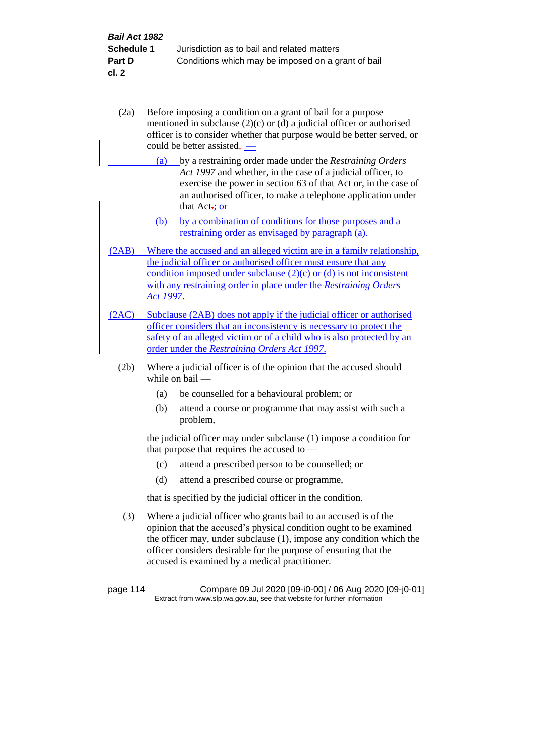| <b>Bail Act 1982</b> |                                                    |
|----------------------|----------------------------------------------------|
| <b>Schedule 1</b>    | Jurisdiction as to bail and related matters        |
| <b>Part D</b>        | Conditions which may be imposed on a grant of bail |
| cl. 2                |                                                    |

- (2a) Before imposing a condition on a grant of bail for a purpose mentioned in subclause (2)(c) or (d) a judicial officer or authorised officer is to consider whether that purpose would be better served, or could be better assisted $\overline{\phantom{a}}$  –
	- (a) by a restraining order made under the *Restraining Orders Act 1997* and whether, in the case of a judicial officer, to exercise the power in section 63 of that Act or, in the case of an authorised officer, to make a telephone application under that Act-; or
- (b) by a combination of conditions for those purposes and a restraining order as envisaged by paragraph (a).
- (2AB) Where the accused and an alleged victim are in a family relationship, the judicial officer or authorised officer must ensure that any condition imposed under subclause  $(2)(c)$  or  $(d)$  is not inconsistent with any restraining order in place under the *Restraining Orders Act 1997*.
- (2AC) Subclause (2AB) does not apply if the judicial officer or authorised officer considers that an inconsistency is necessary to protect the safety of an alleged victim or of a child who is also protected by an order under the *Restraining Orders Act 1997*.
	- (2b) Where a judicial officer is of the opinion that the accused should while on bail —
		- (a) be counselled for a behavioural problem; or
		- (b) attend a course or programme that may assist with such a problem,

the judicial officer may under subclause (1) impose a condition for that purpose that requires the accused to —

- (c) attend a prescribed person to be counselled; or
- (d) attend a prescribed course or programme,

that is specified by the judicial officer in the condition.

(3) Where a judicial officer who grants bail to an accused is of the opinion that the accused's physical condition ought to be examined the officer may, under subclause (1), impose any condition which the officer considers desirable for the purpose of ensuring that the accused is examined by a medical practitioner.

page 114 Compare 09 Jul 2020 [09-i0-00] / 06 Aug 2020 [09-j0-01] Extract from www.slp.wa.gov.au, see that website for further information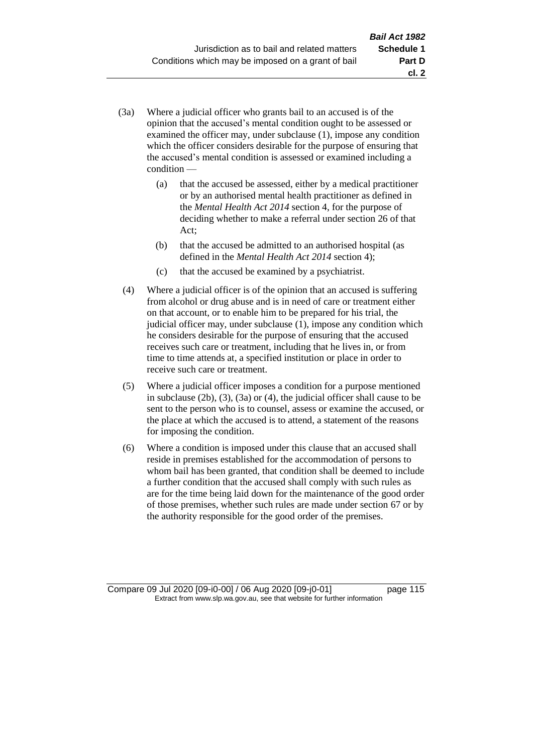- (3a) Where a judicial officer who grants bail to an accused is of the opinion that the accused's mental condition ought to be assessed or examined the officer may, under subclause (1), impose any condition which the officer considers desirable for the purpose of ensuring that the accused's mental condition is assessed or examined including a condition —
	- (a) that the accused be assessed, either by a medical practitioner or by an authorised mental health practitioner as defined in the *Mental Health Act 2014* section 4, for the purpose of deciding whether to make a referral under section 26 of that Act;
	- (b) that the accused be admitted to an authorised hospital (as defined in the *Mental Health Act 2014* section 4);
	- (c) that the accused be examined by a psychiatrist.
- (4) Where a judicial officer is of the opinion that an accused is suffering from alcohol or drug abuse and is in need of care or treatment either on that account, or to enable him to be prepared for his trial, the judicial officer may, under subclause (1), impose any condition which he considers desirable for the purpose of ensuring that the accused receives such care or treatment, including that he lives in, or from time to time attends at, a specified institution or place in order to receive such care or treatment.
- (5) Where a judicial officer imposes a condition for a purpose mentioned in subclause (2b), (3), (3a) or (4), the judicial officer shall cause to be sent to the person who is to counsel, assess or examine the accused, or the place at which the accused is to attend, a statement of the reasons for imposing the condition.
- (6) Where a condition is imposed under this clause that an accused shall reside in premises established for the accommodation of persons to whom bail has been granted, that condition shall be deemed to include a further condition that the accused shall comply with such rules as are for the time being laid down for the maintenance of the good order of those premises, whether such rules are made under section 67 or by the authority responsible for the good order of the premises.

Compare 09 Jul 2020 [09-i0-00] / 06 Aug 2020 [09-j0-01] page 115 Extract from www.slp.wa.gov.au, see that website for further information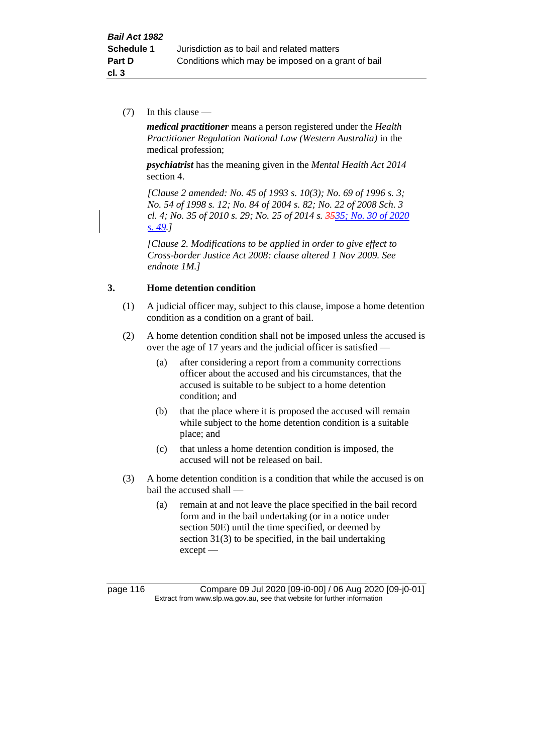(7) In this clause —

*medical practitioner* means a person registered under the *Health Practitioner Regulation National Law (Western Australia)* in the medical profession;

*psychiatrist* has the meaning given in the *Mental Health Act 2014* section 4.

*[Clause 2 amended: No. 45 of 1993 s. 10(3); No. 69 of 1996 s. 3; No. 54 of 1998 s. 12; No. 84 of 2004 s. 82; No. 22 of 2008 Sch. 3 cl. 4; No. 35 of 2010 s. 29; No. 25 of 2014 s. 3535; No. 30 of 2020 s. 49.]*

*[Clause 2. Modifications to be applied in order to give effect to Cross-border Justice Act 2008: clause altered 1 Nov 2009. See endnote 1M.]*

## **3. Home detention condition**

- (1) A judicial officer may, subject to this clause, impose a home detention condition as a condition on a grant of bail.
- (2) A home detention condition shall not be imposed unless the accused is over the age of 17 years and the judicial officer is satisfied —
	- (a) after considering a report from a community corrections officer about the accused and his circumstances, that the accused is suitable to be subject to a home detention condition; and
	- (b) that the place where it is proposed the accused will remain while subject to the home detention condition is a suitable place; and
	- (c) that unless a home detention condition is imposed, the accused will not be released on bail.
- (3) A home detention condition is a condition that while the accused is on bail the accused shall —
	- (a) remain at and not leave the place specified in the bail record form and in the bail undertaking (or in a notice under section 50E) until the time specified, or deemed by section 31(3) to be specified, in the bail undertaking except —

page 116 Compare 09 Jul 2020 [09-i0-00] / 06 Aug 2020 [09-j0-01] Extract from www.slp.wa.gov.au, see that website for further information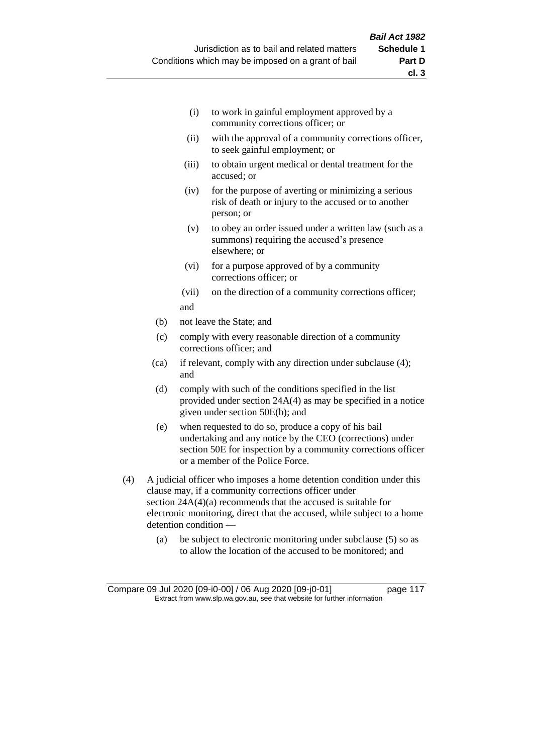- (i) to work in gainful employment approved by a community corrections officer; or
- (ii) with the approval of a community corrections officer, to seek gainful employment; or
- (iii) to obtain urgent medical or dental treatment for the accused; or
- (iv) for the purpose of averting or minimizing a serious risk of death or injury to the accused or to another person; or
- (v) to obey an order issued under a written law (such as a summons) requiring the accused's presence elsewhere; or
- (vi) for a purpose approved of by a community corrections officer; or
- (vii) on the direction of a community corrections officer; and
- (b) not leave the State; and
- (c) comply with every reasonable direction of a community corrections officer; and
- (ca) if relevant, comply with any direction under subclause (4); and
- (d) comply with such of the conditions specified in the list provided under section 24A(4) as may be specified in a notice given under section 50E(b); and
- (e) when requested to do so, produce a copy of his bail undertaking and any notice by the CEO (corrections) under section 50E for inspection by a community corrections officer or a member of the Police Force.
- (4) A judicial officer who imposes a home detention condition under this clause may, if a community corrections officer under section 24A(4)(a) recommends that the accused is suitable for electronic monitoring, direct that the accused, while subject to a home detention condition —
	- (a) be subject to electronic monitoring under subclause (5) so as to allow the location of the accused to be monitored; and

Compare 09 Jul 2020 [09-i0-00] / 06 Aug 2020 [09-j0-01] page 117 Extract from www.slp.wa.gov.au, see that website for further information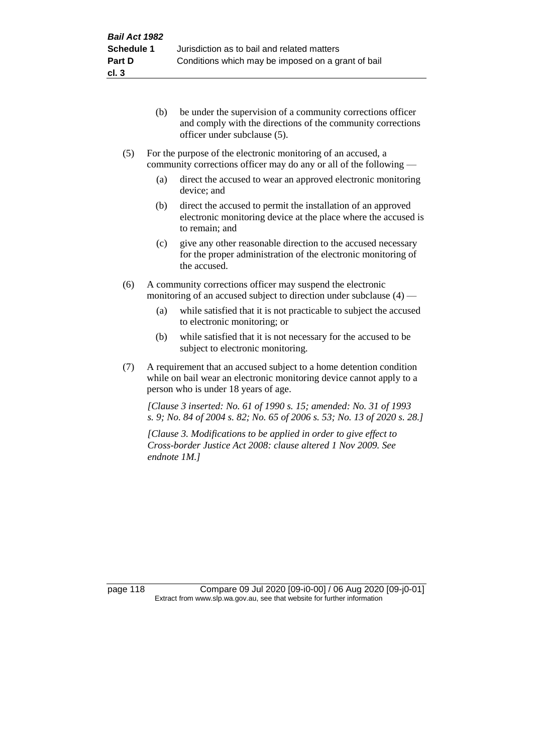- (b) be under the supervision of a community corrections officer and comply with the directions of the community corrections officer under subclause (5).
- (5) For the purpose of the electronic monitoring of an accused, a community corrections officer may do any or all of the following —
	- (a) direct the accused to wear an approved electronic monitoring device; and
	- (b) direct the accused to permit the installation of an approved electronic monitoring device at the place where the accused is to remain; and
	- (c) give any other reasonable direction to the accused necessary for the proper administration of the electronic monitoring of the accused.
- (6) A community corrections officer may suspend the electronic monitoring of an accused subject to direction under subclause (4) —
	- (a) while satisfied that it is not practicable to subject the accused to electronic monitoring; or
	- (b) while satisfied that it is not necessary for the accused to be subject to electronic monitoring.
- (7) A requirement that an accused subject to a home detention condition while on bail wear an electronic monitoring device cannot apply to a person who is under 18 years of age.

*[Clause 3 inserted: No. 61 of 1990 s. 15; amended: No. 31 of 1993 s. 9; No. 84 of 2004 s. 82; No. 65 of 2006 s. 53; No. 13 of 2020 s. 28.]*

*[Clause 3. Modifications to be applied in order to give effect to Cross-border Justice Act 2008: clause altered 1 Nov 2009. See endnote 1M.]*

page 118 Compare 09 Jul 2020 [09-i0-00] / 06 Aug 2020 [09-j0-01] Extract from www.slp.wa.gov.au, see that website for further information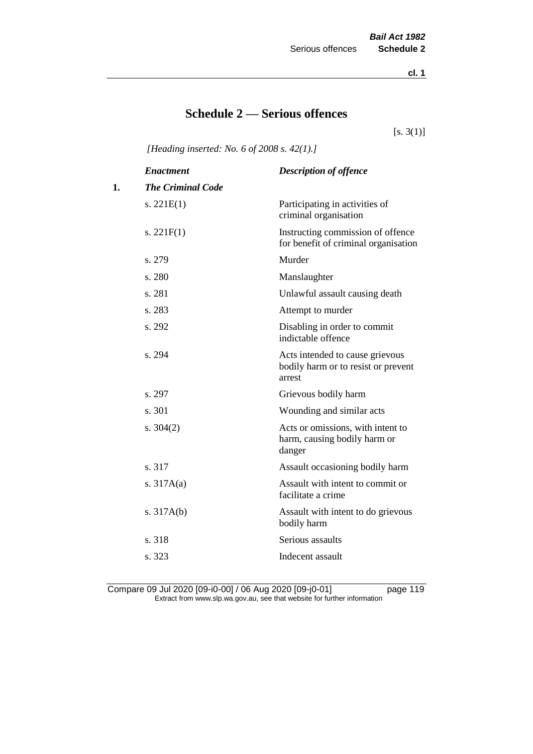**cl. 1**

# **Schedule 2 — Serious offences**

 $[s. 3(1)]$ 

*[Heading inserted: No. 6 of 2008 s. 42(1).]*

|    | <b>Enactment</b>         | <b>Description of offence</b>                                                    |
|----|--------------------------|----------------------------------------------------------------------------------|
| 1. | <b>The Criminal Code</b> |                                                                                  |
|    | s. $221E(1)$             | Participating in activities of<br>criminal organisation                          |
|    | s. $221F(1)$             | Instructing commission of offence<br>for benefit of criminal organisation        |
|    | s. 279                   | Murder                                                                           |
|    | s. 280                   | Manslaughter                                                                     |
|    | s. 281                   | Unlawful assault causing death                                                   |
|    | s. 283                   | Attempt to murder                                                                |
|    | s. 292                   | Disabling in order to commit<br>indictable offence                               |
|    | s. 294                   | Acts intended to cause grievous<br>bodily harm or to resist or prevent<br>arrest |
|    | s. 297                   | Grievous bodily harm                                                             |
|    | s. 301                   | Wounding and similar acts                                                        |
|    | s. $304(2)$              | Acts or omissions, with intent to<br>harm, causing bodily harm or<br>danger      |
|    | s. 317                   | Assault occasioning bodily harm                                                  |
|    | s. $317A(a)$             | Assault with intent to commit or<br>facilitate a crime                           |
|    | s. $317A(b)$             | Assault with intent to do grievous<br>bodily harm                                |
|    | s. 318                   | Serious assaults                                                                 |
|    | s. 323                   | Indecent assault                                                                 |
|    |                          |                                                                                  |

Compare 09 Jul 2020 [09-i0-00] / 06 Aug 2020 [09-j0-01] page 119 Extract from www.slp.wa.gov.au, see that website for further information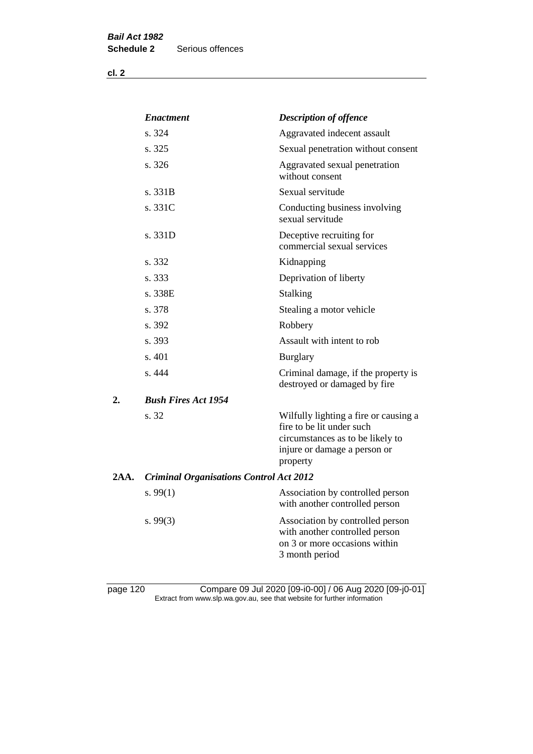**cl. 2**

|      | <b>Enactment</b>                               | <b>Description of offence</b>                                                                                                                      |
|------|------------------------------------------------|----------------------------------------------------------------------------------------------------------------------------------------------------|
|      | s. 324                                         | Aggravated indecent assault                                                                                                                        |
|      | s. 325                                         | Sexual penetration without consent                                                                                                                 |
|      | s. 326                                         | Aggravated sexual penetration<br>without consent                                                                                                   |
|      | s. 331B                                        | Sexual servitude                                                                                                                                   |
|      | s. 331C                                        | Conducting business involving<br>sexual servitude                                                                                                  |
|      | s. 331D                                        | Deceptive recruiting for<br>commercial sexual services                                                                                             |
|      | s. 332                                         | Kidnapping                                                                                                                                         |
|      | s. 333                                         | Deprivation of liberty                                                                                                                             |
|      | s. 338E                                        | <b>Stalking</b>                                                                                                                                    |
|      | s. 378                                         | Stealing a motor vehicle                                                                                                                           |
|      | s. 392                                         | Robbery                                                                                                                                            |
|      | s. 393                                         | Assault with intent to rob                                                                                                                         |
|      | s. 401                                         | <b>Burglary</b>                                                                                                                                    |
|      | s. 444                                         | Criminal damage, if the property is<br>destroyed or damaged by fire                                                                                |
| 2.   | <b>Bush Fires Act 1954</b>                     |                                                                                                                                                    |
|      | s. 32                                          | Wilfully lighting a fire or causing a<br>fire to be lit under such<br>circumstances as to be likely to<br>injure or damage a person or<br>property |
| 2AA. | <b>Criminal Organisations Control Act 2012</b> |                                                                                                                                                    |
|      | s. $99(1)$                                     | Association by controlled person<br>with another controlled person                                                                                 |
|      | s.99(3)                                        | Association by controlled person<br>with another controlled person<br>on 3 or more occasions within<br>3 month period                              |
|      |                                                |                                                                                                                                                    |

page 120 Compare 09 Jul 2020 [09-i0-00] / 06 Aug 2020 [09-j0-01] Extract from www.slp.wa.gov.au, see that website for further information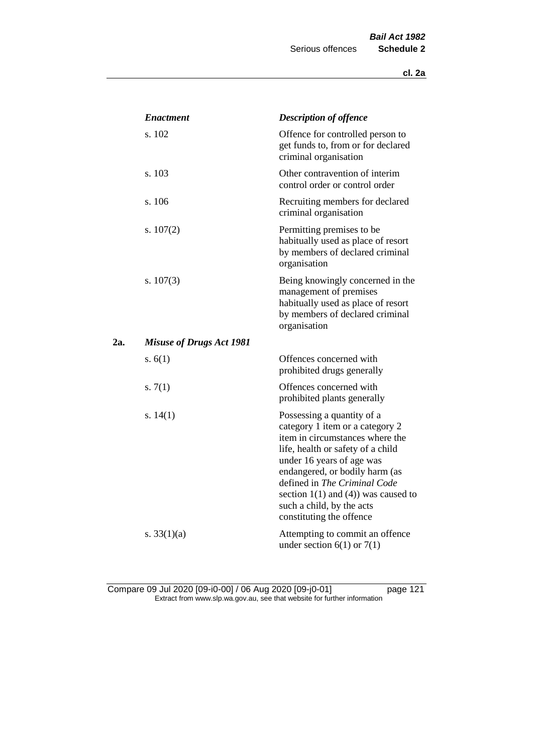|     | <b>Enactment</b>                | <b>Description of offence</b>                                                                                                                                                                                                                                                                                                             |
|-----|---------------------------------|-------------------------------------------------------------------------------------------------------------------------------------------------------------------------------------------------------------------------------------------------------------------------------------------------------------------------------------------|
|     | s. 102                          | Offence for controlled person to<br>get funds to, from or for declared<br>criminal organisation                                                                                                                                                                                                                                           |
|     | s. 103                          | Other contravention of interim<br>control order or control order                                                                                                                                                                                                                                                                          |
|     | s. 106                          | Recruiting members for declared<br>criminal organisation                                                                                                                                                                                                                                                                                  |
|     | s. $107(2)$                     | Permitting premises to be<br>habitually used as place of resort<br>by members of declared criminal<br>organisation                                                                                                                                                                                                                        |
|     | s. $107(3)$                     | Being knowingly concerned in the<br>management of premises<br>habitually used as place of resort<br>by members of declared criminal<br>organisation                                                                                                                                                                                       |
| 2a. | <b>Misuse of Drugs Act 1981</b> |                                                                                                                                                                                                                                                                                                                                           |
|     | s. $6(1)$                       | Offences concerned with<br>prohibited drugs generally                                                                                                                                                                                                                                                                                     |
|     | s. $7(1)$                       | Offences concerned with<br>prohibited plants generally                                                                                                                                                                                                                                                                                    |
|     | s. $14(1)$                      | Possessing a quantity of a<br>category 1 item or a category 2<br>item in circumstances where the<br>life, health or safety of a child<br>under 16 years of age was<br>endangered, or bodily harm (as<br>defined in The Criminal Code<br>section $1(1)$ and $(4)$ ) was caused to<br>such a child, by the acts<br>constituting the offence |
|     | s. $33(1)(a)$                   | Attempting to commit an offence<br>under section $6(1)$ or $7(1)$                                                                                                                                                                                                                                                                         |

Compare 09 Jul 2020 [09-i0-00] / 06 Aug 2020 [09-j0-01] page 121 Extract from www.slp.wa.gov.au, see that website for further information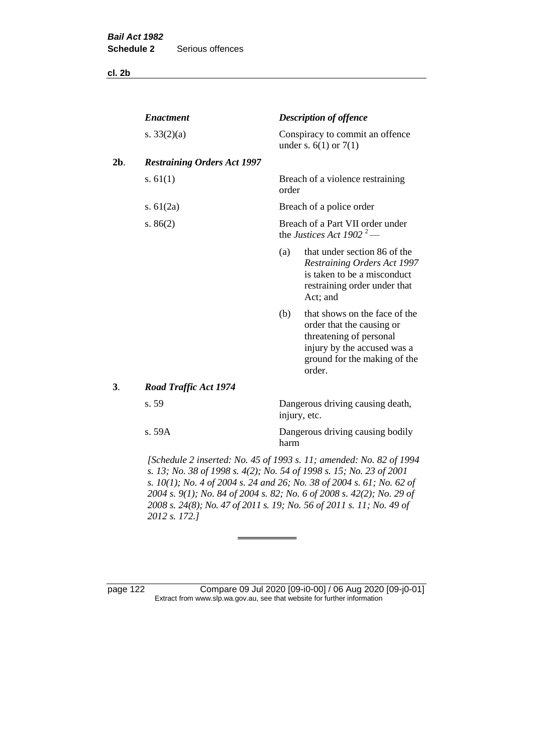**cl. 2b**

| <b>Enactment</b>                   |                                                                          | <b>Description of offence</b>                                                                                                                                  |
|------------------------------------|--------------------------------------------------------------------------|----------------------------------------------------------------------------------------------------------------------------------------------------------------|
| s. $33(2)(a)$                      |                                                                          | Conspiracy to commit an offence<br>under s. $6(1)$ or $7(1)$                                                                                                   |
| <b>Restraining Orders Act 1997</b> |                                                                          |                                                                                                                                                                |
| s. $61(1)$                         | order                                                                    | Breach of a violence restraining                                                                                                                               |
| s. $61(2a)$                        |                                                                          | Breach of a police order                                                                                                                                       |
| s. $86(2)$                         | Breach of a Part VII order under<br>the Justices Act 1902 <sup>2</sup> — |                                                                                                                                                                |
|                                    | (a)                                                                      | that under section 86 of the<br><b>Restraining Orders Act 1997</b><br>is taken to be a misconduct<br>restraining order under that<br>Act; and                  |
|                                    | (b)                                                                      | that shows on the face of the<br>order that the causing or<br>threatening of personal<br>injury by the accused was a<br>ground for the making of the<br>order. |
| <b>Road Traffic Act 1974</b>       |                                                                          |                                                                                                                                                                |
| s. 59                              |                                                                          | Dangerous driving causing death,<br>injury, etc.                                                                                                               |
| s. 59A                             | harm                                                                     | Dangerous driving causing bodily                                                                                                                               |

*s. 13; No. 38 of 1998 s. 4(2); No. 54 of 1998 s. 15; No. 23 of 2001 s. 10(1); No. 4 of 2004 s. 24 and 26; No. 38 of 2004 s. 61; No. 62 of 2004 s. 9(1); No. 84 of 2004 s. 82; No. 6 of 2008 s. 42(2); No. 29 of 2008 s. 24(8); No. 47 of 2011 s. 19; No. 56 of 2011 s. 11; No. 49 of 2012 s. 172.]* 

page 122 Compare 09 Jul 2020 [09-i0-00] / 06 Aug 2020 [09-j0-01] Extract from www.slp.wa.gov.au, see that website for further information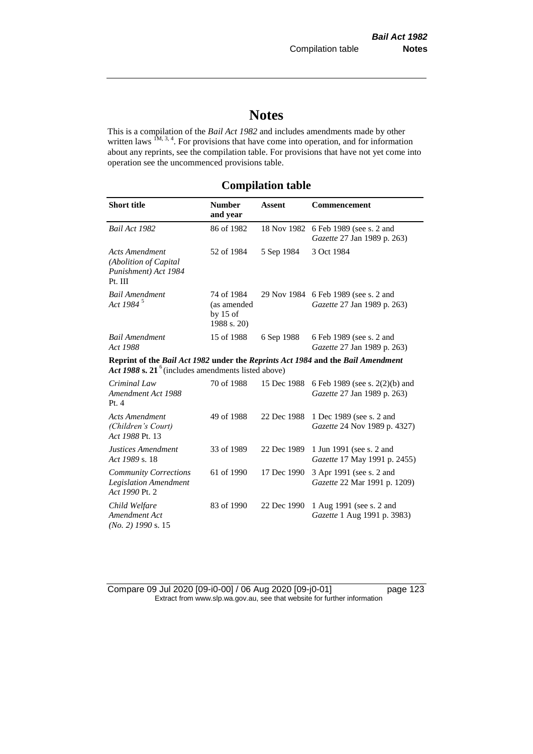# **Notes**

This is a compilation of the *Bail Act 1982* and includes amendments made by other written laws  $\frac{1M}{3}$ ,  $\frac{3}{4}$ . For provisions that have come into operation, and for information about any reprints, see the compilation table. For provisions that have not yet come into operation see the uncommenced provisions table.

# **Compilation table**

| <b>Short title</b>                                                                                                                                | <b>Number</b><br>and year                              | <b>Assent</b> | <b>Commencement</b>                                           |
|---------------------------------------------------------------------------------------------------------------------------------------------------|--------------------------------------------------------|---------------|---------------------------------------------------------------|
| Bail Act 1982                                                                                                                                     | 86 of 1982                                             | 18 Nov 1982   | 6 Feb 1989 (see s. 2 and<br>Gazette 27 Jan 1989 p. 263)       |
| <b>Acts Amendment</b><br>(Abolition of Capital<br>Punishment) Act 1984<br>Pt. III                                                                 | 52 of 1984                                             | 5 Sep 1984    | 3 Oct 1984                                                    |
| <b>Bail Amendment</b><br>Act 1984 <sup>5</sup>                                                                                                    | 74 of 1984<br>(as amended<br>by $15$ of<br>1988 s. 20) | 29 Nov 1984   | 6 Feb 1989 (see s. 2 and<br>Gazette 27 Jan 1989 p. 263)       |
| <b>Bail Amendment</b><br>Act 1988                                                                                                                 | 15 of 1988                                             | 6 Sep 1988    | 6 Feb 1989 (see s. 2 and<br>Gazette 27 Jan 1989 p. 263)       |
| Reprint of the Bail Act 1982 under the Reprints Act 1984 and the Bail Amendment<br>Act 1988 s. 21 <sup>6</sup> (includes amendments listed above) |                                                        |               |                                                               |
| Criminal Law<br>Amendment Act 1988<br>Pt.4                                                                                                        | 70 of 1988                                             | 15 Dec 1988   | 6 Feb 1989 (see s. 2(2)(b) and<br>Gazette 27 Jan 1989 p. 263) |
| <b>Acts Amendment</b><br>(Children's Court)<br>Act 1988 Pt. 13                                                                                    | 49 of 1988                                             | 22 Dec 1988   | 1 Dec 1989 (see s. 2 and<br>Gazette 24 Nov 1989 p. 4327)      |
| Justices Amendment<br>Act 1989 s. 18                                                                                                              | 33 of 1989                                             | 22 Dec 1989   | 1 Jun 1991 (see s. 2 and<br>Gazette 17 May 1991 p. 2455)      |
| <b>Community Corrections</b><br><b>Legislation Amendment</b><br>Act 1990 Pt. 2                                                                    | 61 of 1990                                             | 17 Dec 1990   | 3 Apr 1991 (see s. 2 and<br>Gazette 22 Mar 1991 p. 1209)      |
| Child Welfare<br>Amendment Act<br>$(No. 2)$ 1990 s. 15                                                                                            | 83 of 1990                                             | 22 Dec 1990   | 1 Aug 1991 (see s. 2 and<br>Gazette 1 Aug 1991 p. 3983)       |

Compare 09 Jul 2020 [09-i0-00] / 06 Aug 2020 [09-j0-01] page 123 Extract from www.slp.wa.gov.au, see that website for further information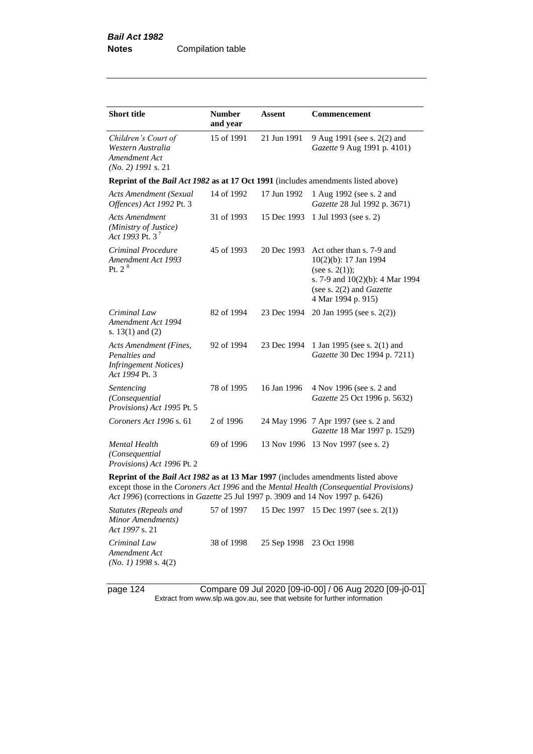| <b>Short title</b>                                                                                                                                                 | <b>Number</b><br>and year | Assent      | Commencement                                                                                                                                                 |
|--------------------------------------------------------------------------------------------------------------------------------------------------------------------|---------------------------|-------------|--------------------------------------------------------------------------------------------------------------------------------------------------------------|
| Children's Court of<br>Western Australia<br>Amendment Act<br>$(No. 2)$ 1991 s. 21                                                                                  | 15 of 1991                | 21 Jun 1991 | 9 Aug 1991 (see s. 2(2) and<br>Gazette 9 Aug 1991 p. 4101)                                                                                                   |
| Reprint of the <i>Bail Act 1982</i> as at 17 Oct 1991 (includes amendments listed above)                                                                           |                           |             |                                                                                                                                                              |
| <b>Acts Amendment (Sexual</b><br>Offences) Act 1992 Pt. 3                                                                                                          | 14 of 1992                | 17 Jun 1992 | 1 Aug 1992 (see s. 2 and<br>Gazette 28 Jul 1992 p. 3671)                                                                                                     |
| <b>Acts Amendment</b><br>(Ministry of Justice)<br>Act 1993 Pt. $3^7$                                                                                               | 31 of 1993                | 15 Dec 1993 | 1 Jul 1993 (see s. 2)                                                                                                                                        |
| Criminal Procedure<br>Amendment Act 1993<br>Pt. $2^8$                                                                                                              | 45 of 1993                | 20 Dec 1993 | Act other than s. 7-9 and<br>10(2)(b): 17 Jan 1994<br>(see s. $2(1)$ );<br>s. 7-9 and 10(2)(b): 4 Mar 1994<br>(see s. 2(2) and Gazette<br>4 Mar 1994 p. 915) |
| Criminal Law<br>Amendment Act 1994<br>s. $13(1)$ and $(2)$                                                                                                         | 82 of 1994                | 23 Dec 1994 | 20 Jan 1995 (see s. 2(2))                                                                                                                                    |
| Acts Amendment (Fines,<br>Penalties and<br><b>Infringement Notices</b> )<br>Act 1994 Pt. 3                                                                         | 92 of 1994                | 23 Dec 1994 | 1 Jan 1995 (see s. 2(1) and<br>Gazette 30 Dec 1994 p. 7211)                                                                                                  |
| Sentencing<br>(Consequential<br>Provisions) Act 1995 Pt. 5                                                                                                         | 78 of 1995                | 16 Jan 1996 | 4 Nov 1996 (see s. 2 and<br>Gazette 25 Oct 1996 p. 5632)                                                                                                     |
| Coroners Act 1996 s. 61                                                                                                                                            | 2 of 1996                 |             | 24 May 1996 7 Apr 1997 (see s. 2 and<br>Gazette 18 Mar 1997 p. 1529)                                                                                         |
| Mental Health<br>(Consequential<br>Provisions) Act 1996 Pt. 2                                                                                                      | 69 of 1996                | 13 Nov 1996 | 13 Nov 1997 (see s. 2)                                                                                                                                       |
| Reprint of the Bail Act 1982 as at 13 Mar 1997 (includes amendments listed above<br>Act 1996) (corrections in Gazette 25 Jul 1997 p. 3909 and 14 Nov 1997 p. 6426) |                           |             | except those in the Coroners Act 1996 and the Mental Health (Consequential Provisions)                                                                       |
| <b>Statutes (Repeals and</b><br>Minor Amendments)<br>Act 1997 s. 21                                                                                                | 57 of 1997                | 15 Dec 1997 | 15 Dec 1997 (see s. $2(1)$ )                                                                                                                                 |

*Criminal Law Amendment Act (No. 1) 1998* s. 4(2)

page 124 Compare 09 Jul 2020 [09-i0-00] / 06 Aug 2020 [09-j0-01] Extract from www.slp.wa.gov.au, see that website for further information

38 of 1998 25 Sep 1998 23 Oct 1998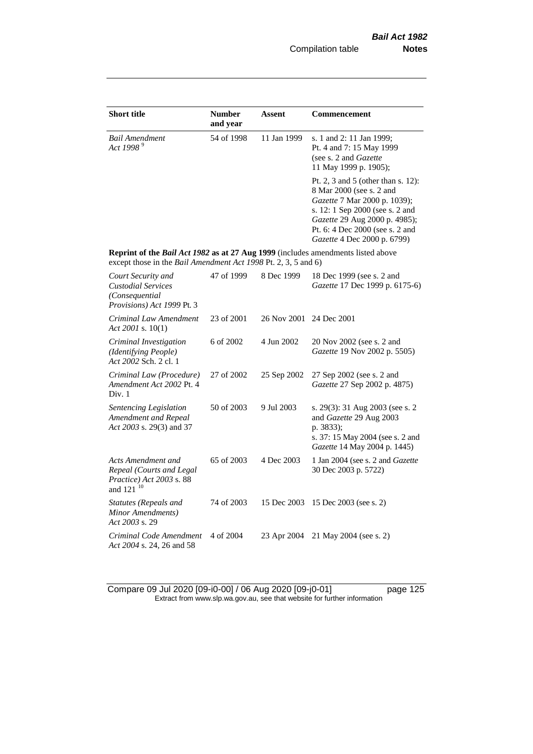| <b>Short title</b>                                                                                                                                 | <b>Number</b><br>and year | Assent      | <b>Commencement</b>                                                                                                                                                                                                                  |
|----------------------------------------------------------------------------------------------------------------------------------------------------|---------------------------|-------------|--------------------------------------------------------------------------------------------------------------------------------------------------------------------------------------------------------------------------------------|
| <b>Bail Amendment</b><br>Act 1998 <sup>9</sup>                                                                                                     | 54 of 1998                | 11 Jan 1999 | s. 1 and 2: 11 Jan 1999;<br>Pt. 4 and 7: 15 May 1999<br>(see s. 2 and Gazette<br>11 May 1999 p. 1905);                                                                                                                               |
|                                                                                                                                                    |                           |             | Pt. 2, 3 and 5 (other than s. 12):<br>8 Mar 2000 (see s. 2 and<br>Gazette 7 Mar 2000 p. 1039);<br>s. 12: 1 Sep 2000 (see s. 2 and<br>Gazette 29 Aug 2000 p. 4985);<br>Pt. 6: 4 Dec 2000 (see s. 2 and<br>Gazette 4 Dec 2000 p. 6799) |
| Reprint of the Bail Act 1982 as at 27 Aug 1999 (includes amendments listed above<br>except those in the Bail Amendment Act 1998 Pt. 2, 3, 5 and 6) |                           |             |                                                                                                                                                                                                                                      |
| Court Security and<br><b>Custodial Services</b><br>(Consequential<br>Provisions) Act 1999 Pt. 3                                                    | 47 of 1999                | 8 Dec 1999  | 18 Dec 1999 (see s. 2 and<br>Gazette 17 Dec 1999 p. 6175-6)                                                                                                                                                                          |
| Criminal Law Amendment<br>Act 2001 s. 10(1)                                                                                                        | 23 of 2001                | 26 Nov 2001 | 24 Dec 2001                                                                                                                                                                                                                          |
| Criminal Investigation<br>(Identifying People)<br>Act 2002 Sch. 2 cl. 1                                                                            | 6 of 2002                 | 4 Jun 2002  | 20 Nov 2002 (see s. 2 and<br>Gazette 19 Nov 2002 p. 5505)                                                                                                                                                                            |
| Criminal Law (Procedure)<br>Amendment Act 2002 Pt. 4<br>Div. 1                                                                                     | 27 of 2002                | 25 Sep 2002 | 27 Sep 2002 (see s. 2 and<br>Gazette 27 Sep 2002 p. 4875)                                                                                                                                                                            |
| Sentencing Legislation<br>Amendment and Repeal<br>Act 2003 s. 29(3) and 37                                                                         | 50 of 2003                | 9 Jul 2003  | s. 29(3): 31 Aug 2003 (see s. 2<br>and Gazette 29 Aug 2003<br>p. 3833);<br>s. 37: 15 May 2004 (see s. 2 and<br>Gazette 14 May 2004 p. 1445)                                                                                          |
| Acts Amendment and<br>Repeal (Courts and Legal<br>Practice) Act 2003 s. 88<br>and 121 <sup>10</sup>                                                | 65 of 2003                | 4 Dec 2003  | 1 Jan 2004 (see s. 2 and <i>Gazette</i><br>30 Dec 2003 p. 5722)                                                                                                                                                                      |
| Statutes (Repeals and<br>Minor Amendments)<br>Act 2003 s. 29                                                                                       | 74 of 2003                | 15 Dec 2003 | 15 Dec 2003 (see s. 2)                                                                                                                                                                                                               |
| Criminal Code Amendment<br>Act 2004 s. 24, 26 and 58                                                                                               | 4 of 2004                 | 23 Apr 2004 | 21 May 2004 (see s. 2)                                                                                                                                                                                                               |

Compare 09 Jul 2020 [09-i0-00] / 06 Aug 2020 [09-j0-01] page 125 Extract from www.slp.wa.gov.au, see that website for further information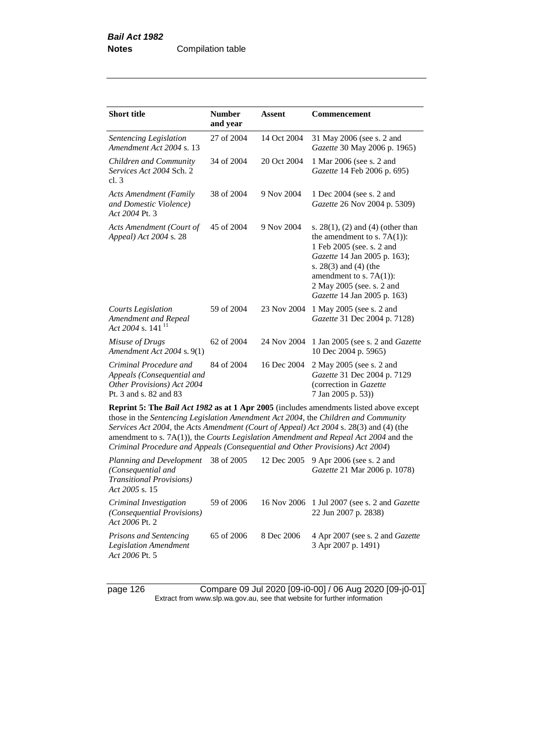| <b>Short title</b>                                                                                                                                                                                                                                                                                                                                                    | <b>Number</b><br>and year | <b>Assent</b> | <b>Commencement</b>                                                                                                                                                                                                                                      |  |  |
|-----------------------------------------------------------------------------------------------------------------------------------------------------------------------------------------------------------------------------------------------------------------------------------------------------------------------------------------------------------------------|---------------------------|---------------|----------------------------------------------------------------------------------------------------------------------------------------------------------------------------------------------------------------------------------------------------------|--|--|
| Sentencing Legislation<br>Amendment Act 2004 s. 13                                                                                                                                                                                                                                                                                                                    | 27 of 2004                | 14 Oct 2004   | 31 May 2006 (see s. 2 and<br>Gazette 30 May 2006 p. 1965)                                                                                                                                                                                                |  |  |
| Children and Community<br>Services Act 2004 Sch. 2<br>cl.3                                                                                                                                                                                                                                                                                                            | 34 of 2004                | 20 Oct 2004   | 1 Mar 2006 (see s. 2 and<br>Gazette 14 Feb 2006 p. 695)                                                                                                                                                                                                  |  |  |
| <b>Acts Amendment (Family</b><br>and Domestic Violence)<br>Act 2004 Pt. 3                                                                                                                                                                                                                                                                                             | 38 of 2004                | 9 Nov 2004    | 1 Dec 2004 (see s. 2 and<br>Gazette 26 Nov 2004 p. 5309)                                                                                                                                                                                                 |  |  |
| Acts Amendment (Court of<br>Appeal) Act 2004 s. 28                                                                                                                                                                                                                                                                                                                    | 45 of 2004                | 9 Nov 2004    | s. $28(1)$ , (2) and (4) (other than<br>the amendment to s. $7A(1)$ :<br>1 Feb 2005 (see. s. 2 and<br>Gazette 14 Jan 2005 p. 163);<br>s. $28(3)$ and $(4)$ (the<br>amendment to s. $7A(1)$ :<br>2 May 2005 (see. s. 2 and<br>Gazette 14 Jan 2005 p. 163) |  |  |
| <b>Courts Legislation</b><br>Amendment and Repeal<br>Act 2004 s. 141                                                                                                                                                                                                                                                                                                  | 59 of 2004                | 23 Nov 2004   | 1 May 2005 (see s. 2 and<br>Gazette 31 Dec 2004 p. 7128)                                                                                                                                                                                                 |  |  |
| Misuse of Drugs<br>Amendment Act 2004 s. 9(1)                                                                                                                                                                                                                                                                                                                         | 62 of 2004                | 24 Nov 2004   | 1 Jan 2005 (see s. 2 and <i>Gazette</i><br>10 Dec 2004 p. 5965)                                                                                                                                                                                          |  |  |
| Criminal Procedure and<br>Appeals (Consequential and<br>Other Provisions) Act 2004<br>Pt. 3 and s. 82 and 83                                                                                                                                                                                                                                                          | 84 of 2004                | 16 Dec 2004   | 2 May 2005 (see s. 2 and<br>Gazette 31 Dec 2004 p. 7129<br>(correction in Gazette<br>7 Jan 2005 p. 53))                                                                                                                                                  |  |  |
| <b>Reprint 5: The Bail Act 1982 as at 1 Apr 2005</b> (includes amendments listed above except<br>those in the Sentencing Legislation Amendment Act 2004, the Children and Community<br>Services Act 2004, the Acts Amendment (Court of Appeal) Act 2004 s. 28(3) and (4) (the<br>amendment to s. 7A(1)), the Courts Legislation Amendment and Repeal Act 2004 and the |                           |               |                                                                                                                                                                                                                                                          |  |  |

*Criminal Procedure and Appeals (Consequential and Other Provisions) Act 2004*)

| Planning and Development<br>(Consequential and<br><b>Transitional Provisions</b> )<br>Act 2005 s. 15 | 38 of 2005 |            | 12 Dec 2005 9 Apr 2006 (see s. 2 and<br><i>Gazette</i> 21 Mar 2006 p. 1078) |
|------------------------------------------------------------------------------------------------------|------------|------------|-----------------------------------------------------------------------------|
| Criminal Investigation<br><i>(Consequential Provisions)</i><br>Act 2006 Pt. 2                        | 59 of 2006 |            | 16 Nov 2006 1 Jul 2007 (see s. 2 and <i>Gazette</i><br>22 Jun 2007 p. 2838) |
| <b>Prisons and Sentencing</b><br>Legislation Amendment<br>Act 2006 Pt. 5                             | 65 of 2006 | 8 Dec 2006 | 4 Apr 2007 (see s. 2 and <i>Gazette</i><br>3 Apr 2007 p. 1491)              |

page 126 Compare 09 Jul 2020 [09-i0-00] / 06 Aug 2020 [09-j0-01] Extract from www.slp.wa.gov.au, see that website for further information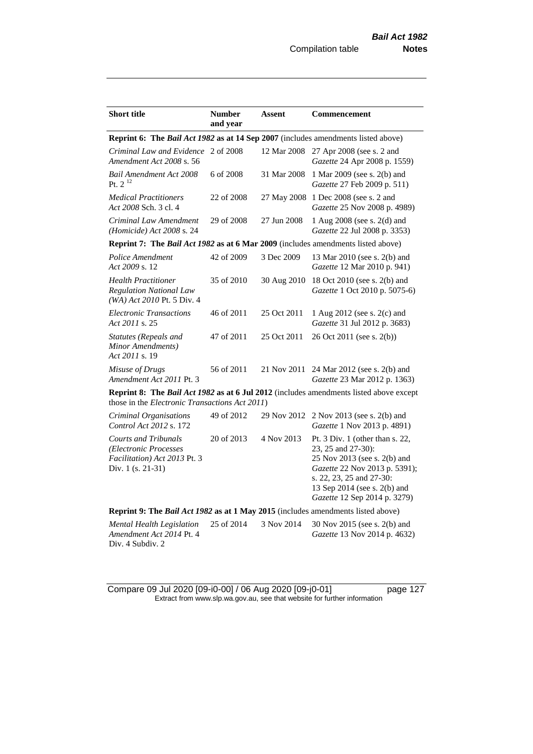| <b>Short title</b>                                                                                        | <b>Number</b> | <b>Assent</b> | <b>Commencement</b>                                                                                                                                                                                                  |
|-----------------------------------------------------------------------------------------------------------|---------------|---------------|----------------------------------------------------------------------------------------------------------------------------------------------------------------------------------------------------------------------|
|                                                                                                           | and year      |               |                                                                                                                                                                                                                      |
| Reprint 6: The Bail Act 1982 as at 14 Sep 2007 (includes amendments listed above)                         |               |               |                                                                                                                                                                                                                      |
| Criminal Law and Evidence 2 of 2008<br>Amendment Act 2008 s. 56                                           |               | 12 Mar 2008   | 27 Apr 2008 (see s. 2 and<br>Gazette 24 Apr 2008 p. 1559)                                                                                                                                                            |
| <b>Bail Amendment Act 2008</b><br>Pt. $2^{12}$                                                            | 6 of 2008     | 31 Mar 2008   | 1 Mar 2009 (see s. 2(b) and<br>Gazette 27 Feb 2009 p. 511)                                                                                                                                                           |
| <b>Medical Practitioners</b><br>Act 2008 Sch. 3 cl. 4                                                     | 22 of 2008    | 27 May 2008   | 1 Dec 2008 (see s. 2 and<br>Gazette 25 Nov 2008 p. 4989)                                                                                                                                                             |
| Criminal Law Amendment<br>(Homicide) Act 2008 s. 24                                                       | 29 of 2008    | 27 Jun 2008   | 1 Aug 2008 (see s. 2(d) and<br>Gazette 22 Jul 2008 p. 3353)                                                                                                                                                          |
| Reprint 7: The Bail Act 1982 as at 6 Mar 2009 (includes amendments listed above)                          |               |               |                                                                                                                                                                                                                      |
| Police Amendment<br>Act 2009 s. 12                                                                        | 42 of 2009    | 3 Dec 2009    | 13 Mar 2010 (see s. 2(b) and<br>Gazette 12 Mar 2010 p. 941)                                                                                                                                                          |
| <b>Health Practitioner</b><br><b>Regulation National Law</b><br>(WA) Act 2010 Pt. 5 Div. 4                | 35 of 2010    | 30 Aug 2010   | 18 Oct 2010 (see s. 2(b) and<br>Gazette 1 Oct 2010 p. 5075-6)                                                                                                                                                        |
| <b>Electronic Transactions</b><br>Act 2011 s. 25                                                          | 46 of 2011    | 25 Oct 2011   | 1 Aug 2012 (see s. 2(c) and<br>Gazette 31 Jul 2012 p. 3683)                                                                                                                                                          |
| Statutes (Repeals and<br>Minor Amendments)<br>Act 2011 s. 19                                              | 47 of 2011    | 25 Oct 2011   | 26 Oct 2011 (see s. 2(b))                                                                                                                                                                                            |
| Misuse of Drugs<br>Amendment Act 2011 Pt. 3                                                               | 56 of 2011    | 21 Nov 2011   | 24 Mar 2012 (see s. 2(b) and<br>Gazette 23 Mar 2012 p. 1363)                                                                                                                                                         |
| those in the Electronic Transactions Act 2011)                                                            |               |               | <b>Reprint 8: The Bail Act 1982 as at 6 Jul 2012</b> (includes amendments listed above except                                                                                                                        |
| Criminal Organisations<br>Control Act 2012 s. 172                                                         | 49 of 2012    | 29 Nov 2012   | 2 Nov 2013 (see s. 2(b) and<br>Gazette 1 Nov 2013 p. 4891)                                                                                                                                                           |
| <b>Courts and Tribunals</b><br>(Electronic Processes<br>Facilitation) Act 2013 Pt. 3<br>Div. 1 (s. 21-31) | 20 of 2013    | 4 Nov 2013    | Pt. $3$ Div. 1 (other than s. 22,<br>23, 25 and 27-30):<br>25 Nov 2013 (see s. 2(b) and<br>Gazette 22 Nov 2013 p. 5391);<br>s. 22, 23, 25 and 27-30:<br>13 Sep 2014 (see s. 2(b) and<br>Gazette 12 Sep 2014 p. 3279) |
| Reprint 9: The Bail Act 1982 as at 1 May 2015 (includes amendments listed above)                          |               |               |                                                                                                                                                                                                                      |
| Mental Health Legislation<br>Amendment Act 2014 Pt. 4<br>Div. 4 Subdiv. 2                                 | 25 of 2014    | 3 Nov 2014    | 30 Nov 2015 (see s. 2(b) and<br>Gazette 13 Nov 2014 p. 4632)                                                                                                                                                         |

Compare 09 Jul 2020 [09-i0-00] / 06 Aug 2020 [09-j0-01] page 127 Extract from www.slp.wa.gov.au, see that website for further information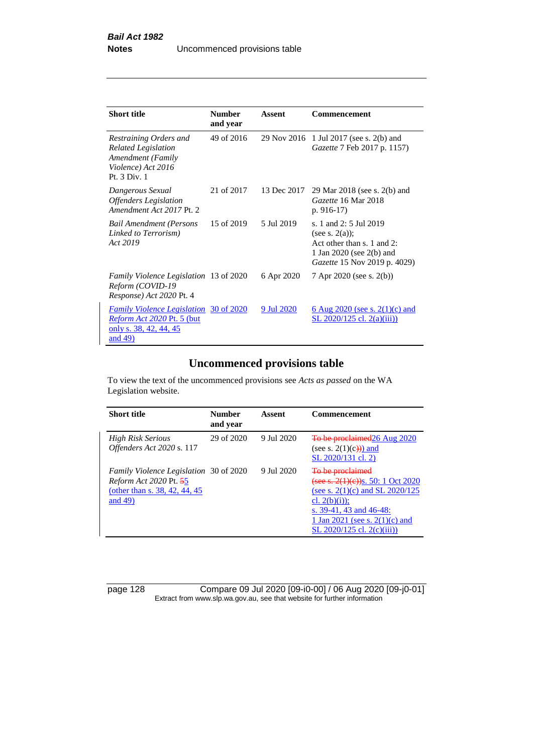| <b>Short title</b>                                                                                                         | <b>Number</b><br>and year | Assent     | Commencement                                                                                                                          |
|----------------------------------------------------------------------------------------------------------------------------|---------------------------|------------|---------------------------------------------------------------------------------------------------------------------------------------|
| Restraining Orders and<br><b>Related Legislation</b><br>Amendment (Family<br>Violence) Act 2016<br>Pt. 3 Div. 1            | 49 of 2016                |            | 29 Nov 2016 1 Jul 2017 (see s. 2(b) and<br><i>Gazette</i> 7 Feb 2017 p. 1157)                                                         |
| Dangerous Sexual<br><b>Offenders</b> Legislation<br>Amendment Act 2017 Pt. 2                                               | 21 of 2017                |            | 13 Dec 2017 29 Mar 2018 (see s. 2(b) and<br>Gazette 16 Mar 2018<br>p. $916-17$                                                        |
| <b>Bail Amendment (Persons</b><br>Linked to Terrorism)<br>Act 2019                                                         | 15 of 2019                | 5 Jul 2019 | s. 1 and 2: 5 Jul 2019<br>(see s. $2(a)$ );<br>Act other than s. 1 and 2:<br>1 Jan 2020 (see 2(b) and<br>Gazette 15 Nov 2019 p. 4029) |
| Family Violence Legislation 13 of 2020<br>Reform (COVID-19<br>Response) Act 2020 Pt. 4                                     |                           | 6 Apr 2020 | 7 Apr 2020 (see s. 2(b))                                                                                                              |
| <b>Family Violence Legislation</b> 30 of 2020<br><i>Reform Act 2020 Pt. 5 (but</i><br>only s. 38, 42, 44, 45<br>and $49$ ) |                           | 9 Jul 2020 | 6 Aug 2020 (see s. $2(1)(c)$ and<br>SL $2020/125$ cl. $2(a)(iii)$                                                                     |

# **Uncommenced provisions table**

To view the text of the uncommenced provisions see *Acts as passed* on the WA Legislation website.

| <b>Short title</b>                                                                                                      | <b>Number</b><br>and year | Assent     | <b>Commencement</b>                                                                                                                                                                                                  |
|-------------------------------------------------------------------------------------------------------------------------|---------------------------|------------|----------------------------------------------------------------------------------------------------------------------------------------------------------------------------------------------------------------------|
| <b>High Risk Serious</b><br>Offenders Act 2020 s. 117                                                                   | 29 of 2020                | 9 Jul 2020 | To be proclaimed 26 Aug 2020<br>(see s. $2(1)(c)$ ) and<br>SL 2020/131 cl. 2)                                                                                                                                        |
| <i>Family Violence Legislation</i> 30 of 2020<br>Reform Act 2020 Pt. 55<br>(other than s. 38, 42, 44, 45)<br>and $49$ ) |                           | 9 Jul 2020 | To be proclaimed<br>(see s. 2(1)(e))s. 50: 1 Oct 2020<br>(see s. $2(1)(c)$ and SL $2020/125$<br>cl. $2(b)(i)$ ;<br>s. $39-41$ , $43$ and $46-48$ :<br>1 Jan 2021 (see s. $2(1)(c)$ and<br>SL 2020/125 cl. 2(c)(iii)) |

page 128 Compare 09 Jul 2020 [09-i0-00] / 06 Aug 2020 [09-j0-01] Extract from www.slp.wa.gov.au, see that website for further information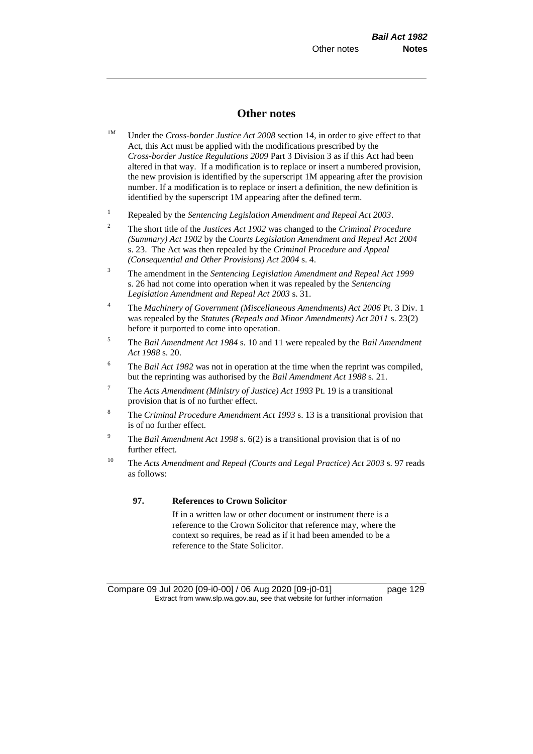# **Other notes**

- <sup>1M</sup> Under the *Cross-border Justice Act 2008* section 14, in order to give effect to that Act, this Act must be applied with the modifications prescribed by the *Cross-border Justice Regulations 2009* Part 3 Division 3 as if this Act had been altered in that way. If a modification is to replace or insert a numbered provision, the new provision is identified by the superscript 1M appearing after the provision number. If a modification is to replace or insert a definition, the new definition is identified by the superscript 1M appearing after the defined term.
- <sup>1</sup> Repealed by the *Sentencing Legislation Amendment and Repeal Act 2003*.
- <sup>2</sup> The short title of the *Justices Act 1902* was changed to the *Criminal Procedure (Summary) Act 1902* by the *Courts Legislation Amendment and Repeal Act 2004*  s. 23. The Act was then repealed by the *Criminal Procedure and Appeal (Consequential and Other Provisions) Act 2004* s. 4.
- <sup>3</sup> The amendment in the *Sentencing Legislation Amendment and Repeal Act 1999* s. 26 had not come into operation when it was repealed by the *Sentencing Legislation Amendment and Repeal Act 2003* s. 31.
- <sup>4</sup> The *Machinery of Government (Miscellaneous Amendments) Act 2006* Pt. 3 Div. 1 was repealed by the *Statutes (Repeals and Minor Amendments) Act 2011* s. 23(2) before it purported to come into operation.
- <sup>5</sup> The *Bail Amendment Act 1984* s. 10 and 11 were repealed by the *Bail Amendment Act 1988* s. 20.
- <sup>6</sup> The *Bail Act 1982* was not in operation at the time when the reprint was compiled, but the reprinting was authorised by the *Bail Amendment Act 1988* s. 21.
- 7 The *Acts Amendment (Ministry of Justice) Act 1993* Pt. 19 is a transitional provision that is of no further effect.
- <sup>8</sup> The *Criminal Procedure Amendment Act 1993* s. 13 is a transitional provision that is of no further effect.
- <sup>9</sup> The *Bail Amendment Act 1998* s. 6(2) is a transitional provision that is of no further effect.
- <sup>10</sup> The *Acts Amendment and Repeal (Courts and Legal Practice) Act 2003* s. 97 reads as follows:

#### **97. References to Crown Solicitor**

If in a written law or other document or instrument there is a reference to the Crown Solicitor that reference may, where the context so requires, be read as if it had been amended to be a reference to the State Solicitor.

Compare 09 Jul 2020 [09-i0-00] / 06 Aug 2020 [09-j0-01] page 129 Extract from www.slp.wa.gov.au, see that website for further information